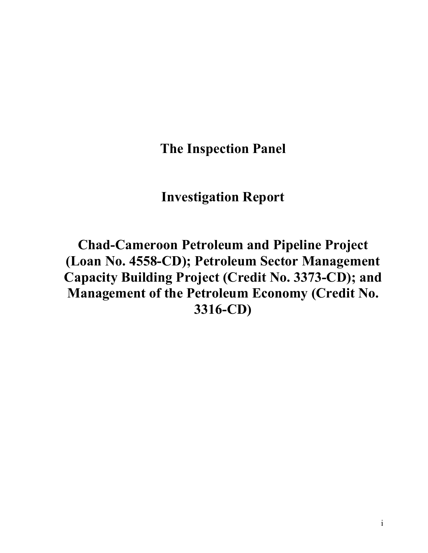**The Inspection Panel** 

**Investigation Report** 

**Chad-Cameroon Petroleum and Pipeline Project (Loan No. 4558-CD); Petroleum Sector Management Capacity Building Project (Credit No. 3373-CD); and Management of the Petroleum Economy (Credit No. 3316-CD)**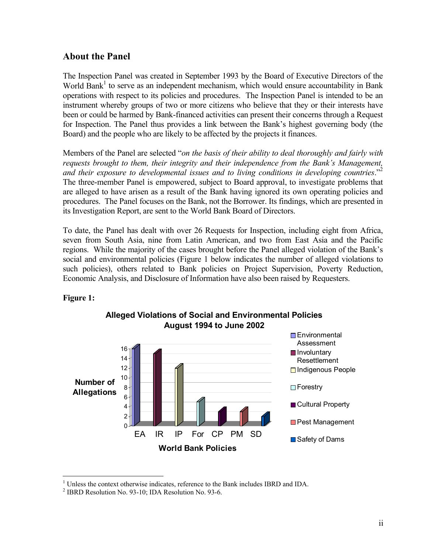## **About the Panel**

The Inspection Panel was created in September 1993 by the Board of Executive Directors of the World Bank<sup>1</sup> to serve as an independent mechanism, which would ensure accountability in Bank operations with respect to its policies and procedures. The Inspection Panel is intended to be an instrument whereby groups of two or more citizens who believe that they or their interests have been or could be harmed by Bank-financed activities can present their concerns through a Request for Inspection. The Panel thus provides a link between the Bank's highest governing body (the Board) and the people who are likely to be affected by the projects it finances.

Members of the Panel are selected "*on the basis of their ability to deal thoroughly and fairly with requests brought to them, their integrity and their independence from the Bank's Management, and their exposure to developmental issues and to living conditions in developing countries*."2 The three-member Panel is empowered, subject to Board approval, to investigate problems that are alleged to have arisen as a result of the Bank having ignored its own operating policies and procedures. The Panel focuses on the Bank, not the Borrower. Its findings, which are presented in its Investigation Report, are sent to the World Bank Board of Directors.

To date, the Panel has dealt with over 26 Requests for Inspection, including eight from Africa, seven from South Asia, nine from Latin American, and two from East Asia and the Pacific regions. While the majority of the cases brought before the Panel alleged violation of the Bank's social and environmental policies (Figure 1 below indicates the number of alleged violations to such policies), others related to Bank policies on Project Supervision, Poverty Reduction, Economic Analysis, and Disclosure of Information have also been raised by Requesters.

#### **Figure 1:**

 $\overline{a}$ 



#### **Alleged Violations of Social and Environmental Policies August 1994 to June 2002**

<sup>&</sup>lt;sup>1</sup> Unless the context otherwise indicates, reference to the Bank includes IBRD and IDA.<br><sup>2</sup> IBBD B assolution No. 03, 10: IDA B assolution No. 03, 6

 $<sup>2</sup>$  IBRD Resolution No. 93-10; IDA Resolution No. 93-6.</sup>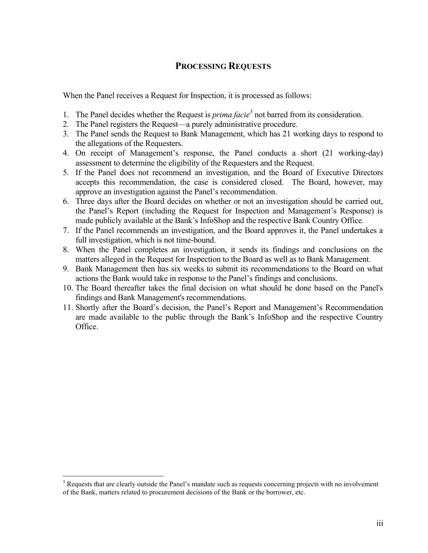# **PROCESSING REQUESTS**

When the Panel receives a Request for Inspection, it is processed as follows:

- 1. The Panel decides whether the Request is *prima facie3* not barred from its consideration.
- 2. The Panel registers the Request—a purely administrative procedure.
- 3. The Panel sends the Request to Bank Management, which has 21 working days to respond to the allegations of the Requesters.
- 4. On receipt of Management's response, the Panel conducts a short (21 working-day) assessment to determine the eligibility of the Requesters and the Request.
- 5. If the Panel does not recommend an investigation, and the Board of Executive Directors accepts this recommendation, the case is considered closed. The Board, however, may approve an investigation against the Panel's recommendation.
- 6. Three days after the Board decides on whether or not an investigation should be carried out, the Panel's Report (including the Request for Inspection and Management's Response) is made publicly available at the Bank's InfoShop and the respective Bank Country Office.
- 7. If the Panel recommends an investigation, and the Board approves it, the Panel undertakes a full investigation, which is not time-bound.
- 8. When the Panel completes an investigation, it sends its findings and conclusions on the matters alleged in the Request for Inspection to the Board as well as to Bank Management.
- 9. Bank Management then has six weeks to submit its recommendations to the Board on what actions the Bank would take in response to the Panel's findings and conclusions.
- 10. The Board thereafter takes the final decision on what should be done based on the Panel's findings and Bank Management's recommendations.
- 11. Shortly after the Board's decision, the Panel's Report and Management's Recommendation are made available to the public through the Bank's InfoShop and the respective Country Office.

 $\overline{a}$ 

<sup>&</sup>lt;sup>3</sup> Requests that are clearly outside the Panel's mandate such as requests concerning projects with no involvement of the Bank, matters related to procurement decisions of the Bank or the borrower, etc.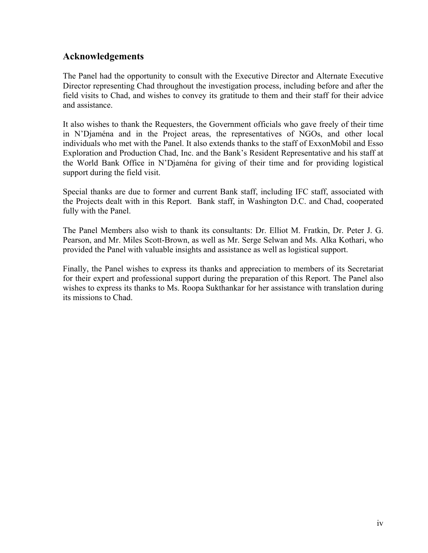# **Acknowledgements**

The Panel had the opportunity to consult with the Executive Director and Alternate Executive Director representing Chad throughout the investigation process, including before and after the field visits to Chad, and wishes to convey its gratitude to them and their staff for their advice and assistance.

It also wishes to thank the Requesters, the Government officials who gave freely of their time in N'Djaména and in the Project areas, the representatives of NGOs, and other local individuals who met with the Panel. It also extends thanks to the staff of ExxonMobil and Esso Exploration and Production Chad, Inc. and the Bank's Resident Representative and his staff at the World Bank Office in N'Djaména for giving of their time and for providing logistical support during the field visit.

Special thanks are due to former and current Bank staff, including IFC staff, associated with the Projects dealt with in this Report. Bank staff, in Washington D.C. and Chad, cooperated fully with the Panel.

The Panel Members also wish to thank its consultants: Dr. Elliot M. Fratkin, Dr. Peter J. G. Pearson, and Mr. Miles Scott-Brown, as well as Mr. Serge Selwan and Ms. Alka Kothari, who provided the Panel with valuable insights and assistance as well as logistical support.

Finally, the Panel wishes to express its thanks and appreciation to members of its Secretariat for their expert and professional support during the preparation of this Report. The Panel also wishes to express its thanks to Ms. Roopa Sukthankar for her assistance with translation during its missions to Chad.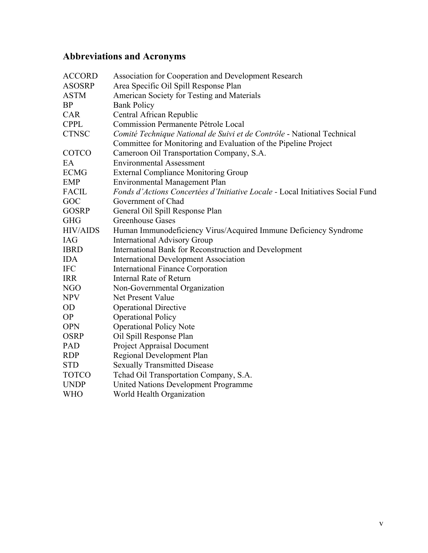# **Abbreviations and Acronyms**

| <b>ACCORD</b>                                                   | Association for Cooperation and Development Research                           |  |  |  |
|-----------------------------------------------------------------|--------------------------------------------------------------------------------|--|--|--|
| <b>ASOSRP</b>                                                   | Area Specific Oil Spill Response Plan                                          |  |  |  |
| <b>ASTM</b>                                                     | American Society for Testing and Materials                                     |  |  |  |
| <b>BP</b>                                                       | <b>Bank Policy</b>                                                             |  |  |  |
| CAR                                                             | Central African Republic                                                       |  |  |  |
| <b>CPPL</b>                                                     | Commission Permanente Pétrole Local                                            |  |  |  |
| <b>CTNSC</b>                                                    | Comité Technique National de Suivi et de Contrôle - National Technical         |  |  |  |
| Committee for Monitoring and Evaluation of the Pipeline Project |                                                                                |  |  |  |
| COTCO                                                           | Cameroon Oil Transportation Company, S.A.                                      |  |  |  |
| EA                                                              | <b>Environmental Assessment</b>                                                |  |  |  |
| <b>ECMG</b>                                                     | <b>External Compliance Monitoring Group</b>                                    |  |  |  |
| <b>EMP</b>                                                      | Environmental Management Plan                                                  |  |  |  |
| <b>FACIL</b>                                                    | Fonds d'Actions Concertées d'Initiative Locale - Local Initiatives Social Fund |  |  |  |
| GOC                                                             | Government of Chad                                                             |  |  |  |
| <b>GOSRP</b>                                                    | General Oil Spill Response Plan                                                |  |  |  |
| <b>GHG</b>                                                      | Greenhouse Gases                                                               |  |  |  |
| <b>HIV/AIDS</b>                                                 | Human Immunodeficiency Virus/Acquired Immune Deficiency Syndrome               |  |  |  |
| <b>IAG</b>                                                      | <b>International Advisory Group</b>                                            |  |  |  |
| <b>IBRD</b>                                                     | International Bank for Reconstruction and Development                          |  |  |  |
| <b>IDA</b>                                                      | <b>International Development Association</b>                                   |  |  |  |
| <b>IFC</b>                                                      | <b>International Finance Corporation</b>                                       |  |  |  |
| <b>IRR</b>                                                      | Internal Rate of Return                                                        |  |  |  |
| NGO                                                             | Non-Governmental Organization                                                  |  |  |  |
| <b>NPV</b>                                                      | Net Present Value                                                              |  |  |  |
| OD                                                              | <b>Operational Directive</b>                                                   |  |  |  |
| <b>OP</b>                                                       | <b>Operational Policy</b>                                                      |  |  |  |
| <b>OPN</b>                                                      | <b>Operational Policy Note</b>                                                 |  |  |  |
| <b>OSRP</b>                                                     | Oil Spill Response Plan                                                        |  |  |  |
| PAD                                                             | <b>Project Appraisal Document</b>                                              |  |  |  |
| <b>RDP</b>                                                      | Regional Development Plan                                                      |  |  |  |
| <b>STD</b>                                                      | <b>Sexually Transmitted Disease</b>                                            |  |  |  |
| <b>TOTCO</b>                                                    | Tchad Oil Transportation Company, S.A.                                         |  |  |  |
| <b>UNDP</b>                                                     | <b>United Nations Development Programme</b>                                    |  |  |  |
| <b>WHO</b>                                                      | World Health Organization                                                      |  |  |  |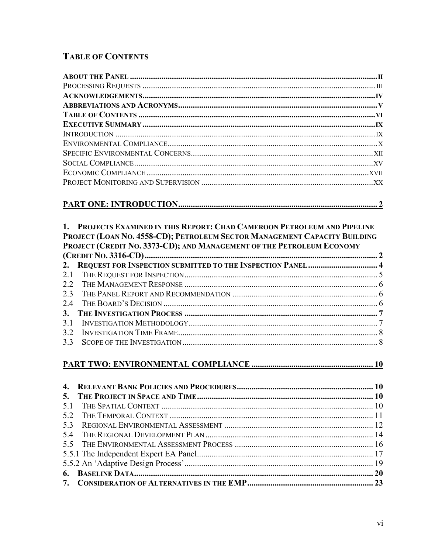# **TABLE OF CONTENTS**

## 

|    | 1. PROJECTS EXAMINED IN THIS REPORT: CHAD CAMEROON PETROLEUM AND PIPELINE |  |
|----|---------------------------------------------------------------------------|--|
|    | PROJECT (LOAN NO. 4558-CD); PETROLEUM SECTOR MANAGEMENT CAPACITY BUILDING |  |
|    | PROJECT (CREDIT NO. 3373-CD); AND MANAGEMENT OF THE PETROLEUM ECONOMY     |  |
|    |                                                                           |  |
|    |                                                                           |  |
|    |                                                                           |  |
|    |                                                                           |  |
|    |                                                                           |  |
|    |                                                                           |  |
|    |                                                                           |  |
| 31 |                                                                           |  |
|    |                                                                           |  |
|    |                                                                           |  |

# 

| 51 |  |
|----|--|
|    |  |
|    |  |
|    |  |
|    |  |
|    |  |
|    |  |
|    |  |
|    |  |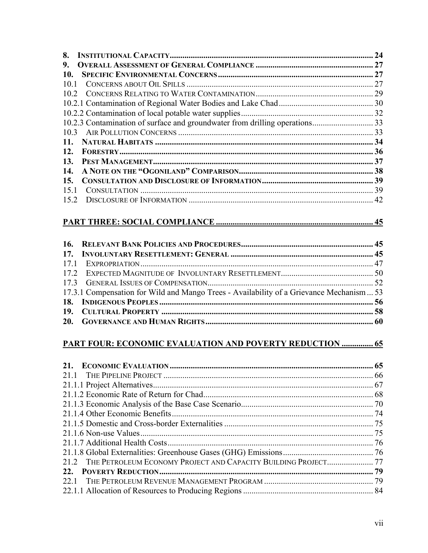| 9 <sub>1</sub> |                                                                                          |  |
|----------------|------------------------------------------------------------------------------------------|--|
| 10.            |                                                                                          |  |
| 10.1           |                                                                                          |  |
| 10.2           |                                                                                          |  |
|                |                                                                                          |  |
|                |                                                                                          |  |
|                |                                                                                          |  |
|                |                                                                                          |  |
| 11.            |                                                                                          |  |
| 12.            |                                                                                          |  |
| 13.            |                                                                                          |  |
| 14.            |                                                                                          |  |
| 15.            |                                                                                          |  |
| 15.1           |                                                                                          |  |
| 15.2           |                                                                                          |  |
|                |                                                                                          |  |
|                |                                                                                          |  |
|                |                                                                                          |  |
| 16.            |                                                                                          |  |
| 17.            |                                                                                          |  |
| 17.1           |                                                                                          |  |
| 17.2           |                                                                                          |  |
| 17.3           |                                                                                          |  |
|                | 17.3.1 Compensation for Wild and Mango Trees - Availability of a Grievance Mechanism  53 |  |
| 18.            |                                                                                          |  |
| 19.            |                                                                                          |  |
| 20.            |                                                                                          |  |
|                |                                                                                          |  |
|                | <b>PART FOUR: ECONOMIC EVALUATION AND POVERTY REDUCTION  65</b>                          |  |
|                |                                                                                          |  |
|                |                                                                                          |  |
|                |                                                                                          |  |
| 21.1           |                                                                                          |  |
|                |                                                                                          |  |
|                |                                                                                          |  |
|                |                                                                                          |  |
|                |                                                                                          |  |
|                |                                                                                          |  |
|                |                                                                                          |  |
|                |                                                                                          |  |
|                |                                                                                          |  |
| 21.2           | THE PETROLEUM ECONOMY PROJECT AND CAPACITY BUILDING PROJECT 77                           |  |
| 22.            |                                                                                          |  |
| 22.1           |                                                                                          |  |
|                |                                                                                          |  |

**8. INSTITUTIONAL CAPACITY................................................................................................. 24**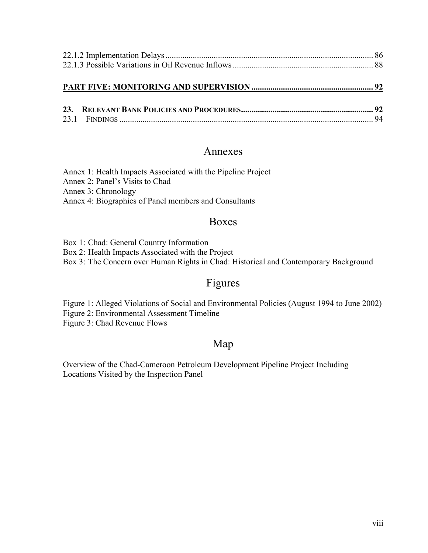# Annexes

| Annex 1: Health Impacts Associated with the Pipeline Project |
|--------------------------------------------------------------|
| Annex 2: Panel's Visits to Chad                              |
| Annex 3: Chronology                                          |
| Annex 4: Biographies of Panel members and Consultants        |
|                                                              |

# Boxes

Box 1: Chad: General Country Information

Box 2: Health Impacts Associated with the Project

Box 3: The Concern over Human Rights in Chad: Historical and Contemporary Background

# Figures

Figure 1: Alleged Violations of Social and Environmental Policies (August 1994 to June 2002) Figure 2: Environmental Assessment Timeline

Figure 3: Chad Revenue Flows

# Map

Overview of the Chad-Cameroon Petroleum Development Pipeline Project Including Locations Visited by the Inspection Panel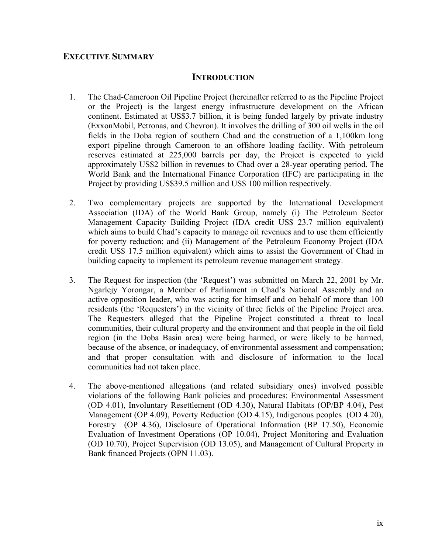### **EXECUTIVE SUMMARY**

#### **INTRODUCTION**

- 1. The Chad-Cameroon Oil Pipeline Project (hereinafter referred to as the Pipeline Project or the Project) is the largest energy infrastructure development on the African continent. Estimated at US\$3.7 billion, it is being funded largely by private industry (ExxonMobil, Petronas, and Chevron). It involves the drilling of 300 oil wells in the oil fields in the Doba region of southern Chad and the construction of a 1,100km long export pipeline through Cameroon to an offshore loading facility. With petroleum reserves estimated at 225,000 barrels per day, the Project is expected to yield approximately US\$2 billion in revenues to Chad over a 28-year operating period. The World Bank and the International Finance Corporation (IFC) are participating in the Project by providing US\$39.5 million and US\$ 100 million respectively.
- 2. Two complementary projects are supported by the International Development Association (IDA) of the World Bank Group, namely (i) The Petroleum Sector Management Capacity Building Project (IDA credit US\$ 23.7 million equivalent) which aims to build Chad's capacity to manage oil revenues and to use them efficiently for poverty reduction; and (ii) Management of the Petroleum Economy Project (IDA credit US\$ 17.5 million equivalent) which aims to assist the Government of Chad in building capacity to implement its petroleum revenue management strategy.
- 3. The Request for inspection (the 'Request') was submitted on March 22, 2001 by Mr. Ngarlejy Yorongar, a Member of Parliament in Chad's National Assembly and an active opposition leader, who was acting for himself and on behalf of more than 100 residents (the 'Requesters') in the vicinity of three fields of the Pipeline Project area. The Requesters alleged that the Pipeline Project constituted a threat to local communities, their cultural property and the environment and that people in the oil field region (in the Doba Basin area) were being harmed, or were likely to be harmed, because of the absence, or inadequacy, of environmental assessment and compensation; and that proper consultation with and disclosure of information to the local communities had not taken place.
- 4. The above-mentioned allegations (and related subsidiary ones) involved possible violations of the following Bank policies and procedures: Environmental Assessment (OD 4.01), Involuntary Resettlement (OD 4.30), Natural Habitats (OP/BP 4.04), Pest Management (OP 4.09), Poverty Reduction (OD 4.15), Indigenous peoples (OD 4.20), Forestry (OP 4.36), Disclosure of Operational Information (BP 17.50), Economic Evaluation of Investment Operations (OP 10.04), Project Monitoring and Evaluation (OD 10.70), Project Supervision (OD 13.05), and Management of Cultural Property in Bank financed Projects (OPN 11.03).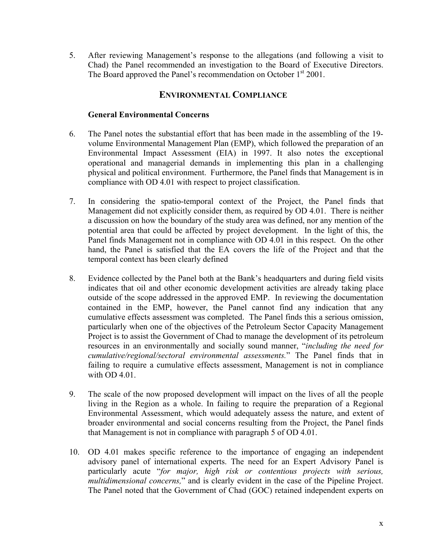5. After reviewing Management's response to the allegations (and following a visit to Chad) the Panel recommended an investigation to the Board of Executive Directors. The Board approved the Panel's recommendation on October 1<sup>st</sup> 2001.

#### **ENVIRONMENTAL COMPLIANCE**

#### **General Environmental Concerns**

- 6. The Panel notes the substantial effort that has been made in the assembling of the 19 volume Environmental Management Plan (EMP), which followed the preparation of an Environmental Impact Assessment (EIA) in 1997. It also notes the exceptional operational and managerial demands in implementing this plan in a challenging physical and political environment. Furthermore, the Panel finds that Management is in compliance with OD 4.01 with respect to project classification.
- 7. In considering the spatio-temporal context of the Project, the Panel finds that Management did not explicitly consider them, as required by OD 4.01. There is neither a discussion on how the boundary of the study area was defined, nor any mention of the potential area that could be affected by project development. In the light of this, the Panel finds Management not in compliance with OD 4.01 in this respect. On the other hand, the Panel is satisfied that the EA covers the life of the Project and that the temporal context has been clearly defined
- 8. Evidence collected by the Panel both at the Bank's headquarters and during field visits indicates that oil and other economic development activities are already taking place outside of the scope addressed in the approved EMP. In reviewing the documentation contained in the EMP, however, the Panel cannot find any indication that any cumulative effects assessment was completed. The Panel finds this a serious omission, particularly when one of the objectives of the Petroleum Sector Capacity Management Project is to assist the Government of Chad to manage the development of its petroleum resources in an environmentally and socially sound manner, "*including the need for cumulative/regional/sectoral environmental assessments.*" The Panel finds that in failing to require a cumulative effects assessment, Management is not in compliance with OD 4.01.
- 9. The scale of the now proposed development will impact on the lives of all the people living in the Region as a whole. In failing to require the preparation of a Regional Environmental Assessment, which would adequately assess the nature, and extent of broader environmental and social concerns resulting from the Project, the Panel finds that Management is not in compliance with paragraph 5 of OD 4.01.
- 10. OD 4.01 makes specific reference to the importance of engaging an independent advisory panel of international experts. The need for an Expert Advisory Panel is particularly acute "*for major, high risk or contentious projects with serious, multidimensional concerns,*" and is clearly evident in the case of the Pipeline Project. The Panel noted that the Government of Chad (GOC) retained independent experts on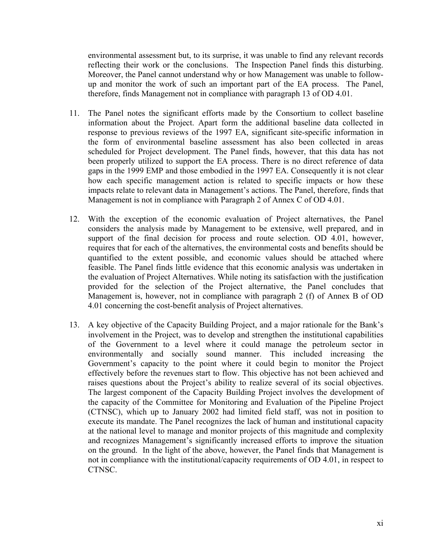environmental assessment but, to its surprise, it was unable to find any relevant records reflecting their work or the conclusions. The Inspection Panel finds this disturbing. Moreover, the Panel cannot understand why or how Management was unable to followup and monitor the work of such an important part of the EA process. The Panel, therefore, finds Management not in compliance with paragraph 13 of OD 4.01.

- 11. The Panel notes the significant efforts made by the Consortium to collect baseline information about the Project. Apart form the additional baseline data collected in response to previous reviews of the 1997 EA, significant site-specific information in the form of environmental baseline assessment has also been collected in areas scheduled for Project development. The Panel finds, however, that this data has not been properly utilized to support the EA process. There is no direct reference of data gaps in the 1999 EMP and those embodied in the 1997 EA. Consequently it is not clear how each specific management action is related to specific impacts or how these impacts relate to relevant data in Management's actions. The Panel, therefore, finds that Management is not in compliance with Paragraph 2 of Annex C of OD 4.01.
- 12. With the exception of the economic evaluation of Project alternatives, the Panel considers the analysis made by Management to be extensive, well prepared, and in support of the final decision for process and route selection. OD 4.01, however, requires that for each of the alternatives, the environmental costs and benefits should be quantified to the extent possible, and economic values should be attached where feasible. The Panel finds little evidence that this economic analysis was undertaken in the evaluation of Project Alternatives. While noting its satisfaction with the justification provided for the selection of the Project alternative, the Panel concludes that Management is, however, not in compliance with paragraph 2 (f) of Annex B of OD 4.01 concerning the cost-benefit analysis of Project alternatives.
- 13. A key objective of the Capacity Building Project, and a major rationale for the Bank's involvement in the Project, was to develop and strengthen the institutional capabilities of the Government to a level where it could manage the petroleum sector in environmentally and socially sound manner. This included increasing the Government's capacity to the point where it could begin to monitor the Project effectively before the revenues start to flow. This objective has not been achieved and raises questions about the Project's ability to realize several of its social objectives. The largest component of the Capacity Building Project involves the development of the capacity of the Committee for Monitoring and Evaluation of the Pipeline Project (CTNSC), which up to January 2002 had limited field staff, was not in position to execute its mandate. The Panel recognizes the lack of human and institutional capacity at the national level to manage and monitor projects of this magnitude and complexity and recognizes Management's significantly increased efforts to improve the situation on the ground. In the light of the above, however, the Panel finds that Management is not in compliance with the institutional/capacity requirements of OD 4.01, in respect to CTNSC.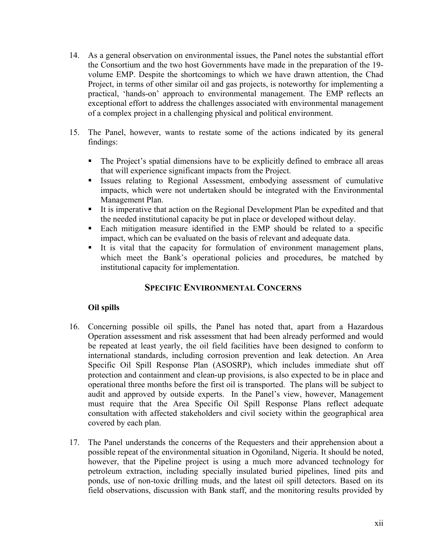- 14. As a general observation on environmental issues, the Panel notes the substantial effort the Consortium and the two host Governments have made in the preparation of the 19 volume EMP. Despite the shortcomings to which we have drawn attention, the Chad Project, in terms of other similar oil and gas projects, is noteworthy for implementing a practical, 'hands-on' approach to environmental management. The EMP reflects an exceptional effort to address the challenges associated with environmental management of a complex project in a challenging physical and political environment.
- 15. The Panel, however, wants to restate some of the actions indicated by its general findings:
	- The Project's spatial dimensions have to be explicitly defined to embrace all areas that will experience significant impacts from the Project.
	- Issues relating to Regional Assessment, embodying assessment of cumulative impacts, which were not undertaken should be integrated with the Environmental Management Plan.
	- It is imperative that action on the Regional Development Plan be expedited and that the needed institutional capacity be put in place or developed without delay.
	- Each mitigation measure identified in the EMP should be related to a specific impact, which can be evaluated on the basis of relevant and adequate data.
	- It is vital that the capacity for formulation of environment management plans, which meet the Bank's operational policies and procedures, be matched by institutional capacity for implementation.

# **SPECIFIC ENVIRONMENTAL CONCERNS**

## **Oil spills**

- 16. Concerning possible oil spills, the Panel has noted that, apart from a Hazardous Operation assessment and risk assessment that had been already performed and would be repeated at least yearly, the oil field facilities have been designed to conform to international standards, including corrosion prevention and leak detection. An Area Specific Oil Spill Response Plan (ASOSRP), which includes immediate shut off protection and containment and clean-up provisions, is also expected to be in place and operational three months before the first oil is transported. The plans will be subject to audit and approved by outside experts. In the Panel's view, however, Management must require that the Area Specific Oil Spill Response Plans reflect adequate consultation with affected stakeholders and civil society within the geographical area covered by each plan.
- 17. The Panel understands the concerns of the Requesters and their apprehension about a possible repeat of the environmental situation in Ogoniland, Nigeria. It should be noted, however, that the Pipeline project is using a much more advanced technology for petroleum extraction, including specially insulated buried pipelines, lined pits and ponds, use of non-toxic drilling muds, and the latest oil spill detectors. Based on its field observations, discussion with Bank staff, and the monitoring results provided by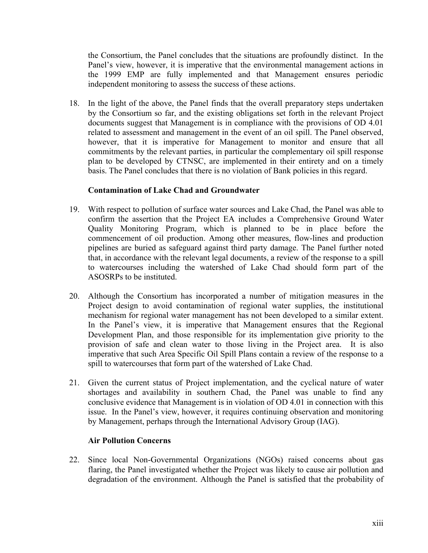the Consortium, the Panel concludes that the situations are profoundly distinct. In the Panel's view, however, it is imperative that the environmental management actions in the 1999 EMP are fully implemented and that Management ensures periodic independent monitoring to assess the success of these actions.

18. In the light of the above, the Panel finds that the overall preparatory steps undertaken by the Consortium so far, and the existing obligations set forth in the relevant Project documents suggest that Management is in compliance with the provisions of OD 4.01 related to assessment and management in the event of an oil spill. The Panel observed, however, that it is imperative for Management to monitor and ensure that all commitments by the relevant parties, in particular the complementary oil spill response plan to be developed by CTNSC, are implemented in their entirety and on a timely basis. The Panel concludes that there is no violation of Bank policies in this regard.

#### **Contamination of Lake Chad and Groundwater**

- 19. With respect to pollution of surface water sources and Lake Chad, the Panel was able to confirm the assertion that the Project EA includes a Comprehensive Ground Water Quality Monitoring Program, which is planned to be in place before the commencement of oil production. Among other measures, flow-lines and production pipelines are buried as safeguard against third party damage. The Panel further noted that, in accordance with the relevant legal documents, a review of the response to a spill to watercourses including the watershed of Lake Chad should form part of the ASOSRPs to be instituted.
- 20. Although the Consortium has incorporated a number of mitigation measures in the Project design to avoid contamination of regional water supplies, the institutional mechanism for regional water management has not been developed to a similar extent. In the Panel's view, it is imperative that Management ensures that the Regional Development Plan, and those responsible for its implementation give priority to the provision of safe and clean water to those living in the Project area. It is also imperative that such Area Specific Oil Spill Plans contain a review of the response to a spill to watercourses that form part of the watershed of Lake Chad.
- 21. Given the current status of Project implementation, and the cyclical nature of water shortages and availability in southern Chad, the Panel was unable to find any conclusive evidence that Management is in violation of OD 4.01 in connection with this issue. In the Panel's view, however, it requires continuing observation and monitoring by Management, perhaps through the International Advisory Group (IAG).

#### **Air Pollution Concerns**

22. Since local Non-Governmental Organizations (NGOs) raised concerns about gas flaring, the Panel investigated whether the Project was likely to cause air pollution and degradation of the environment. Although the Panel is satisfied that the probability of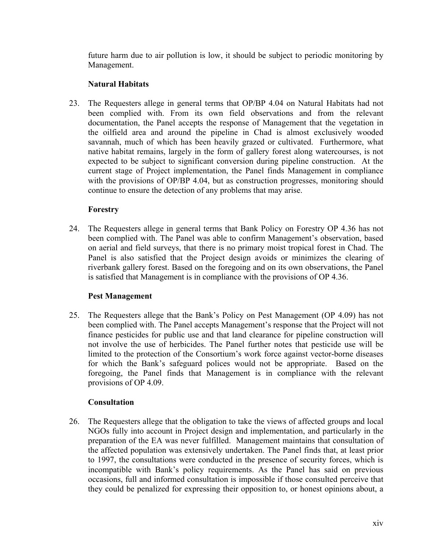future harm due to air pollution is low, it should be subject to periodic monitoring by Management.

#### **Natural Habitats**

23. The Requesters allege in general terms that OP/BP 4.04 on Natural Habitats had not been complied with. From its own field observations and from the relevant documentation, the Panel accepts the response of Management that the vegetation in the oilfield area and around the pipeline in Chad is almost exclusively wooded savannah, much of which has been heavily grazed or cultivated. Furthermore, what native habitat remains, largely in the form of gallery forest along watercourses, is not expected to be subject to significant conversion during pipeline construction. At the current stage of Project implementation, the Panel finds Management in compliance with the provisions of OP/BP 4.04, but as construction progresses, monitoring should continue to ensure the detection of any problems that may arise.

#### **Forestry**

24. The Requesters allege in general terms that Bank Policy on Forestry OP 4.36 has not been complied with. The Panel was able to confirm Management's observation, based on aerial and field surveys, that there is no primary moist tropical forest in Chad. The Panel is also satisfied that the Project design avoids or minimizes the clearing of riverbank gallery forest. Based on the foregoing and on its own observations, the Panel is satisfied that Management is in compliance with the provisions of OP 4.36.

## **Pest Management**

25. The Requesters allege that the Bank's Policy on Pest Management (OP 4.09) has not been complied with. The Panel accepts Management's response that the Project will not finance pesticides for public use and that land clearance for pipeline construction will not involve the use of herbicides. The Panel further notes that pesticide use will be limited to the protection of the Consortium's work force against vector-borne diseases for which the Bank's safeguard polices would not be appropriate. Based on the foregoing, the Panel finds that Management is in compliance with the relevant provisions of OP 4.09.

## **Consultation**

26. The Requesters allege that the obligation to take the views of affected groups and local NGOs fully into account in Project design and implementation, and particularly in the preparation of the EA was never fulfilled. Management maintains that consultation of the affected population was extensively undertaken. The Panel finds that, at least prior to 1997, the consultations were conducted in the presence of security forces, which is incompatible with Bank's policy requirements. As the Panel has said on previous occasions, full and informed consultation is impossible if those consulted perceive that they could be penalized for expressing their opposition to, or honest opinions about, a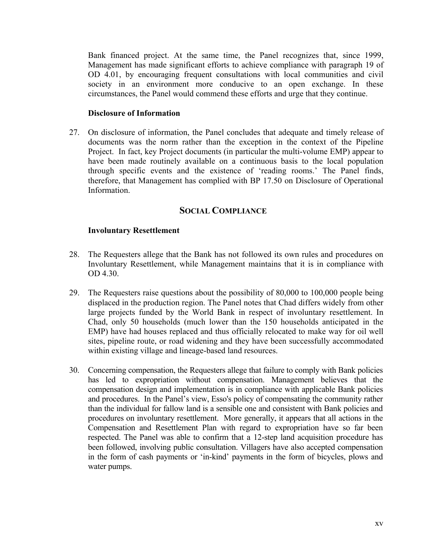Bank financed project. At the same time, the Panel recognizes that, since 1999, Management has made significant efforts to achieve compliance with paragraph 19 of OD 4.01, by encouraging frequent consultations with local communities and civil society in an environment more conducive to an open exchange. In these circumstances, the Panel would commend these efforts and urge that they continue.

#### **Disclosure of Information**

27. On disclosure of information, the Panel concludes that adequate and timely release of documents was the norm rather than the exception in the context of the Pipeline Project. In fact, key Project documents (in particular the multi-volume EMP) appear to have been made routinely available on a continuous basis to the local population through specific events and the existence of 'reading rooms.' The Panel finds, therefore, that Management has complied with BP 17.50 on Disclosure of Operational Information.

#### **SOCIAL COMPLIANCE**

#### **Involuntary Resettlement**

- 28. The Requesters allege that the Bank has not followed its own rules and procedures on Involuntary Resettlement, while Management maintains that it is in compliance with OD 4.30.
- 29. The Requesters raise questions about the possibility of 80,000 to 100,000 people being displaced in the production region. The Panel notes that Chad differs widely from other large projects funded by the World Bank in respect of involuntary resettlement. In Chad, only 50 households (much lower than the 150 households anticipated in the EMP) have had houses replaced and thus officially relocated to make way for oil well sites, pipeline route, or road widening and they have been successfully accommodated within existing village and lineage-based land resources.
- 30. Concerning compensation, the Requesters allege that failure to comply with Bank policies has led to expropriation without compensation. Management believes that the compensation design and implementation is in compliance with applicable Bank policies and procedures. In the Panel's view, Esso's policy of compensating the community rather than the individual for fallow land is a sensible one and consistent with Bank policies and procedures on involuntary resettlement. More generally, it appears that all actions in the Compensation and Resettlement Plan with regard to expropriation have so far been respected. The Panel was able to confirm that a 12-step land acquisition procedure has been followed, involving public consultation. Villagers have also accepted compensation in the form of cash payments or 'in-kind' payments in the form of bicycles, plows and water pumps.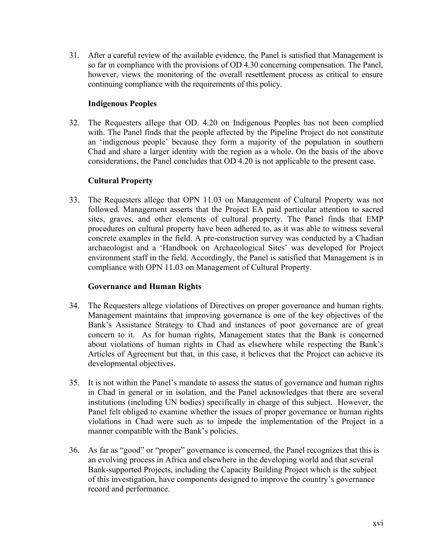31. After a careful review of the available evidence, the Panel is satisfied that Management is so far in compliance with the provisions of OD 4.30 concerning compensation. The Panel, however, views the monitoring of the overall resettlement process as critical to ensure continuing compliance with the requirements of this policy.

#### **Indigenous Peoples**

32. The Requesters allege that OD. 4.20 on Indigenous Peoples has not been complied with. The Panel finds that the people affected by the Pipeline Project do not constitute an 'indigenous people' because they form a majority of the population in southern Chad and share a larger identity with the region as a whole. On the basis of the above considerations, the Panel concludes that OD 4.20 is not applicable to the present case.

#### **Cultural Property**

33. The Requesters allege that OPN 11.03 on Management of Cultural Property was not followed. Management asserts that the Project EA paid particular attention to sacred sites, graves, and other elements of cultural property. The Panel finds that EMP procedures on cultural property have been adhered to, as it was able to witness several concrete examples in the field. A pre-construction survey was conducted by a Chadian archaeologist and a 'Handbook on Archaeological Sites' was developed for Project environment staff in the field. Accordingly, the Panel is satisfied that Management is in compliance with OPN 11.03 on Management of Cultural Property.

## **Governance and Human Rights**

- 34. The Requesters allege violations of Directives on proper governance and human rights. Management maintains that improving governance is one of the key objectives of the Bank's Assistance Strategy to Chad and instances of poor governance are of great concern to it. As for human rights, Management states that the Bank is concerned about violations of human rights in Chad as elsewhere while respecting the Bank's Articles of Agreement but that, in this case, it believes that the Project can achieve its developmental objectives.
- 35. It is not within the Panel's mandate to assess the status of governance and human rights in Chad in general or in isolation, and the Panel acknowledges that there are several institutions (including UN bodies) specifically in charge of this subject. However, the Panel felt obliged to examine whether the issues of proper governance or human rights violations in Chad were such as to impede the implementation of the Project in a manner compatible with the Bank's policies.
- 36. As far as "good" or "proper" governance is concerned, the Panel recognizes that this is an evolving process in Africa and elsewhere in the developing world and that several Bank-supported Projects, including the Capacity Building Project which is the subject of this investigation, have components designed to improve the country's governance record and performance.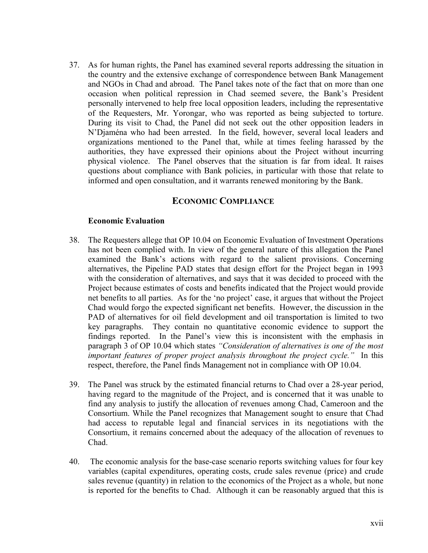37. As for human rights, the Panel has examined several reports addressing the situation in the country and the extensive exchange of correspondence between Bank Management and NGOs in Chad and abroad. The Panel takes note of the fact that on more than one occasion when political repression in Chad seemed severe, the Bank's President personally intervened to help free local opposition leaders, including the representative of the Requesters, Mr. Yorongar, who was reported as being subjected to torture. During its visit to Chad, the Panel did not seek out the other opposition leaders in N'Djaména who had been arrested. In the field, however, several local leaders and organizations mentioned to the Panel that, while at times feeling harassed by the authorities, they have expressed their opinions about the Project without incurring physical violence. The Panel observes that the situation is far from ideal. It raises questions about compliance with Bank policies, in particular with those that relate to informed and open consultation, and it warrants renewed monitoring by the Bank.

#### **ECONOMIC COMPLIANCE**

#### **Economic Evaluation**

- 38. The Requesters allege that OP 10.04 on Economic Evaluation of Investment Operations has not been complied with. In view of the general nature of this allegation the Panel examined the Bank's actions with regard to the salient provisions. Concerning alternatives, the Pipeline PAD states that design effort for the Project began in 1993 with the consideration of alternatives, and says that it was decided to proceed with the Project because estimates of costs and benefits indicated that the Project would provide net benefits to all parties. As for the 'no project' case, it argues that without the Project Chad would forgo the expected significant net benefits. However, the discussion in the PAD of alternatives for oil field development and oil transportation is limited to two key paragraphs. They contain no quantitative economic evidence to support the findings reported. In the Panel's view this is inconsistent with the emphasis in paragraph 3 of OP 10.04 which states *"Consideration of alternatives is one of the most important features of proper project analysis throughout the project cycle."* In this respect, therefore, the Panel finds Management not in compliance with OP 10.04.
- 39. The Panel was struck by the estimated financial returns to Chad over a 28-year period, having regard to the magnitude of the Project, and is concerned that it was unable to find any analysis to justify the allocation of revenues among Chad, Cameroon and the Consortium. While the Panel recognizes that Management sought to ensure that Chad had access to reputable legal and financial services in its negotiations with the Consortium, it remains concerned about the adequacy of the allocation of revenues to Chad.
- 40. The economic analysis for the base-case scenario reports switching values for four key variables (capital expenditures, operating costs, crude sales revenue (price) and crude sales revenue (quantity) in relation to the economics of the Project as a whole, but none is reported for the benefits to Chad. Although it can be reasonably argued that this is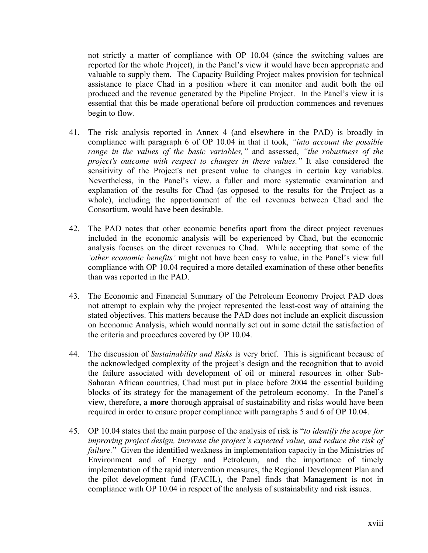not strictly a matter of compliance with OP 10.04 (since the switching values are reported for the whole Project), in the Panel's view it would have been appropriate and valuable to supply them. The Capacity Building Project makes provision for technical assistance to place Chad in a position where it can monitor and audit both the oil produced and the revenue generated by the Pipeline Project. In the Panel's view it is essential that this be made operational before oil production commences and revenues begin to flow.

- 41. The risk analysis reported in Annex 4 (and elsewhere in the PAD) is broadly in compliance with paragraph 6 of OP 10.04 in that it took, *"into account the possible range in the values of the basic variables,"* and assessed, *"the robustness of the project's outcome with respect to changes in these values."* It also considered the sensitivity of the Project's net present value to changes in certain key variables. Nevertheless, in the Panel's view, a fuller and more systematic examination and explanation of the results for Chad (as opposed to the results for the Project as a whole), including the apportionment of the oil revenues between Chad and the Consortium, would have been desirable.
- 42. The PAD notes that other economic benefits apart from the direct project revenues included in the economic analysis will be experienced by Chad, but the economic analysis focuses on the direct revenues to Chad. While accepting that some of the *'other economic benefits'* might not have been easy to value, in the Panel's view full compliance with OP 10.04 required a more detailed examination of these other benefits than was reported in the PAD.
- 43. The Economic and Financial Summary of the Petroleum Economy Project PAD does not attempt to explain why the project represented the least-cost way of attaining the stated objectives. This matters because the PAD does not include an explicit discussion on Economic Analysis, which would normally set out in some detail the satisfaction of the criteria and procedures covered by OP 10.04.
- 44. The discussion of *Sustainability and Risks* is very brief. This is significant because of the acknowledged complexity of the project's design and the recognition that to avoid the failure associated with development of oil or mineral resources in other Sub-Saharan African countries, Chad must put in place before 2004 the essential building blocks of its strategy for the management of the petroleum economy. In the Panel's view, therefore, a **more** thorough appraisal of sustainability and risks would have been required in order to ensure proper compliance with paragraphs 5 and 6 of OP 10.04.
- 45. OP 10.04 states that the main purpose of the analysis of risk is "*to identify the scope for improving project design, increase the project's expected value, and reduce the risk of failure.*" Given the identified weakness in implementation capacity in the Ministries of Environment and of Energy and Petroleum, and the importance of timely implementation of the rapid intervention measures, the Regional Development Plan and the pilot development fund (FACIL), the Panel finds that Management is not in compliance with OP 10.04 in respect of the analysis of sustainability and risk issues.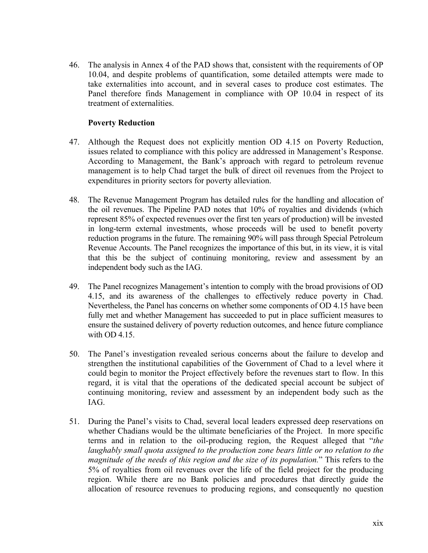46. The analysis in Annex 4 of the PAD shows that, consistent with the requirements of OP 10.04, and despite problems of quantification, some detailed attempts were made to take externalities into account, and in several cases to produce cost estimates. The Panel therefore finds Management in compliance with OP 10.04 in respect of its treatment of externalities.

#### **Poverty Reduction**

- 47. Although the Request does not explicitly mention OD 4.15 on Poverty Reduction, issues related to compliance with this policy are addressed in Management's Response. According to Management, the Bank's approach with regard to petroleum revenue management is to help Chad target the bulk of direct oil revenues from the Project to expenditures in priority sectors for poverty alleviation.
- 48. The Revenue Management Program has detailed rules for the handling and allocation of the oil revenues. The Pipeline PAD notes that 10% of royalties and dividends (which represent 85% of expected revenues over the first ten years of production) will be invested in long-term external investments, whose proceeds will be used to benefit poverty reduction programs in the future. The remaining 90% will pass through Special Petroleum Revenue Accounts. The Panel recognizes the importance of this but, in its view, it is vital that this be the subject of continuing monitoring, review and assessment by an independent body such as the IAG.
- 49. The Panel recognizes Management's intention to comply with the broad provisions of OD 4.15, and its awareness of the challenges to effectively reduce poverty in Chad. Nevertheless, the Panel has concerns on whether some components of OD 4.15 have been fully met and whether Management has succeeded to put in place sufficient measures to ensure the sustained delivery of poverty reduction outcomes, and hence future compliance with OD 4.15.
- 50. The Panel's investigation revealed serious concerns about the failure to develop and strengthen the institutional capabilities of the Government of Chad to a level where it could begin to monitor the Project effectively before the revenues start to flow. In this regard, it is vital that the operations of the dedicated special account be subject of continuing monitoring, review and assessment by an independent body such as the IAG.
- 51. During the Panel's visits to Chad, several local leaders expressed deep reservations on whether Chadians would be the ultimate beneficiaries of the Project. In more specific terms and in relation to the oil-producing region, the Request alleged that "*the laughably small quota assigned to the production zone bears little or no relation to the magnitude of the needs of this region and the size of its population.*" This refers to the 5% of royalties from oil revenues over the life of the field project for the producing region. While there are no Bank policies and procedures that directly guide the allocation of resource revenues to producing regions, and consequently no question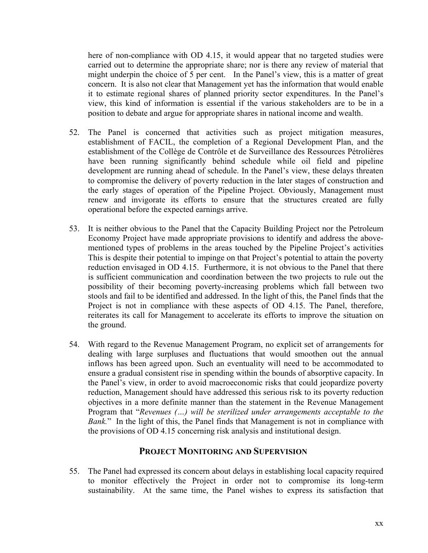here of non-compliance with OD 4.15, it would appear that no targeted studies were carried out to determine the appropriate share; nor is there any review of material that might underpin the choice of 5 per cent. In the Panel's view, this is a matter of great concern. It is also not clear that Management yet has the information that would enable it to estimate regional shares of planned priority sector expenditures. In the Panel's view, this kind of information is essential if the various stakeholders are to be in a position to debate and argue for appropriate shares in national income and wealth.

- 52. The Panel is concerned that activities such as project mitigation measures, establishment of FACIL, the completion of a Regional Development Plan, and the establishment of the Collège de Contrôle et de Surveillance des Ressources Pétrolières have been running significantly behind schedule while oil field and pipeline development are running ahead of schedule. In the Panel's view, these delays threaten to compromise the delivery of poverty reduction in the later stages of construction and the early stages of operation of the Pipeline Project. Obviously, Management must renew and invigorate its efforts to ensure that the structures created are fully operational before the expected earnings arrive.
- 53. It is neither obvious to the Panel that the Capacity Building Project nor the Petroleum Economy Project have made appropriate provisions to identify and address the abovementioned types of problems in the areas touched by the Pipeline Project's activities This is despite their potential to impinge on that Project's potential to attain the poverty reduction envisaged in OD 4.15. Furthermore, it is not obvious to the Panel that there is sufficient communication and coordination between the two projects to rule out the possibility of their becoming poverty-increasing problems which fall between two stools and fail to be identified and addressed. In the light of this, the Panel finds that the Project is not in compliance with these aspects of OD 4.15. The Panel, therefore, reiterates its call for Management to accelerate its efforts to improve the situation on the ground.
- 54. With regard to the Revenue Management Program, no explicit set of arrangements for dealing with large surpluses and fluctuations that would smoothen out the annual inflows has been agreed upon. Such an eventuality will need to be accommodated to ensure a gradual consistent rise in spending within the bounds of absorptive capacity. In the Panel's view, in order to avoid macroeconomic risks that could jeopardize poverty reduction, Management should have addressed this serious risk to its poverty reduction objectives in a more definite manner than the statement in the Revenue Management Program that "*Revenues (…) will be sterilized under arrangements acceptable to the Bank.*" In the light of this, the Panel finds that Management is not in compliance with the provisions of OD 4.15 concerning risk analysis and institutional design.

#### **PROJECT MONITORING AND SUPERVISION**

55. The Panel had expressed its concern about delays in establishing local capacity required to monitor effectively the Project in order not to compromise its long-term sustainability. At the same time, the Panel wishes to express its satisfaction that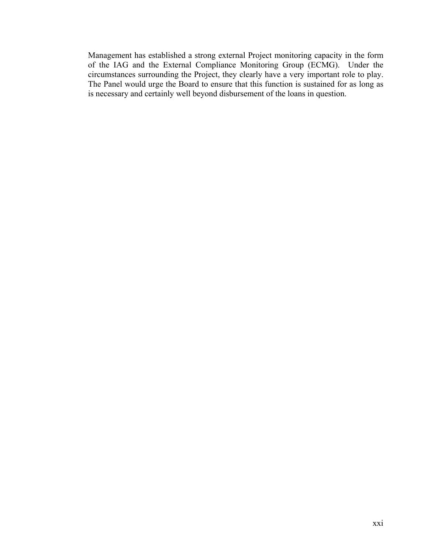Management has established a strong external Project monitoring capacity in the form of the IAG and the External Compliance Monitoring Group (ECMG). Under the circumstances surrounding the Project, they clearly have a very important role to play. The Panel would urge the Board to ensure that this function is sustained for as long as is necessary and certainly well beyond disbursement of the loans in question.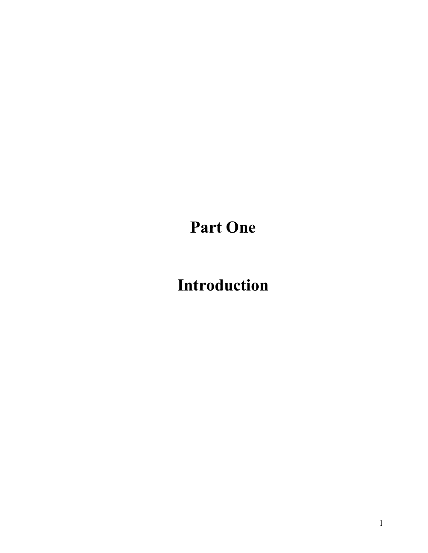**Part One** 

# **Introduction**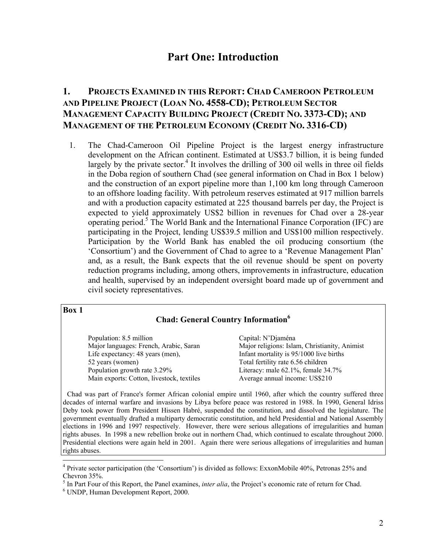# **Part One: Introduction**

# **1. PROJECTS EXAMINED IN THIS REPORT: CHAD CAMEROON PETROLEUM AND PIPELINE PROJECT (LOAN NO. 4558-CD); PETROLEUM SECTOR MANAGEMENT CAPACITY BUILDING PROJECT (CREDIT NO. 3373-CD); AND MANAGEMENT OF THE PETROLEUM ECONOMY (CREDIT NO. 3316-CD)**

1. The Chad-Cameroon Oil Pipeline Project is the largest energy infrastructure development on the African continent. Estimated at US\$3.7 billion, it is being funded largely by the private sector.<sup>4</sup> It involves the drilling of 300 oil wells in three oil fields in the Doba region of southern Chad (see general information on Chad in Box 1 below) and the construction of an export pipeline more than 1,100 km long through Cameroon to an offshore loading facility. With petroleum reserves estimated at 917 million barrels and with a production capacity estimated at 225 thousand barrels per day, the Project is expected to yield approximately US\$2 billion in revenues for Chad over a 28-year operating period.<sup>5</sup> The World Bank and the International Finance Corporation (IFC) are participating in the Project, lending US\$39.5 million and US\$100 million respectively. Participation by the World Bank has enabled the oil producing consortium (the 'Consortium') and the Government of Chad to agree to a 'Revenue Management Plan' and, as a result, the Bank expects that the oil revenue should be spent on poverty reduction programs including, among others, improvements in infrastructure, education and health, supervised by an independent oversight board made up of government and civil society representatives.

#### **Box 1**

#### **Chad: General Country Information6**

Population: 8.5 million Capital: N'Djaména<br>
Major languages: French, Arabic, Saran Major religions: Islan Life expectancy: 48 years (men), Infant mortality is 95/1000 live births 52 years (women) Total fertility rate 6.56 children Population growth rate 3.29% Literacy: male 62.1%, female 34.7% Main exports: Cotton, livestock, textiles Average annual income: US\$210

Major religions: Islam, Christianity, Animist

 Chad was part of France's former African colonial empire until 1960, after which the country suffered three decades of internal warfare and invasions by Libya before peace was restored in 1988. In 1990, General Idriss Deby took power from President Hissen Habré, suspended the constitution, and dissolved the legislature. The government eventually drafted a multiparty democratic constitution, and held Presidential and National Assembly elections in 1996 and 1997 respectively. However, there were serious allegations of irregularities and human rights abuses. In 1998 a new rebellion broke out in northern Chad, which continued to escalate throughout 2000. Presidential elections were again held in 2001. Again there were serious allegations of irregularities and human rights abuses.

<sup>&</sup>lt;sup>4</sup> Private sector participation (the 'Consortium') is divided as follows: ExxonMobile 40%, Petronas 25% and Chevron 35%.

<sup>&</sup>lt;sup>5</sup> In Part Four of this Report, the Panel examines, *inter alia*, the Project's economic rate of return for Chad.  $6 \text{ TMDD}$  Hymn Davelopment Benert, 2000.

UNDP, Human Development Report, 2000.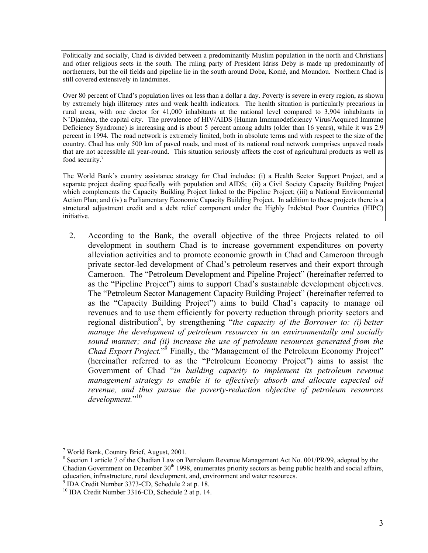Politically and socially, Chad is divided between a predominantly Muslim population in the north and Christians and other religious sects in the south. The ruling party of President Idriss Deby is made up predominantly of northerners, but the oil fields and pipeline lie in the south around Doba, Komé, and Moundou. Northern Chad is still covered extensively in landmines.

Over 80 percent of Chad's population lives on less than a dollar a day. Poverty is severe in every region, as shown by extremely high illiteracy rates and weak health indicators. The health situation is particularly precarious in rural areas, with one doctor for 41,000 inhabitants at the national level compared to 3,904 inhabitants in N'Djaména, the capital city. The prevalence of HIV/AIDS (Human Immunodeficiency Virus/Acquired Immune Deficiency Syndrome) is increasing and is about 5 percent among adults (older than 16 years), while it was 2.9 percent in 1994. The road network is extremely limited, both in absolute terms and with respect to the size of the country. Chad has only 500 km of paved roads, and most of its national road network comprises unpaved roads that are not accessible all year-round. This situation seriously affects the cost of agricultural products as well as food security.<sup>7</sup>

The World Bank's country assistance strategy for Chad includes: (i) a Health Sector Support Project, and a separate project dealing specifically with population and AIDS; (ii) a Civil Society Capacity Building Project which complements the Capacity Building Project linked to the Pipeline Project; (iii) a National Environmental Action Plan; and (iv) a Parliamentary Economic Capacity Building Project. In addition to these projects there is a structural adjustment credit and a debt relief component under the Highly Indebted Poor Countries (HIPC) initiative.

2. According to the Bank, the overall objective of the three Projects related to oil development in southern Chad is to increase government expenditures on poverty alleviation activities and to promote economic growth in Chad and Cameroon through private sector-led development of Chad's petroleum reserves and their export through Cameroon. The "Petroleum Development and Pipeline Project" (hereinafter referred to as the "Pipeline Project") aims to support Chad's sustainable development objectives. The "Petroleum Sector Management Capacity Building Project" (hereinafter referred to as the "Capacity Building Project") aims to build Chad's capacity to manage oil revenues and to use them efficiently for poverty reduction through priority sectors and regional distribution<sup>8</sup>, by strengthening "*the capacity of the Borrower to: (i) better manage the development of petroleum resources in an environmentally and socially sound manner; and (ii) increase the use of petroleum resources generated from the Chad Export Project.*<sup>"9</sup> Finally, the "Management of the Petroleum Economy Project" (hereinafter referred to as the "Petroleum Economy Project") aims to assist the Government of Chad "*in building capacity to implement its petroleum revenue*  management strategy to enable it to effectively absorb and allocate expected oil *revenue, and thus pursue the poverty-reduction objective of petroleum resources development.*" 10

1

<sup>7</sup> World Bank, Country Brief, August, 2001.

<sup>&</sup>lt;sup>8</sup> Section 1 article 7 of the Chadian Law on Petroleum Revenue Management Act No. 001/PR/99, adopted by the Chadian Government on December  $30<sup>th</sup> 1998$ , enumerates priority sectors as being public health and social affairs, education, infrastructure, rural development, and, environment and water resources.

<sup>9</sup> IDA Credit Number 3373-CD, Schedule 2 at p. 18.

<sup>10</sup> IDA Credit Number 3316-CD, Schedule 2 at p. 14.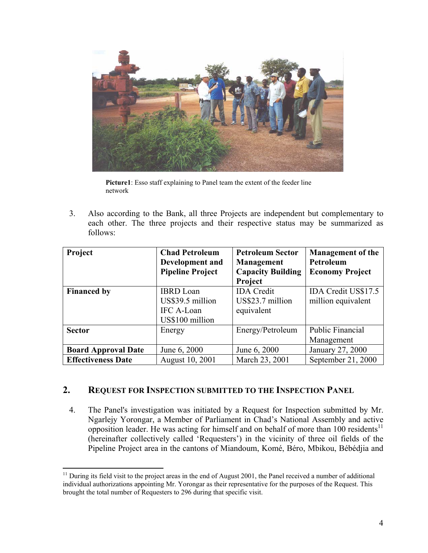

**Picture1**: Esso staff explaining to Panel team the extent of the feeder line network

3. Also according to the Bank, all three Projects are independent but complementary to each other. The three projects and their respective status may be summarized as follows:

| Project                    | <b>Chad Petroleum</b><br><b>Development and</b><br><b>Pipeline Project</b> | <b>Petroleum Sector</b><br>Management<br><b>Capacity Building</b><br>Project | <b>Management of the</b><br>Petroleum<br><b>Economy Project</b> |
|----------------------------|----------------------------------------------------------------------------|------------------------------------------------------------------------------|-----------------------------------------------------------------|
| <b>Financed by</b>         | <b>IBRD</b> Loan<br>US\$39.5 million<br>IFC A-Loan<br>US\$100 million      | <b>IDA</b> Credit<br>US\$23.7 million<br>equivalent                          | IDA Credit US\$17.5<br>million equivalent                       |
| <b>Sector</b>              | Energy                                                                     | Energy/Petroleum                                                             | <b>Public Financial</b><br>Management                           |
| <b>Board Approval Date</b> | June 6, 2000                                                               | June 6, 2000                                                                 | January 27, 2000                                                |
| <b>Effectiveness Date</b>  | August 10, 2001                                                            | March 23, 2001                                                               | September 21, 2000                                              |

## **2. REQUEST FOR INSPECTION SUBMITTED TO THE INSPECTION PANEL**

4. The Panel's investigation was initiated by a Request for Inspection submitted by Mr. Ngarlejy Yorongar, a Member of Parliament in Chad's National Assembly and active opposition leader. He was acting for himself and on behalf of more than  $100$  residents<sup>11</sup> (hereinafter collectively called 'Requesters') in the vicinity of three oil fields of the Pipeline Project area in the cantons of Miandoum, Komé, Béro, Mbikou, Bébédjia and

1

 $11$  During its field visit to the project areas in the end of August 2001, the Panel received a number of additional individual authorizations appointing Mr. Yorongar as their representative for the purposes of the Request. This brought the total number of Requesters to 296 during that specific visit.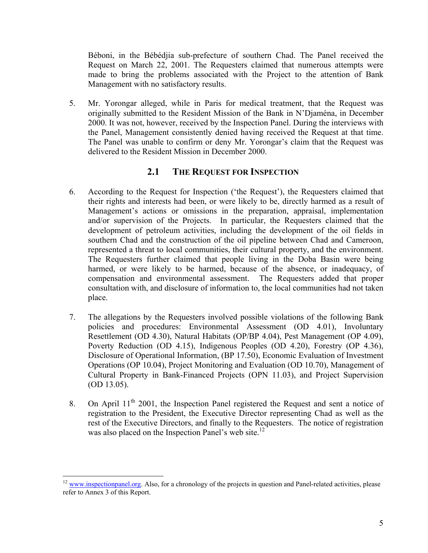Béboni, in the Bébédjia sub-prefecture of southern Chad. The Panel received the Request on March 22, 2001. The Requesters claimed that numerous attempts were made to bring the problems associated with the Project to the attention of Bank Management with no satisfactory results.

5. Mr. Yorongar alleged, while in Paris for medical treatment, that the Request was originally submitted to the Resident Mission of the Bank in N'Djaména, in December 2000. It was not, however, received by the Inspection Panel. During the interviews with the Panel, Management consistently denied having received the Request at that time. The Panel was unable to confirm or deny Mr. Yorongar's claim that the Request was delivered to the Resident Mission in December 2000.

# **2.1 THE REQUEST FOR INSPECTION**

- 6. According to the Request for Inspection ('the Request'), the Requesters claimed that their rights and interests had been, or were likely to be, directly harmed as a result of Management's actions or omissions in the preparation, appraisal, implementation and/or supervision of the Projects. In particular, the Requesters claimed that the development of petroleum activities, including the development of the oil fields in southern Chad and the construction of the oil pipeline between Chad and Cameroon, represented a threat to local communities, their cultural property, and the environment. The Requesters further claimed that people living in the Doba Basin were being harmed, or were likely to be harmed, because of the absence, or inadequacy, of compensation and environmental assessment. The Requesters added that proper consultation with, and disclosure of information to, the local communities had not taken place.
- 7. The allegations by the Requesters involved possible violations of the following Bank policies and procedures: Environmental Assessment (OD 4.01), Involuntary Resettlement (OD 4.30), Natural Habitats (OP/BP 4.04), Pest Management (OP 4.09), Poverty Reduction (OD 4.15), Indigenous Peoples (OD 4.20), Forestry (OP 4.36), Disclosure of Operational Information, (BP 17.50), Economic Evaluation of Investment Operations (OP 10.04), Project Monitoring and Evaluation (OD 10.70), Management of Cultural Property in Bank-Financed Projects (OPN 11.03), and Project Supervision (OD 13.05).
- 8. On April  $11<sup>th</sup>$  2001, the Inspection Panel registered the Request and sent a notice of registration to the President, the Executive Director representing Chad as well as the rest of the Executive Directors, and finally to the Requesters. The notice of registration was also placed on the Inspection Panel's web site.<sup>12</sup>

 $\overline{a}$ 

<sup>&</sup>lt;sup>12</sup> www.inspectionpanel.org. Also, for a chronology of the projects in question and Panel-related activities, please refer to Annex 3 of this Report.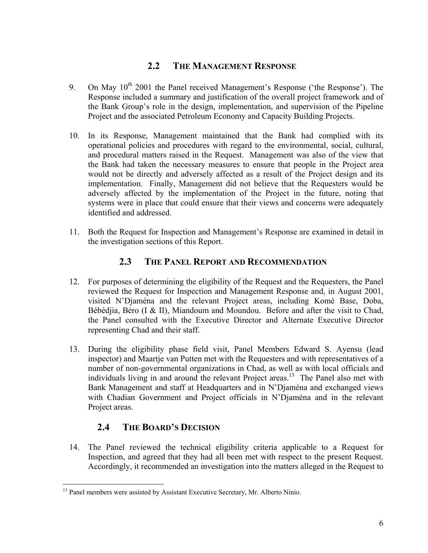# **2.2 THE MANAGEMENT RESPONSE**

- 9. On May  $10^{th}$  2001 the Panel received Management's Response ('the Response'). The Response included a summary and justification of the overall project framework and of the Bank Group's role in the design, implementation, and supervision of the Pipeline Project and the associated Petroleum Economy and Capacity Building Projects.
- 10. In its Response, Management maintained that the Bank had complied with its operational policies and procedures with regard to the environmental, social, cultural, and procedural matters raised in the Request. Management was also of the view that the Bank had taken the necessary measures to ensure that people in the Project area would not be directly and adversely affected as a result of the Project design and its implementation. Finally, Management did not believe that the Requesters would be adversely affected by the implementation of the Project in the future, noting that systems were in place that could ensure that their views and concerns were adequately identified and addressed.
- 11. Both the Request for Inspection and Management's Response are examined in detail in the investigation sections of this Report.

# **2.3 THE PANEL REPORT AND RECOMMENDATION**

- 12. For purposes of determining the eligibility of the Request and the Requesters, the Panel reviewed the Request for Inspection and Management Response and, in August 2001, visited N'Djaména and the relevant Project areas, including Komé Base, Doba, Bébédjia, Béro (I & II), Miandoum and Moundou. Before and after the visit to Chad, the Panel consulted with the Executive Director and Alternate Executive Director representing Chad and their staff.
- 13. During the eligibility phase field visit, Panel Members Edward S. Ayensu (lead inspector) and Maartje van Putten met with the Requesters and with representatives of a number of non-governmental organizations in Chad, as well as with local officials and individuals living in and around the relevant Project areas.<sup>13</sup> The Panel also met with Bank Management and staff at Headquarters and in N'Djaména and exchanged views with Chadian Government and Project officials in N'Djaména and in the relevant Project areas.

# **2.4 THE BOARD'S DECISION**

 $\overline{a}$ 

14. The Panel reviewed the technical eligibility criteria applicable to a Request for Inspection, and agreed that they had all been met with respect to the present Request. Accordingly, it recommended an investigation into the matters alleged in the Request to

<sup>&</sup>lt;sup>13</sup> Panel members were assisted by Assistant Executive Secretary, Mr. Alberto Ninio.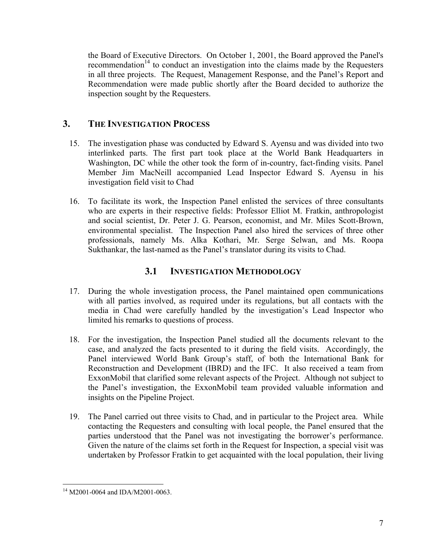the Board of Executive Directors. On October 1, 2001, the Board approved the Panel's  $recommendation<sup>14</sup>$  to conduct an investigation into the claims made by the Requesters in all three projects. The Request, Management Response, and the Panel's Report and Recommendation were made public shortly after the Board decided to authorize the inspection sought by the Requesters.

# **3. THE INVESTIGATION PROCESS**

- 15. The investigation phase was conducted by Edward S. Ayensu and was divided into two interlinked parts. The first part took place at the World Bank Headquarters in Washington, DC while the other took the form of in-country, fact-finding visits. Panel Member Jim MacNeill accompanied Lead Inspector Edward S. Ayensu in his investigation field visit to Chad
- 16. To facilitate its work, the Inspection Panel enlisted the services of three consultants who are experts in their respective fields: Professor Elliot M. Fratkin, anthropologist and social scientist, Dr. Peter J. G. Pearson, economist, and Mr. Miles Scott-Brown, environmental specialist. The Inspection Panel also hired the services of three other professionals, namely Ms. Alka Kothari, Mr. Serge Selwan, and Ms. Roopa Sukthankar, the last-named as the Panel's translator during its visits to Chad.

# **3.1 INVESTIGATION METHODOLOGY**

- 17. During the whole investigation process, the Panel maintained open communications with all parties involved, as required under its regulations, but all contacts with the media in Chad were carefully handled by the investigation's Lead Inspector who limited his remarks to questions of process.
- 18. For the investigation, the Inspection Panel studied all the documents relevant to the case, and analyzed the facts presented to it during the field visits. Accordingly, the Panel interviewed World Bank Group's staff, of both the International Bank for Reconstruction and Development (IBRD) and the IFC. It also received a team from ExxonMobil that clarified some relevant aspects of the Project. Although not subject to the Panel's investigation, the ExxonMobil team provided valuable information and insights on the Pipeline Project.
- 19. The Panel carried out three visits to Chad, and in particular to the Project area. While contacting the Requesters and consulting with local people, the Panel ensured that the parties understood that the Panel was not investigating the borrower's performance. Given the nature of the claims set forth in the Request for Inspection, a special visit was undertaken by Professor Fratkin to get acquainted with the local population, their living

 $\overline{a}$ <sup>14</sup> M2001-0064 and IDA/M2001-0063.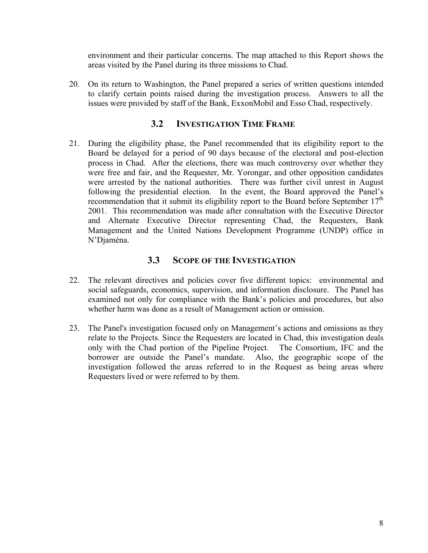environment and their particular concerns. The map attached to this Report shows the areas visited by the Panel during its three missions to Chad.

20. On its return to Washington, the Panel prepared a series of written questions intended to clarify certain points raised during the investigation process. Answers to all the issues were provided by staff of the Bank, ExxonMobil and Esso Chad, respectively.

## **3.2 INVESTIGATION TIME FRAME**

21. During the eligibility phase, the Panel recommended that its eligibility report to the Board be delayed for a period of 90 days because of the electoral and post-election process in Chad. After the elections, there was much controversy over whether they were free and fair, and the Requester, Mr. Yorongar, and other opposition candidates were arrested by the national authorities. There was further civil unrest in August following the presidential election. In the event, the Board approved the Panel's recommendation that it submit its eligibility report to the Board before September  $17<sup>th</sup>$ 2001. This recommendation was made after consultation with the Executive Director and Alternate Executive Director representing Chad, the Requesters, Bank Management and the United Nations Development Programme (UNDP) office in N'Djaména.

# **3.3 SCOPE OF THE INVESTIGATION**

- 22. The relevant directives and policies cover five different topics: environmental and social safeguards, economics, supervision, and information disclosure. The Panel has examined not only for compliance with the Bank's policies and procedures, but also whether harm was done as a result of Management action or omission.
- 23. The Panel's investigation focused only on Management's actions and omissions as they relate to the Projects. Since the Requesters are located in Chad, this investigation deals only with the Chad portion of the Pipeline Project. The Consortium, IFC and the borrower are outside the Panel's mandate. Also, the geographic scope of the investigation followed the areas referred to in the Request as being areas where Requesters lived or were referred to by them.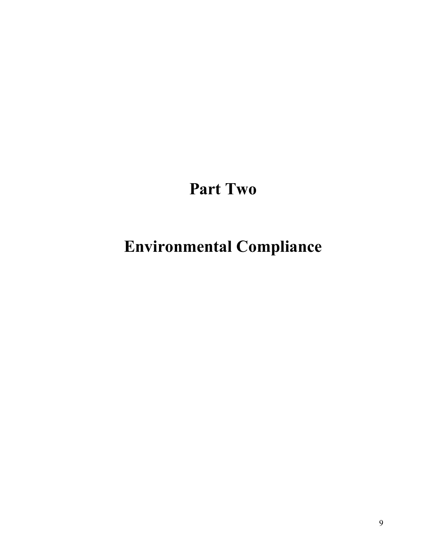# **Part Two**

# **Environmental Compliance**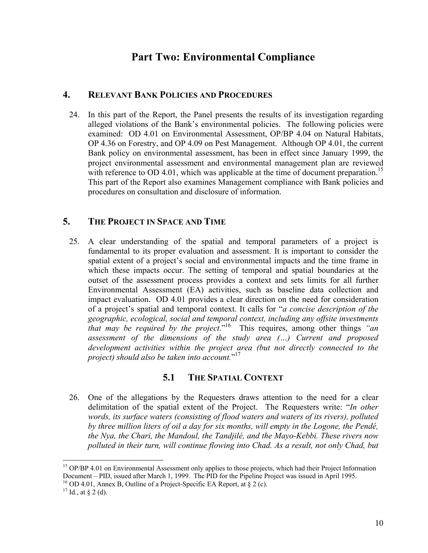# **Part Two: Environmental Compliance**

### **4. RELEVANT BANK POLICIES AND PROCEDURES**

24. In this part of the Report, the Panel presents the results of its investigation regarding alleged violations of the Bank's environmental policies. The following policies were examined: OD 4.01 on Environmental Assessment, OP/BP 4.04 on Natural Habitats, OP 4.36 on Forestry, and OP 4.09 on Pest Management. Although OP 4.01, the current Bank policy on environmental assessment, has been in effect since January 1999, the project environmental assessment and environmental management plan are reviewed with reference to OD 4.01, which was applicable at the time of document preparation.<sup>15</sup> This part of the Report also examines Management compliance with Bank policies and procedures on consultation and disclosure of information.

# **5. THE PROJECT IN SPACE AND TIME**

25. A clear understanding of the spatial and temporal parameters of a project is fundamental to its proper evaluation and assessment. It is important to consider the spatial extent of a project's social and environmental impacts and the time frame in which these impacts occur. The setting of temporal and spatial boundaries at the outset of the assessment process provides a context and sets limits for all further Environmental Assessment (EA) activities, such as baseline data collection and impact evaluation. OD 4.01 provides a clear direction on the need for consideration of a project's spatial and temporal context. It calls for "*a concise description of the geographic, ecological, social and temporal context, including any offsite investments that may be required by the project.*" 16 This requires, among other things *"an assessment of the dimensions of the study area (…) Current and proposed development activities within the project area (but not directly connected to the project) should also be taken into account.*" 17

# **5.1 THE SPATIAL CONTEXT**

26. One of the allegations by the Requesters draws attention to the need for a clear delimitation of the spatial extent of the Project. The Requesters write: "*In other words, its surface waters (consisting of flood waters and waters of its rivers), polluted*  by three million liters of oil a day for six months, will empty in the Logone, the Pendé, *the Nya, the Chari, the Mandoul, the Tandjilé, and the Mayo-Kebbi. These rivers now polluted in their turn, will continue flowing into Chad. As a result, not only Chad, but* 

 $\overline{a}$ 

<sup>&</sup>lt;sup>15</sup> OP/BP 4.01 on Environmental Assessment only applies to those projects, which had their Project Information Document – PID, issued after March 1, 1999. The PID for the Pipeline Project was issued in April 1995.<br><sup>16</sup> OD 4.01, Annex B, Outline of a Project-Specific EA Report, at § 2 (c).<br><sup>17</sup> Id., at § 2 (d).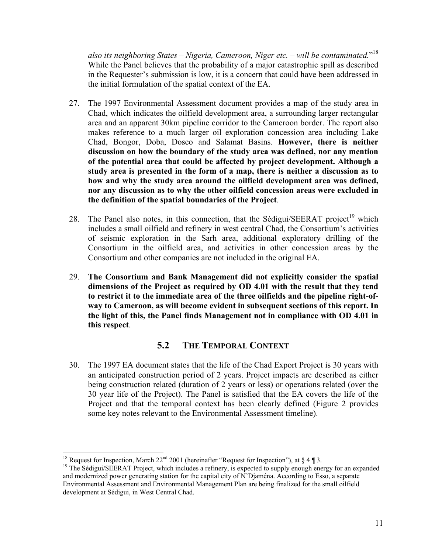*also its neighboring States – Nigeria, Cameroon, Niger etc. – will be contaminated.*" 18 While the Panel believes that the probability of a major catastrophic spill as described in the Requester's submission is low, it is a concern that could have been addressed in the initial formulation of the spatial context of the EA.

- 27. The 1997 Environmental Assessment document provides a map of the study area in Chad, which indicates the oilfield development area, a surrounding larger rectangular area and an apparent 30km pipeline corridor to the Cameroon border. The report also makes reference to a much larger oil exploration concession area including Lake Chad, Bongor, Doba, Doseo and Salamat Basins. **However, there is neither discussion on how the boundary of the study area was defined, nor any mention of the potential area that could be affected by project development. Although a study area is presented in the form of a map, there is neither a discussion as to how and why the study area around the oilfield development area was defined, nor any discussion as to why the other oilfield concession areas were excluded in the definition of the spatial boundaries of the Project**.
- 28. The Panel also notes, in this connection, that the Sédigui/SEERAT project<sup>19</sup> which includes a small oilfield and refinery in west central Chad, the Consortium's activities of seismic exploration in the Sarh area, additional exploratory drilling of the Consortium in the oilfield area, and activities in other concession areas by the Consortium and other companies are not included in the original EA.
- 29. **The Consortium and Bank Management did not explicitly consider the spatial dimensions of the Project as required by OD 4.01 with the result that they tend to restrict it to the immediate area of the three oilfields and the pipeline right-ofway to Cameroon, as will become evident in subsequent sections of this report. In the light of this, the Panel finds Management not in compliance with OD 4.01 in this respect**.

# **5.2 THE TEMPORAL CONTEXT**

30. The 1997 EA document states that the life of the Chad Export Project is 30 years with an anticipated construction period of 2 years. Project impacts are described as either being construction related (duration of 2 years or less) or operations related (over the 30 year life of the Project). The Panel is satisfied that the EA covers the life of the Project and that the temporal context has been clearly defined (Figure 2 provides some key notes relevant to the Environmental Assessment timeline).

<sup>&</sup>lt;sup>18</sup> Request for Inspection, March 22<sup>nd</sup> 2001 (hereinafter "Request for Inspection"), at § 4 ¶ 3.

<sup>&</sup>lt;sup>19</sup> The Sédigui/SEERAT Project, which includes a refinery, is expected to supply enough energy for an expanded and modernized power generating station for the capital city of N'Djaména. According to Esso, a separate Environmental Assessment and Environmental Management Plan are being finalized for the small oilfield development at Sédigui, in West Central Chad.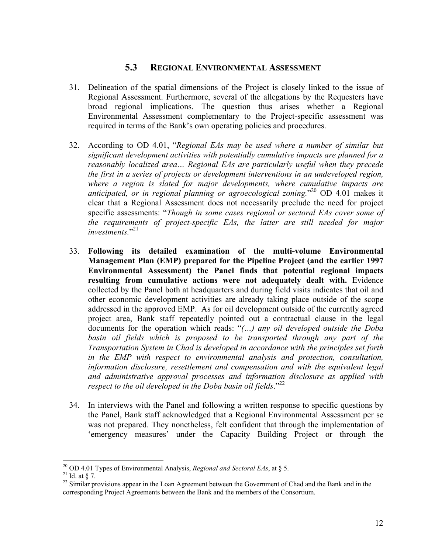#### **5.3 REGIONAL ENVIRONMENTAL ASSESSMENT**

- 31. Delineation of the spatial dimensions of the Project is closely linked to the issue of Regional Assessment. Furthermore, several of the allegations by the Requesters have broad regional implications. The question thus arises whether a Regional Environmental Assessment complementary to the Project-specific assessment was required in terms of the Bank's own operating policies and procedures.
- 32. According to OD 4.01, "*Regional EAs may be used where a number of similar but significant development activities with potentially cumulative impacts are planned for a reasonably localized area… Regional EAs are particularly useful when they precede the first in a series of projects or development interventions in an undeveloped region, where a region is slated for major developments, where cumulative impacts are anticipated, or in regional planning or agroecological zoning.*" 20 OD 4.01 makes it clear that a Regional Assessment does not necessarily preclude the need for project specific assessments: "*Though in some cases regional or sectoral EAs cover some of the requirements of project-specific EAs, the latter are still needed for major investments.*" 21
- 33. **Following its detailed examination of the multi-volume Environmental Management Plan (EMP) prepared for the Pipeline Project (and the earlier 1997 Environmental Assessment) the Panel finds that potential regional impacts resulting from cumulative actions were not adequately dealt with.** Evidence collected by the Panel both at headquarters and during field visits indicates that oil and other economic development activities are already taking place outside of the scope addressed in the approved EMP. As for oil development outside of the currently agreed project area, Bank staff repeatedly pointed out a contractual clause in the legal documents for the operation which reads: "*(…) any oil developed outside the Doba basin oil fields which is proposed to be transported through any part of the Transportation System in Chad is developed in accordance with the principles set forth in the EMP with respect to environmental analysis and protection, consultation, information disclosure, resettlement and compensation and with the equivalent legal and administrative approval processes and information disclosure as applied with respect to the oil developed in the Doba basin oil fields.*"<sup>22</sup>
- 34. In interviews with the Panel and following a written response to specific questions by the Panel, Bank staff acknowledged that a Regional Environmental Assessment per se was not prepared. They nonetheless, felt confident that through the implementation of 'emergency measures' under the Capacity Building Project or through the

 $\overline{a}$ 

<sup>&</sup>lt;sup>20</sup> OD 4.01 Types of Environmental Analysis, *Regional and Sectoral EAs*, at § 5.<br><sup>21</sup> Id. at § 7.

 $^{22}$  Similar provisions appear in the Loan Agreement between the Government of Chad and the Bank and in the corresponding Project Agreements between the Bank and the members of the Consortium.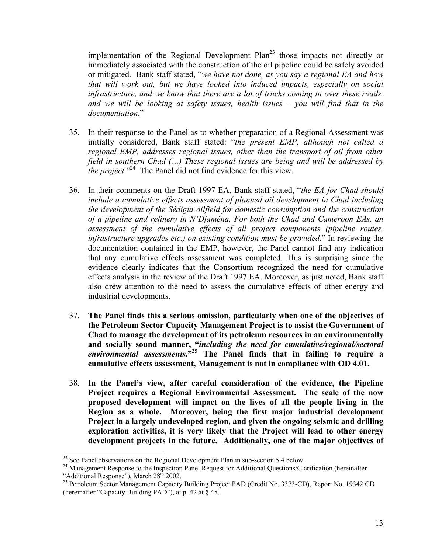implementation of the Regional Development  $Plan<sup>23</sup>$  those impacts not directly or immediately associated with the construction of the oil pipeline could be safely avoided or mitigated. Bank staff stated, "*we have not done, as you say a regional EA and how that will work out, but we have looked into induced impacts, especially on social infrastructure, and we know that there are a lot of trucks coming in over these roads,*  and we will be looking at safety issues, health issues – you will find that in the *documentation*."

- 35. In their response to the Panel as to whether preparation of a Regional Assessment was initially considered, Bank staff stated: "*the present EMP, although not called a regional EMP, addresses regional issues, other than the transport of oil from other field in southern Chad (…) These regional issues are being and will be addressed by the project.*" 24 The Panel did not find evidence for this view.
- 36. In their comments on the Draft 1997 EA, Bank staff stated, "*the EA for Chad should include a cumulative effects assessment of planned oil development in Chad including the development of the Sédigui oilfield for domestic consumption and the construction of a pipeline and refinery in N'Djaména. For both the Chad and Cameroon EAs, an assessment of the cumulative effects of all project components (pipeline routes, infrastructure upgrades etc.) on existing condition must be provided*." In reviewing the documentation contained in the EMP, however, the Panel cannot find any indication that any cumulative effects assessment was completed. This is surprising since the evidence clearly indicates that the Consortium recognized the need for cumulative effects analysis in the review of the Draft 1997 EA. Moreover, as just noted, Bank staff also drew attention to the need to assess the cumulative effects of other energy and industrial developments.
- 37. **The Panel finds this a serious omission, particularly when one of the objectives of the Petroleum Sector Capacity Management Project is to assist the Government of Chad to manage the development of its petroleum resources in an environmentally and socially sound manner, "***including the need for cumulative/regional/sectoral environmental assessments.***"25 The Panel finds that in failing to require a cumulative effects assessment, Management is not in compliance with OD 4.01.**
- 38. **In the Panel's view, after careful consideration of the evidence, the Pipeline Project requires a Regional Environmental Assessment. The scale of the now proposed development will impact on the lives of all the people living in the Region as a whole. Moreover, being the first major industrial development Project in a largely undeveloped region, and given the ongoing seismic and drilling exploration activities, it is very likely that the Project will lead to other energy development projects in the future. Additionally, one of the major objectives of**

 $\overline{a}$ 

 $2<sup>23</sup>$  See Panel observations on the Regional Development Plan in sub-section 5.4 below.

<sup>&</sup>lt;sup>24</sup> Management Response to the Inspection Panel Request for Additional Questions/Clarification (hereinafter "Additional Response"), March 28th 2002. 25 Petroleum Sector Management Capacity Building Project PAD (Credit No. 3373-CD), Report No. 19342 CD

<sup>(</sup>hereinafter "Capacity Building PAD"), at p. 42 at § 45.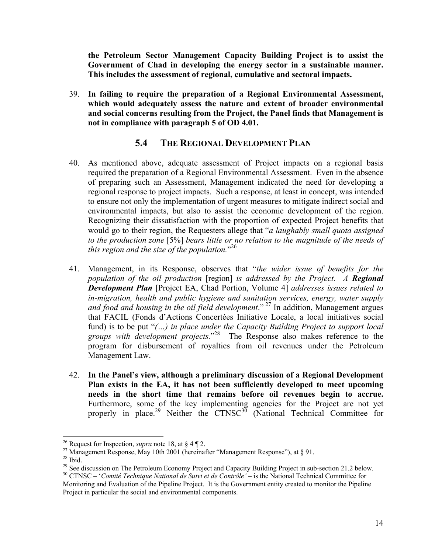**the Petroleum Sector Management Capacity Building Project is to assist the Government of Chad in developing the energy sector in a sustainable manner. This includes the assessment of regional, cumulative and sectoral impacts.** 

39. **In failing to require the preparation of a Regional Environmental Assessment, which would adequately assess the nature and extent of broader environmental and social concerns resulting from the Project, the Panel finds that Management is not in compliance with paragraph 5 of OD 4.01.**

### **5.4 THE REGIONAL DEVELOPMENT PLAN**

- 40. As mentioned above, adequate assessment of Project impacts on a regional basis required the preparation of a Regional Environmental Assessment. Even in the absence of preparing such an Assessment, Management indicated the need for developing a regional response to project impacts. Such a response, at least in concept, was intended to ensure not only the implementation of urgent measures to mitigate indirect social and environmental impacts, but also to assist the economic development of the region. Recognizing their dissatisfaction with the proportion of expected Project benefits that would go to their region, the Requesters allege that "*a laughably small quota assigned to the production zone* [5%] *bears little or no relation to the magnitude of the needs of this region and the size of the population.*" 26
- 41. Management, in its Response, observes that "*the wider issue of benefits for the population of the oil production* [region] *is addressed by the Project. A Regional Development Plan* [Project EA, Chad Portion, Volume 4] *addresses issues related to in-migration, health and public hygiene and sanitation services, energy, water supply and food and housing in the oil field development*." 27 In addition, Management argues that FACIL (Fonds d'Actions Concertées Initiative Locale, a local initiatives social fund) is to be put "(...) in place under the Capacity Building Project to support local *groups with development projects.*" 28 The Response also makes reference to the program for disbursement of royalties from oil revenues under the Petroleum Management Law.
- 42. **In the Panel's view, although a preliminary discussion of a Regional Development Plan exists in the EA, it has not been sufficiently developed to meet upcoming needs in the short time that remains before oil revenues begin to accrue.** Furthermore, some of the key implementing agencies for the Project are not yet properly in place.<sup>29</sup> Neither the  $CTNSC<sup>30</sup>$  (National Technical Committee for

<sup>&</sup>lt;sup>26</sup> Request for Inspection, *supra* note 18, at  $\frac{8}{4}$  12.

<sup>&</sup>lt;sup>27</sup> Management Response, May 10th 2001 (hereinafter "Management Response"), at § 91.

<sup>28</sup> Ibid.

 $^{29}$  See discussion on The Petroleum Economy Project and Capacity Building Project in sub-section 21.2 below.

<sup>&</sup>lt;sup>30</sup> CTNSC – '*Comité Technique National de Suivi et de Contrôle'* – is the National Technical Committee for Monitoring and Evaluation of the Pipeline Project. It is the Government entity created to monitor the Pipeline Project in particular the social and environmental components.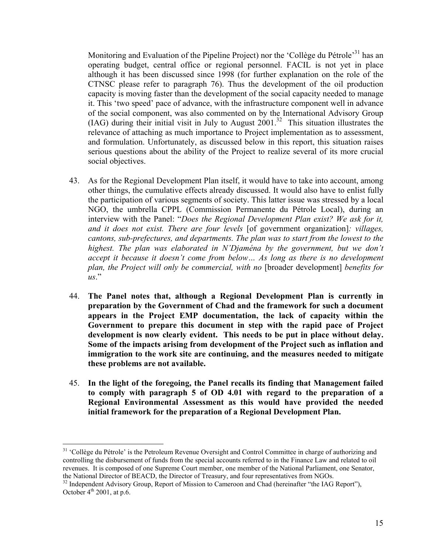Monitoring and Evaluation of the Pipeline Project) nor the 'Collège du Pétrole'<sup>31</sup> has an operating budget, central office or regional personnel. FACIL is not yet in place although it has been discussed since 1998 (for further explanation on the role of the CTNSC please refer to paragraph 76). Thus the development of the oil production capacity is moving faster than the development of the social capacity needed to manage it. This 'two speed' pace of advance, with the infrastructure component well in advance of the social component, was also commented on by the International Advisory Group (IAG) during their initial visit in July to August  $2001<sup>32</sup>$  This situation illustrates the relevance of attaching as much importance to Project implementation as to assessment, and formulation. Unfortunately, as discussed below in this report, this situation raises serious questions about the ability of the Project to realize several of its more crucial social objectives.

- 43. As for the Regional Development Plan itself, it would have to take into account, among other things, the cumulative effects already discussed. It would also have to enlist fully the participation of various segments of society. This latter issue was stressed by a local NGO, the umbrella CPPL (Commission Permanente du Pétrole Local), during an interview with the Panel: "*Does the Regional Development Plan exist? We ask for it, and it does not exist. There are four levels* [of government organization]*: villages, cantons, sub-prefectures, and departments. The plan was to start from the lowest to the highest. The plan was elaborated in N'Djaména by the government, but we don't accept it because it doesn't come from below… As long as there is no development plan, the Project will only be commercial, with no* [broader development] *benefits for us*."
- 44. **The Panel notes that, although a Regional Development Plan is currently in preparation by the Government of Chad and the framework for such a document appears in the Project EMP documentation, the lack of capacity within the Government to prepare this document in step with the rapid pace of Project development is now clearly evident. This needs to be put in place without delay. Some of the impacts arising from development of the Project such as inflation and immigration to the work site are continuing, and the measures needed to mitigate these problems are not available.**
- 45. **In the light of the foregoing, the Panel recalls its finding that Management failed to comply with paragraph 5 of OD 4.01 with regard to the preparation of a Regional Environmental Assessment as this would have provided the needed initial framework for the preparation of a Regional Development Plan.**

 $\overline{a}$ 

<sup>&</sup>lt;sup>31</sup> 'Collège du Pétrole' is the Petroleum Revenue Oversight and Control Committee in charge of authorizing and controlling the disbursement of funds from the special accounts referred to in the Finance Law and related to oil revenues. It is composed of one Supreme Court member, one member of the National Parliament, one Senator, the National Director of BEACD, the Director of Treasury, and four representatives from NGOs.

<sup>&</sup>lt;sup>32</sup> Independent Advisory Group, Report of Mission to Cameroon and Chad (hereinafter "the IAG Report"), October  $4<sup>th</sup>$  2001, at p.6.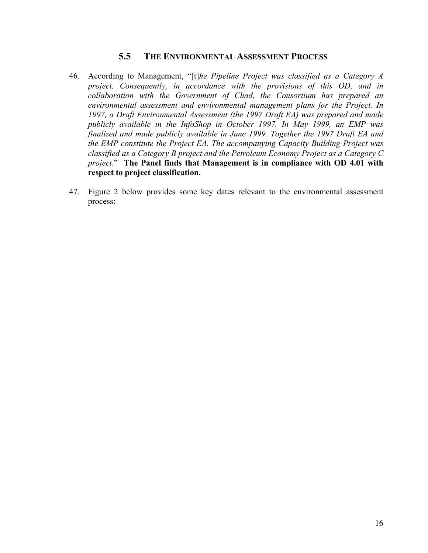#### **5.5 THE ENVIRONMENTAL ASSESSMENT PROCESS**

- 46. According to Management, "[t]*he Pipeline Project was classified as a Category A project. Consequently, in accordance with the provisions of this OD, and in collaboration with the Government of Chad, the Consortium has prepared an environmental assessment and environmental management plans for the Project. In 1997, a Draft Environmental Assessment (the 1997 Draft EA) was prepared and made publicly available in the InfoShop in October 1997. In May 1999, an EMP was finalized and made publicly available in June 1999. Together the 1997 Draft EA and the EMP constitute the Project EA. The accompanying Capacity Building Project was classified as a Category B project and the Petroleum Economy Project as a Category C project*." **The Panel finds that Management is in compliance with OD 4.01 with respect to project classification.**
- 47. Figure 2 below provides some key dates relevant to the environmental assessment process: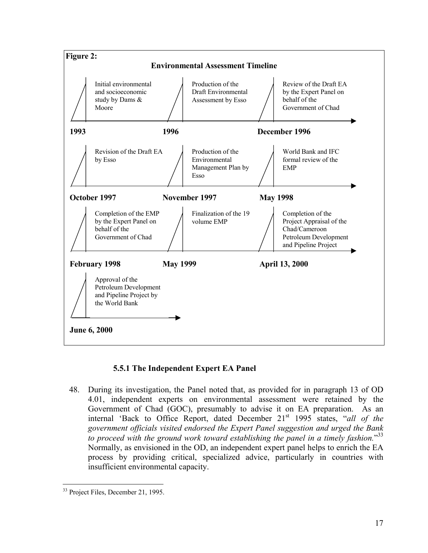

## **5.5.1 The Independent Expert EA Panel**

48. During its investigation, the Panel noted that, as provided for in paragraph 13 of OD 4.01, independent experts on environmental assessment were retained by the Government of Chad (GOC), presumably to advise it on EA preparation. As an internal 'Back to Office Report, dated December 21<sup>st</sup> 1995 states, "*all of the government officials visited endorsed the Expert Panel suggestion and urged the Bank to proceed with the ground work toward establishing the panel in a timely fashion.*" 33 Normally, as envisioned in the OD, an independent expert panel helps to enrich the EA process by providing critical, specialized advice, particularly in countries with insufficient environmental capacity.

<sup>1</sup> <sup>33</sup> Project Files, December 21, 1995.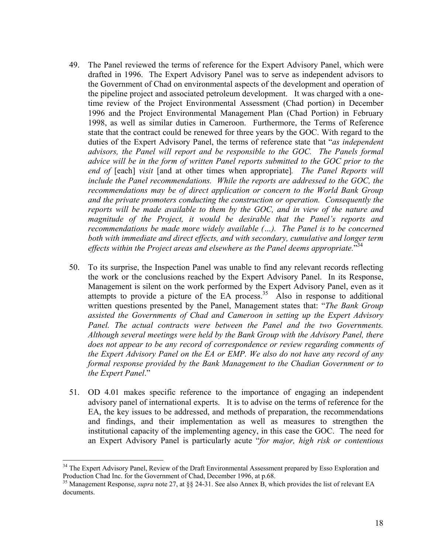- 49. The Panel reviewed the terms of reference for the Expert Advisory Panel, which were drafted in 1996. The Expert Advisory Panel was to serve as independent advisors to the Government of Chad on environmental aspects of the development and operation of the pipeline project and associated petroleum development. It was charged with a onetime review of the Project Environmental Assessment (Chad portion) in December 1996 and the Project Environmental Management Plan (Chad Portion) in February 1998, as well as similar duties in Cameroon. Furthermore, the Terms of Reference state that the contract could be renewed for three years by the GOC. With regard to the duties of the Expert Advisory Panel, the terms of reference state that "*as independent advisors, the Panel will report and be responsible to the GOC. The Panels formal advice will be in the form of written Panel reports submitted to the GOC prior to the end of* [each] *visit* [and at other times when appropriate]*. The Panel Reports will include the Panel recommendations. While the reports are addressed to the GOC, the recommendations may be of direct application or concern to the World Bank Group and the private promoters conducting the construction or operation. Consequently the reports will be made available to them by the GOC, and in view of the nature and magnitude of the Project, it would be desirable that the Panel's reports and recommendations be made more widely available (…). The Panel is to be concerned both with immediate and direct effects, and with secondary, cumulative and longer term effects within the Project areas and elsewhere as the Panel deems appropriate.*" 34
- 50. To its surprise, the Inspection Panel was unable to find any relevant records reflecting the work or the conclusions reached by the Expert Advisory Panel. In its Response, Management is silent on the work performed by the Expert Advisory Panel, even as it attempts to provide a picture of the EA process.<sup>35</sup> Also in response to additional written questions presented by the Panel, Management states that: "*The Bank Group assisted the Governments of Chad and Cameroon in setting up the Expert Advisory Panel. The actual contracts were between the Panel and the two Governments. Although several meetings were held by the Bank Group with the Advisory Panel, there does not appear to be any record of correspondence or review regarding comments of the Expert Advisory Panel on the EA or EMP. We also do not have any record of any formal response provided by the Bank Management to the Chadian Government or to the Expert Panel*."
- 51. OD 4.01 makes specific reference to the importance of engaging an independent advisory panel of international experts. It is to advise on the terms of reference for the EA, the key issues to be addressed, and methods of preparation, the recommendations and findings, and their implementation as well as measures to strengthen the institutional capacity of the implementing agency, in this case the GOC. The need for an Expert Advisory Panel is particularly acute "*for major, high risk or contentious*

<sup>&</sup>lt;sup>34</sup> The Expert Advisory Panel, Review of the Draft Environmental Assessment prepared by Esso Exploration and Production Chad Inc. for the Government of Chad, December 1996, at p.68. 35 Management Response, *supra* note 27, at §§ 24-31. See also Annex B, which provides the list of relevant EA

documents.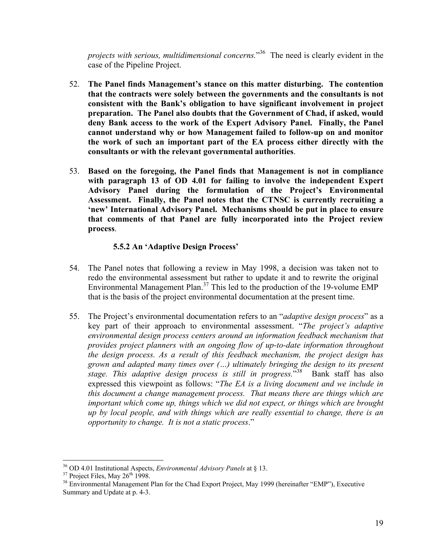*projects with serious, multidimensional concerns.*" 36 The need is clearly evident in the case of the Pipeline Project.

- 52. **The Panel finds Management's stance on this matter disturbing. The contention that the contracts were solely between the governments and the consultants is not consistent with the Bank's obligation to have significant involvement in project preparation. The Panel also doubts that the Government of Chad, if asked, would deny Bank access to the work of the Expert Advisory Panel. Finally, the Panel cannot understand why or how Management failed to follow-up on and monitor the work of such an important part of the EA process either directly with the consultants or with the relevant governmental authorities**.
- 53. **Based on the foregoing, the Panel finds that Management is not in compliance with paragraph 13 of OD 4.01 for failing to involve the independent Expert Advisory Panel during the formulation of the Project's Environmental Assessment. Finally, the Panel notes that the CTNSC is currently recruiting a 'new' International Advisory Panel. Mechanisms should be put in place to ensure that comments of that Panel are fully incorporated into the Project review process**.

#### **5.5.2 An 'Adaptive Design Process'**

- 54. The Panel notes that following a review in May 1998, a decision was taken not to redo the environmental assessment but rather to update it and to rewrite the original Environmental Management Plan.<sup>37</sup> This led to the production of the 19-volume EMP that is the basis of the project environmental documentation at the present time.
- 55. The Project's environmental documentation refers to an "*adaptive design process*" as a key part of their approach to environmental assessment. "*The project's adaptive environmental design process centers around an information feedback mechanism that provides project planners with an ongoing flow of up-to-date information throughout the design process. As a result of this feedback mechanism, the project design has grown and adapted many times over (…) ultimately bringing the design to its present stage. This adaptive design process is still in progress.*" 38 Bank staff has also expressed this viewpoint as follows: "*The EA is a living document and we include in this document a change management process. That means there are things which are important which come up, things which we did not expect, or things which are brought up by local people, and with things which are really essential to change, there is an opportunity to change. It is not a static process*."

 $36$  OD 4.01 Institutional Aspects, *Environmental Advisory Panels* at § 13.

<sup>&</sup>lt;sup>37</sup> Project Files, May 26<sup>th</sup> 1998.<br><sup>38</sup> Environmental Management Plan for the Chad Export Project, May 1999 (hereinafter "EMP"), Executive Summary and Update at p. 4-3.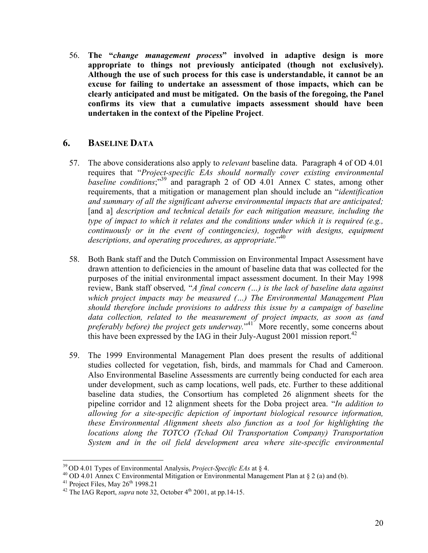56. **The "***change management process***" involved in adaptive design is more appropriate to things not previously anticipated (though not exclusively). Although the use of such process for this case is understandable, it cannot be an excuse for failing to undertake an assessment of those impacts, which can be clearly anticipated and must be mitigated. On the basis of the foregoing, the Panel confirms its view that a cumulative impacts assessment should have been undertaken in the context of the Pipeline Project**.

## **6. BASELINE DATA**

- 57. The above considerations also apply to *relevant* baseline data. Paragraph 4 of OD 4.01 requires that "*Project-specific EAs should normally cover existing environmental baseline conditions*;"39 and paragraph 2 of OD 4.01 Annex C states, among other requirements, that a mitigation or management plan should include an "*identification and summary of all the significant adverse environmental impacts that are anticipated;*  [and a] *description and technical details for each mitigation measure, including the type of impact to which it relates and the conditions under which it is required (e.g., continuously or in the event of contingencies), together with designs, equipment descriptions, and operating procedures, as appropriate*."40
- 58. Both Bank staff and the Dutch Commission on Environmental Impact Assessment have drawn attention to deficiencies in the amount of baseline data that was collected for the purposes of the initial environmental impact assessment document. In their May 1998 review, Bank staff observed*,* "*A final concern (…) is the lack of baseline data against which project impacts may be measured (…) The Environmental Management Plan should therefore include provisions to address this issue by a campaign of baseline data collection, related to the measurement of project impacts, as soon as (and*  preferably before) the project gets underway."<sup>41</sup> More recently, some concerns about this have been expressed by the IAG in their July-August 2001 mission report.<sup>42</sup>
- 59. The 1999 Environmental Management Plan does present the results of additional studies collected for vegetation, fish, birds, and mammals for Chad and Cameroon. Also Environmental Baseline Assessments are currently being conducted for each area under development, such as camp locations, well pads, etc. Further to these additional baseline data studies, the Consortium has completed 26 alignment sheets for the pipeline corridor and 12 alignment sheets for the Doba project area. "*In addition to allowing for a site-specific depiction of important biological resource information, these Environmental Alignment sheets also function as a tool for highlighting the locations along the TOTCO (Tchad Oil Transportation Company) Transportation System and in the oil field development area where site-specific environmental*

 $39$  OD 4.01 Types of Environmental Analysis, *Project-Specific EAs* at § 4.

<sup>&</sup>lt;sup>40</sup> OD 4.01 Annex C Environmental Mitigation or Environmental Management Plan at § 2 (a) and (b).<br><sup>41</sup> Project Files, May 26<sup>th</sup> 1998.21

<sup>&</sup>lt;sup>42</sup> The IAG Report, *supra* note 32, October 4<sup>th</sup> 2001, at pp.14-15.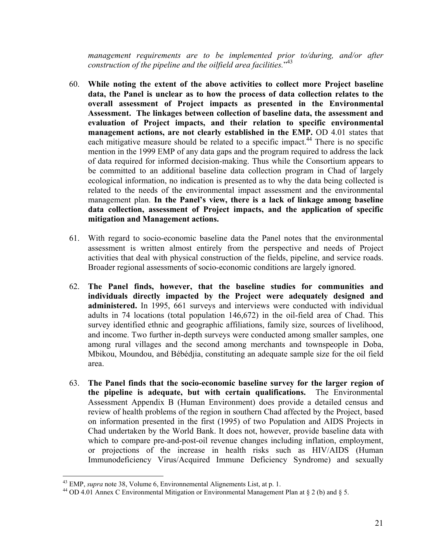*management requirements are to be implemented prior to/during, and/or after construction of the pipeline and the oilfield area facilities.*" 43

- 60. **While noting the extent of the above activities to collect more Project baseline data, the Panel is unclear as to how the process of data collection relates to the overall assessment of Project impacts as presented in the Environmental Assessment. The linkages between collection of baseline data, the assessment and evaluation of Project impacts, and their relation to specific environmental management actions, are not clearly established in the EMP.** OD 4.01 states that each mitigative measure should be related to a specific impact.<sup>44</sup> There is no specific mention in the 1999 EMP of any data gaps and the program required to address the lack of data required for informed decision-making. Thus while the Consortium appears to be committed to an additional baseline data collection program in Chad of largely ecological information, no indication is presented as to why the data being collected is related to the needs of the environmental impact assessment and the environmental management plan. **In the Panel's view, there is a lack of linkage among baseline data collection, assessment of Project impacts, and the application of specific mitigation and Management actions.**
- 61. With regard to socio-economic baseline data the Panel notes that the environmental assessment is written almost entirely from the perspective and needs of Project activities that deal with physical construction of the fields, pipeline, and service roads. Broader regional assessments of socio-economic conditions are largely ignored.
- 62. **The Panel finds, however, that the baseline studies for communities and individuals directly impacted by the Project were adequately designed and administered.** In 1995, 661 surveys and interviews were conducted with individual adults in 74 locations (total population 146,672) in the oil-field area of Chad. This survey identified ethnic and geographic affiliations, family size, sources of livelihood, and income. Two further in-depth surveys were conducted among smaller samples, one among rural villages and the second among merchants and townspeople in Doba, Mbikou, Moundou, and Bébédjia, constituting an adequate sample size for the oil field area.
- 63. **The Panel finds that the socio-economic baseline survey for the larger region of the pipeline is adequate, but with certain qualifications.** The Environmental Assessment Appendix B (Human Environment) does provide a detailed census and review of health problems of the region in southern Chad affected by the Project, based on information presented in the first (1995) of two Population and AIDS Projects in Chad undertaken by the World Bank. It does not, however, provide baseline data with which to compare pre-and-post-oil revenue changes including inflation, employment, or projections of the increase in health risks such as HIV/AIDS (Human Immunodeficiency Virus/Acquired Immune Deficiency Syndrome) and sexually

<sup>&</sup>lt;sup>43</sup> EMP, *supra* note 38, Volume 6, Environnemental Alignements List, at p. 1.<br><sup>44</sup> OD 4.01 Annex C Environmental Mitigation or Environmental Management Plan at § 2 (b) and § 5.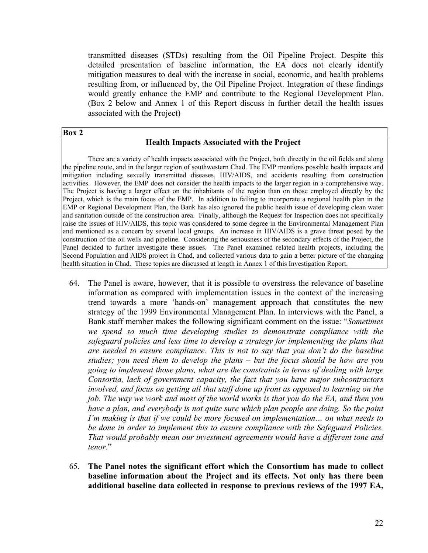transmitted diseases (STDs) resulting from the Oil Pipeline Project. Despite this detailed presentation of baseline information, the EA does not clearly identify mitigation measures to deal with the increase in social, economic, and health problems resulting from, or influenced by, the Oil Pipeline Project. Integration of these findings would greatly enhance the EMP and contribute to the Regional Development Plan. (Box 2 below and Annex 1 of this Report discuss in further detail the health issues associated with the Project)

#### **Box 2**

#### **Health Impacts Associated with the Project**

There are a variety of health impacts associated with the Project, both directly in the oil fields and along the pipeline route, and in the larger region of southwestern Chad. The EMP mentions possible health impacts and mitigation including sexually transmitted diseases, HIV/AIDS, and accidents resulting from construction activities. However, the EMP does not consider the health impacts to the larger region in a comprehensive way. The Project is having a larger effect on the inhabitants of the region than on those employed directly by the Project, which is the main focus of the EMP. In addition to failing to incorporate a regional health plan in the EMP or Regional Development Plan, the Bank has also ignored the public health issue of developing clean water and sanitation outside of the construction area. Finally, although the Request for Inspection does not specifically raise the issues of HIV/AIDS, this topic was considered to some degree in the Environmental Management Plan and mentioned as a concern by several local groups. An increase in HIV/AIDS is a grave threat posed by the construction of the oil wells and pipeline. Considering the seriousness of the secondary effects of the Project, the Panel decided to further investigate these issues. The Panel examined related health projects, including the Second Population and AIDS project in Chad, and collected various data to gain a better picture of the changing health situation in Chad. These topics are discussed at length in Annex 1 of this Investigation Report.

- 64. The Panel is aware, however, that it is possible to overstress the relevance of baseline information as compared with implementation issues in the context of the increasing trend towards a more 'hands-on' management approach that constitutes the new strategy of the 1999 Environmental Management Plan. In interviews with the Panel, a Bank staff member makes the following significant comment on the issue: "*Sometimes we spend so much time developing studies to demonstrate compliance with the safeguard policies and less time to develop a strategy for implementing the plans that are needed to ensure compliance. This is not to say that you don't do the baseline studies; you need them to develop the plans – but the focus should be how are you going to implement those plans, what are the constraints in terms of dealing with large Consortia, lack of government capacity, the fact that you have major subcontractors involved, and focus on getting all that stuff done up front as opposed to learning on the job. The way we work and most of the world works is that you do the EA, and then you have a plan, and everybody is not quite sure which plan people are doing. So the point I'm making is that if we could be more focused on implementation… on what needs to be done in order to implement this to ensure compliance with the Safeguard Policies. That would probably mean our investment agreements would have a different tone and tenor.*"
- 65. **The Panel notes the significant effort which the Consortium has made to collect baseline information about the Project and its effects. Not only has there been additional baseline data collected in response to previous reviews of the 1997 EA,**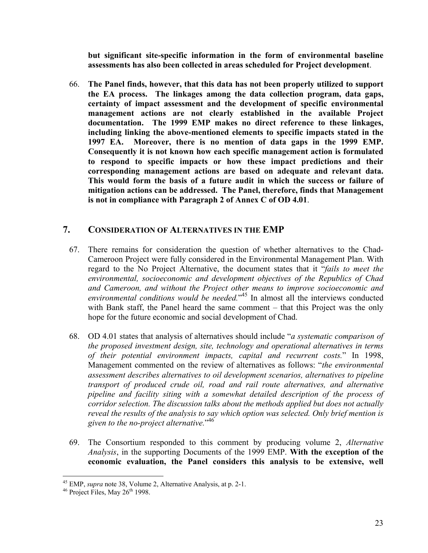**but significant site-specific information in the form of environmental baseline assessments has also been collected in areas scheduled for Project development**.

66. **The Panel finds, however, that this data has not been properly utilized to support the EA process. The linkages among the data collection program, data gaps, certainty of impact assessment and the development of specific environmental management actions are not clearly established in the available Project documentation. The 1999 EMP makes no direct reference to these linkages, including linking the above-mentioned elements to specific impacts stated in the 1997 EA. Moreover, there is no mention of data gaps in the 1999 EMP. Consequently it is not known how each specific management action is formulated to respond to specific impacts or how these impact predictions and their corresponding management actions are based on adequate and relevant data. This would form the basis of a future audit in which the success or failure of mitigation actions can be addressed. The Panel, therefore, finds that Management is not in compliance with Paragraph 2 of Annex C of OD 4.01**.

## **7. CONSIDERATION OF ALTERNATIVES IN THE EMP**

- 67. There remains for consideration the question of whether alternatives to the Chad-Cameroon Project were fully considered in the Environmental Management Plan. With regard to the No Project Alternative, the document states that it "*fails to meet the environmental, socioeconomic and development objectives of the Republics of Chad and Cameroon, and without the Project other means to improve socioeconomic and*  environmental conditions would be needed."<sup>45</sup> In almost all the interviews conducted with Bank staff, the Panel heard the same comment – that this Project was the only hope for the future economic and social development of Chad.
- 68. OD 4.01 states that analysis of alternatives should include "*a systematic comparison of the proposed investment design, site, technology and operational alternatives in terms of their potential environment impacts, capital and recurrent costs.*" In 1998, Management commented on the review of alternatives as follows: "*the environmental assessment describes alternatives to oil development scenarios, alternatives to pipeline transport of produced crude oil, road and rail route alternatives, and alternative pipeline and facility siting with a somewhat detailed description of the process of corridor selection. The discussion talks about the methods applied but does not actually reveal the results of the analysis to say which option was selected. Only brief mention is given to the no-project alternative.*" 46
- 69. The Consortium responded to this comment by producing volume 2, *Alternative Analysis*, in the supporting Documents of the 1999 EMP. **With the exception of the economic evaluation, the Panel considers this analysis to be extensive, well**

 $\overline{a}$ <sup>45</sup> EMP, *supra* note 38, Volume 2, Alternative Analysis, at p. 2-1.<br><sup>46</sup> Project Files, May  $26<sup>th</sup>$  1998.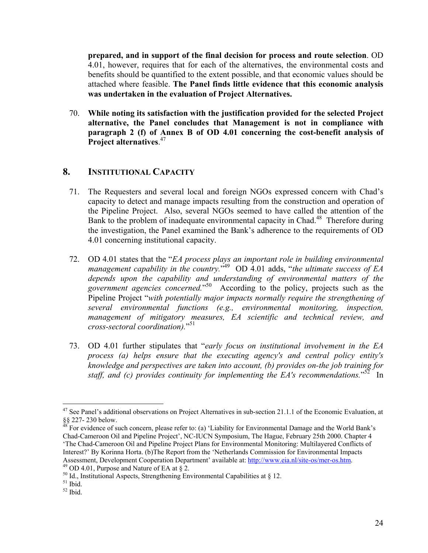**prepared, and in support of the final decision for process and route selection**. OD 4.01, however, requires that for each of the alternatives, the environmental costs and benefits should be quantified to the extent possible, and that economic values should be attached where feasible. **The Panel finds little evidence that this economic analysis was undertaken in the evaluation of Project Alternatives.** 

70. **While noting its satisfaction with the justification provided for the selected Project alternative, the Panel concludes that Management is not in compliance with paragraph 2 (f) of Annex B of OD 4.01 concerning the cost-benefit analysis of Project alternatives**. 47

## **8. INSTITUTIONAL CAPACITY**

- 71. The Requesters and several local and foreign NGOs expressed concern with Chad's capacity to detect and manage impacts resulting from the construction and operation of the Pipeline Project. Also, several NGOs seemed to have called the attention of the Bank to the problem of inadequate environmental capacity in Chad.<sup>48</sup> Therefore during the investigation, the Panel examined the Bank's adherence to the requirements of OD 4.01 concerning institutional capacity.
- 72. OD 4.01 states that the "*EA process plays an important role in building environmental management capability in the country.*" 49 OD 4.01 adds, "*the ultimate success of EA depends upon the capability and understanding of environmental matters of the*  government agencies concerned.<sup>"50</sup> According to the policy, projects such as the Pipeline Project "*with potentially major impacts normally require the strengthening of several environmental functions (e.g., environmental monitoring, inspection, management of mitigatory measures, EA scientific and technical review, and cross-sectoral coordination).*" 51
- 73. OD 4.01 further stipulates that "*early focus on institutional involvement in the EA process (a) helps ensure that the executing agency's and central policy entity's knowledge and perspectives are taken into account, (b) provides on-the job training for*  staff, and (c) provides continuity for implementing the EA's recommendations."<sup>52</sup> In

 $47$  See Panel's additional observations on Project Alternatives in sub-section 21.1.1 of the Economic Evaluation, at §§ 227- 230 below.

 $^{48}$  For evidence of such concern, please refer to: (a) 'Liability for Environmental Damage and the World Bank's Chad-Cameroon Oil and Pipeline Project', NC-IUCN Symposium, The Hague, February 25th 2000. Chapter 4 'The Chad-Cameroon Oil and Pipeline Project Plans for Environmental Monitoring: Multilayered Conflicts of Interest?' By Korinna Horta. (b)The Report from the 'Netherlands Commission for Environmental Impacts Assessment, Development Cooperation Department' available at: http://www.eia.nl/site-os/mer-os.htm. <sup>49</sup> OD 4.01, Purpose and Nature of EA at § 2.

 $50$  Id., Institutional Aspects, Strengthening Environmental Capabilities at § 12.

 $51$  Ibid.

 $52$  Ibid.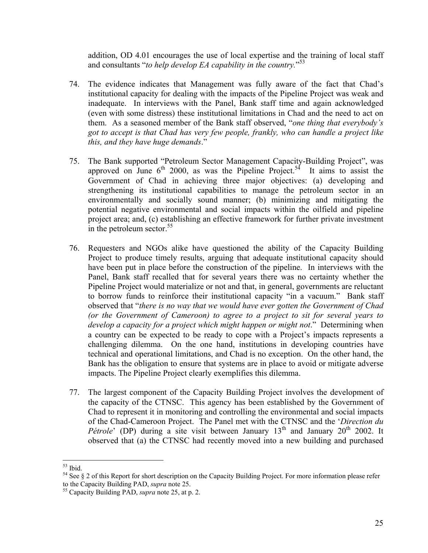addition, OD 4.01 encourages the use of local expertise and the training of local staff and consultants "*to help develop EA capability in the country.*" 53

- 74. The evidence indicates that Management was fully aware of the fact that Chad's institutional capacity for dealing with the impacts of the Pipeline Project was weak and inadequate. In interviews with the Panel, Bank staff time and again acknowledged (even with some distress) these institutional limitations in Chad and the need to act on them. As a seasoned member of the Bank staff observed, "*one thing that everybody's got to accept is that Chad has very few people, frankly, who can handle a project like this, and they have huge demands*."
- 75. The Bank supported "Petroleum Sector Management Capacity-Building Project", was approved on June  $6<sup>th</sup>$  2000, as was the Pipeline Project.<sup>54</sup> It aims to assist the Government of Chad in achieving three major objectives: (a) developing and strengthening its institutional capabilities to manage the petroleum sector in an environmentally and socially sound manner; (b) minimizing and mitigating the potential negative environmental and social impacts within the oilfield and pipeline project area; and, (c) establishing an effective framework for further private investment in the petroleum sector.<sup>55</sup>
- 76. Requesters and NGOs alike have questioned the ability of the Capacity Building Project to produce timely results, arguing that adequate institutional capacity should have been put in place before the construction of the pipeline. In interviews with the Panel, Bank staff recalled that for several years there was no certainty whether the Pipeline Project would materialize or not and that, in general, governments are reluctant to borrow funds to reinforce their institutional capacity "in a vacuum." Bank staff observed that "*there is no way that we would have ever gotten the Government of Chad (or the Government of Cameroon) to agree to a project to sit for several years to develop a capacity for a project which might happen or might not*." Determining when a country can be expected to be ready to cope with a Project's impacts represents a challenging dilemma. On the one hand, institutions in developing countries have technical and operational limitations, and Chad is no exception. On the other hand, the Bank has the obligation to ensure that systems are in place to avoid or mitigate adverse impacts. The Pipeline Project clearly exemplifies this dilemma.
- 77. The largest component of the Capacity Building Project involves the development of the capacity of the CTNSC. This agency has been established by the Government of Chad to represent it in monitoring and controlling the environmental and social impacts of the Chad-Cameroon Project. The Panel met with the CTNSC and the '*Direction du Pétrole*' (DP) during a site visit between January 13<sup>th</sup> and January 20<sup>th</sup> 2002. It observed that (a) the CTNSC had recently moved into a new building and purchased

<sup>1</sup> 53 Ibid.

 $54$  See § 2 of this Report for short description on the Capacity Building Project. For more information please refer to the Capacity Building PAD, *supra* note 25.

<sup>&</sup>lt;sup>55</sup> Capacity Building PAD, *supra* note 25, at p. 2.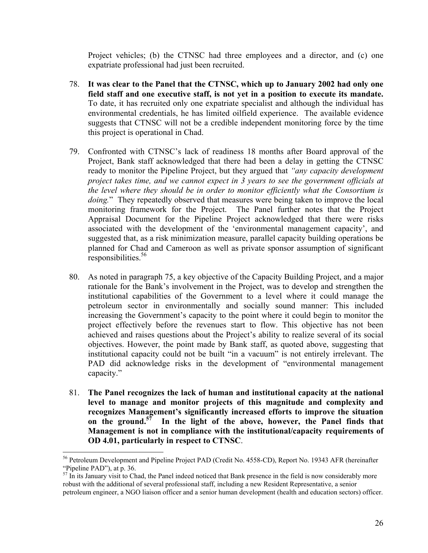Project vehicles; (b) the CTNSC had three employees and a director, and (c) one expatriate professional had just been recruited.

- 78. **It was clear to the Panel that the CTNSC, which up to January 2002 had only one field staff and one executive staff, is not yet in a position to execute its mandate.** To date, it has recruited only one expatriate specialist and although the individual has environmental credentials, he has limited oilfield experience. The available evidence suggests that CTNSC will not be a credible independent monitoring force by the time this project is operational in Chad.
- 79. Confronted with CTNSC's lack of readiness 18 months after Board approval of the Project, Bank staff acknowledged that there had been a delay in getting the CTNSC ready to monitor the Pipeline Project, but they argued that *"any capacity development project takes time, and we cannot expect in 3 years to see the government officials at the level where they should be in order to monitor efficiently what the Consortium is doing.*" They repeatedly observed that measures were being taken to improve the local monitoring framework for the Project. The Panel further notes that the Project Appraisal Document for the Pipeline Project acknowledged that there were risks associated with the development of the 'environmental management capacity', and suggested that, as a risk minimization measure, parallel capacity building operations be planned for Chad and Cameroon as well as private sponsor assumption of significant responsibilities.<sup>56</sup>
- 80. As noted in paragraph 75, a key objective of the Capacity Building Project, and a major rationale for the Bank's involvement in the Project, was to develop and strengthen the institutional capabilities of the Government to a level where it could manage the petroleum sector in environmentally and socially sound manner: This included increasing the Government's capacity to the point where it could begin to monitor the project effectively before the revenues start to flow. This objective has not been achieved and raises questions about the Project's ability to realize several of its social objectives. However, the point made by Bank staff, as quoted above, suggesting that institutional capacity could not be built "in a vacuum" is not entirely irrelevant. The PAD did acknowledge risks in the development of "environmental management capacity."
- 81. **The Panel recognizes the lack of human and institutional capacity at the national level to manage and monitor projects of this magnitude and complexity and recognizes Management's significantly increased efforts to improve the situation on the ground.57 In the light of the above, however, the Panel finds that Management is not in compliance with the institutional/capacity requirements of OD 4.01, particularly in respect to CTNSC**.

<sup>&</sup>lt;sup>56</sup> Petroleum Development and Pipeline Project PAD (Credit No. 4558-CD), Report No. 19343 AFR (hereinafter "Pipeline PAD"), at p. 36.

 $57$  In its January visit to Chad, the Panel indeed noticed that Bank presence in the field is now considerably more robust with the additional of several professional staff, including a new Resident Representative, a senior petroleum engineer, a NGO liaison officer and a senior human development (health and education sectors) officer.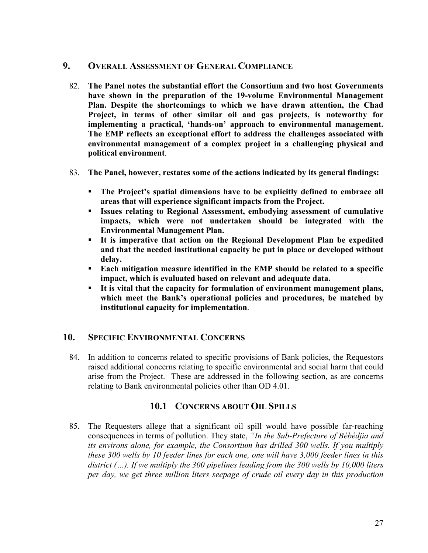## **9. OVERALL ASSESSMENT OF GENERAL COMPLIANCE**

- 82. **The Panel notes the substantial effort the Consortium and two host Governments have shown in the preparation of the 19-volume Environmental Management Plan. Despite the shortcomings to which we have drawn attention, the Chad Project, in terms of other similar oil and gas projects, is noteworthy for implementing a practical, 'hands-on' approach to environmental management. The EMP reflects an exceptional effort to address the challenges associated with environmental management of a complex project in a challenging physical and political environment**.
- 83. **The Panel, however, restates some of the actions indicated by its general findings:** 
	- **The Project's spatial dimensions have to be explicitly defined to embrace all areas that will experience significant impacts from the Project.**
	- **Issues relating to Regional Assessment, embodying assessment of cumulative impacts, which were not undertaken should be integrated with the Environmental Management Plan.**
	- **It is imperative that action on the Regional Development Plan be expedited and that the needed institutional capacity be put in place or developed without delay.**
	- **Each mitigation measure identified in the EMP should be related to a specific impact, which is evaluated based on relevant and adequate data.**
	- **It is vital that the capacity for formulation of environment management plans, which meet the Bank's operational policies and procedures, be matched by institutional capacity for implementation**.

## **10. SPECIFIC ENVIRONMENTAL CONCERNS**

84. In addition to concerns related to specific provisions of Bank policies, the Requestors raised additional concerns relating to specific environmental and social harm that could arise from the Project. These are addressed in the following section, as are concerns relating to Bank environmental policies other than OD 4.01.

## **10.1 CONCERNS ABOUT OIL SPILLS**

85. The Requesters allege that a significant oil spill would have possible far-reaching consequences in terms of pollution. They state, *"In the Sub-Prefecture of Bébédjia and its environs alone, for example, the Consortium has drilled 300 wells. If you multiply these 300 wells by 10 feeder lines for each one, one will have 3,000 feeder lines in this district (…). If we multiply the 300 pipelines leading from the 300 wells by 10,000 liters per day, we get three million liters seepage of crude oil every day in this production*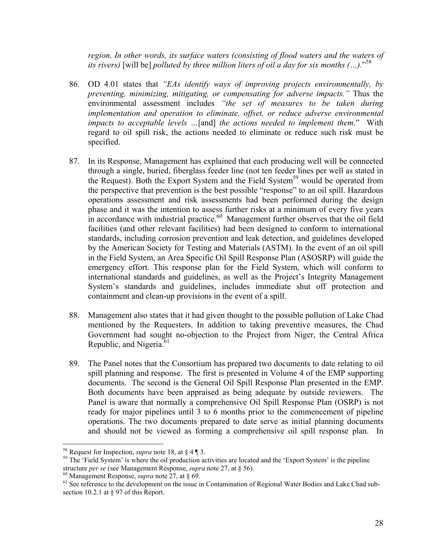*region. In other words, its surface waters (consisting of flood waters and the waters of its rivers)* [will be] *polluted by three million liters of oil a day for six months (…).*" 58

- 86. OD 4.01 states that *"EAs identify ways of improving projects environmentally, by preventing, minimizing, mitigating, or compensating for adverse impacts."* Thus the environmental assessment includes *"the set of measures to be taken during implementation and operation to eliminate, offset, or reduce adverse environmental impacts to acceptable levels …*[and] *the actions needed to implement them*." With regard to oil spill risk, the actions needed to eliminate or reduce such risk must be specified.
- 87. In its Response, Management has explained that each producing well will be connected through a single, buried, fiberglass feeder line (not ten feeder lines per well as stated in the Request). Both the Export System and the Field System<sup>59</sup> would be operated from the perspective that prevention is the best possible "response" to an oil spill. Hazardous operations assessment and risk assessments had been performed during the design phase and it was the intention to assess further risks at a minimum of every five years in accordance with industrial practice.<sup>60</sup> Management further observes that the oil field facilities (and other relevant facilities) had been designed to conform to international standards, including corrosion prevention and leak detection, and guidelines developed by the American Society for Testing and Materials (ASTM). In the event of an oil spill in the Field System, an Area Specific Oil Spill Response Plan (ASOSRP) will guide the emergency effort. This response plan for the Field System, which will conform to international standards and guidelines, as well as the Project's Integrity Management System's standards and guidelines, includes immediate shut off protection and containment and clean-up provisions in the event of a spill.
- 88. Management also states that it had given thought to the possible pollution of Lake Chad mentioned by the Requesters. In addition to taking preventive measures, the Chad Government had sought no-objection to the Project from Niger, the Central Africa Republic, and Nigeria. $61$
- 89. The Panel notes that the Consortium has prepared two documents to date relating to oil spill planning and response. The first is presented in Volume 4 of the EMP supporting documents. The second is the General Oil Spill Response Plan presented in the EMP. Both documents have been appraised as being adequate by outside reviewers. The Panel is aware that normally a comprehensive Oil Spill Response Plan (OSRP) is not ready for major pipelines until 3 to 6 months prior to the commencement of pipeline operations. The two documents prepared to date serve as initial planning documents and should not be viewed as forming a comprehensive oil spill response plan. In

<sup>&</sup>lt;sup>58</sup> Request for Inspection, *supra* note 18, at  $\S 4 \P 3$ .<br><sup>59</sup> The 'Field System' is where the oil production activities are located and the 'Export System' is the pipeline structure *per se* (see Management Response, *supra* note 27, at § 56).<br><sup>60</sup> Management Response, *supra* note 27, at § 69.<br><sup>61</sup> See reference to the development on the issue in Contamination of Regional Water Bodies and

section 10.2.1 at § 97 of this Report.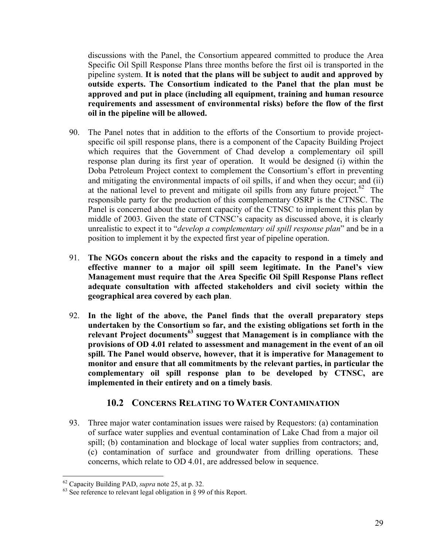discussions with the Panel, the Consortium appeared committed to produce the Area Specific Oil Spill Response Plans three months before the first oil is transported in the pipeline system. **It is noted that the plans will be subject to audit and approved by outside experts. The Consortium indicated to the Panel that the plan must be approved and put in place (including all equipment, training and human resource requirements and assessment of environmental risks) before the flow of the first oil in the pipeline will be allowed.**

- 90. The Panel notes that in addition to the efforts of the Consortium to provide projectspecific oil spill response plans, there is a component of the Capacity Building Project which requires that the Government of Chad develop a complementary oil spill response plan during its first year of operation. It would be designed (i) within the Doba Petroleum Project context to complement the Consortium's effort in preventing and mitigating the environmental impacts of oil spills, if and when they occur; and (ii) at the national level to prevent and mitigate oil spills from any future project.<sup>62</sup> The responsible party for the production of this complementary OSRP is the CTNSC. The Panel is concerned about the current capacity of the CTNSC to implement this plan by middle of 2003. Given the state of CTNSC's capacity as discussed above, it is clearly unrealistic to expect it to "*develop a complementary oil spill response plan*" and be in a position to implement it by the expected first year of pipeline operation.
- 91. **The NGOs concern about the risks and the capacity to respond in a timely and effective manner to a major oil spill seem legitimate. In the Panel's view Management must require that the Area Specific Oil Spill Response Plans reflect adequate consultation with affected stakeholders and civil society within the geographical area covered by each plan**.
- 92. **In the light of the above, the Panel finds that the overall preparatory steps undertaken by the Consortium so far, and the existing obligations set forth in the**  relevant Project documents<sup>63</sup> suggest that Management is in compliance with the **provisions of OD 4.01 related to assessment and management in the event of an oil spill. The Panel would observe, however, that it is imperative for Management to monitor and ensure that all commitments by the relevant parties, in particular the complementary oil spill response plan to be developed by CTNSC, are implemented in their entirety and on a timely basis**.

## **10.2 CONCERNS RELATING TO WATER CONTAMINATION**

93. Three major water contamination issues were raised by Requestors: (a) contamination of surface water supplies and eventual contamination of Lake Chad from a major oil spill; (b) contamination and blockage of local water supplies from contractors; and, (c) contamination of surface and groundwater from drilling operations. These concerns, which relate to OD 4.01, are addressed below in sequence.

<sup>&</sup>lt;sup>62</sup> Capacity Building PAD, *supra* note 25, at p. 32.<br><sup>63</sup> See reference to relevant legal obligation in § 99 of this Report.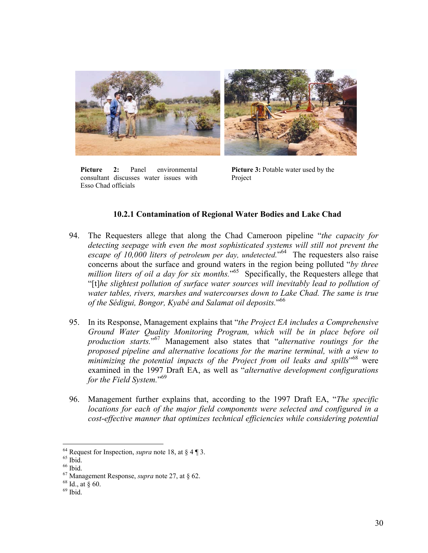

**Picture 2:** Panel environmental consultant discusses water issues with Esso Chad officials

**Picture 3:** Potable water used by the Project

#### **10.2.1 Contamination of Regional Water Bodies and Lake Chad**

- 94. The Requesters allege that along the Chad Cameroon pipeline "*the capacity for detecting seepage with even the most sophisticated systems will still not prevent the*  escape of 10,000 liters of petroleum per *day, undetected.*<sup>564</sup> The requesters also raise concerns about the surface and ground waters in the region being polluted "*by three*  million liters of oil a day for six months.<sup>565</sup> Specifically, the Requesters allege that "[t]*he slightest pollution of surface water sources will inevitably lead to pollution of water tables, rivers, marshes and watercourses down to Lake Chad. The same is true of the Sédigui, Bongor, Kyabé and Salamat oil deposits.*" 66
- 95. In its Response, Management explains that "*the Project EA includes a Comprehensive Ground Water Quality Monitoring Program, which will be in place before oil production starts.*" 67 Management also states that "*alternative routings for the proposed pipeline and alternative locations for the marine terminal, with a view to minimizing the potential impacts of the Project from oil leaks and spills*" 68 were examined in the 1997 Draft EA, as well as "*alternative development configurations for the Field System.*" 69
- 96. Management further explains that, according to the 1997 Draft EA, "*The specific locations for each of the major field components were selected and configured in a cost-effective manner that optimizes technical efficiencies while considering potential*

<sup>&</sup>lt;sup>64</sup> Request for Inspection, *supra* note 18, at  $\S$  4  $\P$  3.<br><sup>65</sup> Ibid

 $66$  Ibid.

<sup>&</sup>lt;sup>67</sup> Management Response, *supra* note 27, at § 62. <sup>68</sup> Id., at § 60.

 $69$  Ibid.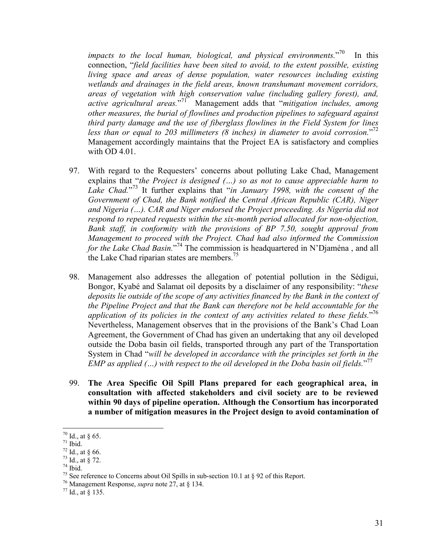*impacts to the local human, biological, and physical environments.*" In this connection, "*field facilities have been sited to avoid, to the extent possible, existing living space and areas of dense population, water resources including existing wetlands and drainages in the field areas, known transhumant movement corridors, areas of vegetation with high conservation value (including gallery forest), and, active agricultural areas.*" 71 Management adds that "*mitigation includes, among other measures, the burial of flowlines and production pipelines to safeguard against third party damage and the use of fiberglass flowlines in the Field System for lines*  less than or equal to 203 millimeters (8 inches) in diameter to avoid corrosion."<sup>72</sup> Management accordingly maintains that the Project EA is satisfactory and complies with OD 4.01.

- 97. With regard to the Requesters' concerns about polluting Lake Chad, Management explains that "*the Project is designed (…) so as not to cause appreciable harm to*  Lake Chad."<sup>73</sup> It further explains that "*in January 1998, with the consent of the Government of Chad, the Bank notified the Central African Republic (CAR), Niger and Nigeria (…). CAR and Niger endorsed the Project proceeding. As Nigeria did not respond to repeated requests within the six-month period allocated for non-objection, Bank staff, in conformity with the provisions of BP 7.50, sought approval from Management to proceed with the Project. Chad had also informed the Commission for the Lake Chad Basin.*" 74 The commission is headquartered in N'Djaména , and all the Lake Chad riparian states are members.<sup>75</sup>
- 98. Management also addresses the allegation of potential pollution in the Sédigui, Bongor, Kyabé and Salamat oil deposits by a disclaimer of any responsibility: "*these deposits lie outside of the scope of any activities financed by the Bank in the context of the Pipeline Project and that the Bank can therefore not be held accountable for the application of its policies in the context of any activities related to these fields.*" 76 Nevertheless, Management observes that in the provisions of the Bank's Chad Loan Agreement, the Government of Chad has given an undertaking that any oil developed outside the Doba basin oil fields, transported through any part of the Transportation System in Chad "*will be developed in accordance with the principles set forth in the*  EMP as applied (...) with respect to the oil developed in the Doba basin oil fields."<sup>77</sup>
- 99. **The Area Specific Oil Spill Plans prepared for each geographical area, in consultation with affected stakeholders and civil society are to be reviewed within 90 days of pipeline operation. Although the Consortium has incorporated a number of mitigation measures in the Project design to avoid contamination of**

<sup>&</sup>lt;sup>70</sup> Id., at § 65.

 $71$  Ibid.

 $72$  Id., at § 66.

 $^{73}$  Id., at § 72.

<sup>74</sup> Ibid.

<sup>&</sup>lt;sup>75</sup> See reference to Concerns about Oil Spills in sub-section 10.1 at § 92 of this Report.<br><sup>76</sup> Management Response, *supra* note 27, at § 134.<br><sup>77</sup> Id., at § 135.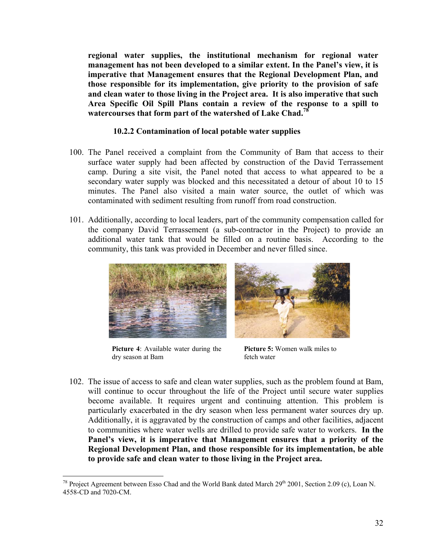**regional water supplies, the institutional mechanism for regional water management has not been developed to a similar extent. In the Panel's view, it is imperative that Management ensures that the Regional Development Plan, and those responsible for its implementation, give priority to the provision of safe and clean water to those living in the Project area. It is also imperative that such Area Specific Oil Spill Plans contain a review of the response to a spill to watercourses that form part of the watershed of Lake Chad.78**

#### **10.2.2 Contamination of local potable water supplies**

- 100. The Panel received a complaint from the Community of Bam that access to their surface water supply had been affected by construction of the David Terrassement camp. During a site visit, the Panel noted that access to what appeared to be a secondary water supply was blocked and this necessitated a detour of about 10 to 15 minutes. The Panel also visited a main water source, the outlet of which was contaminated with sediment resulting from runoff from road construction.
- 101. Additionally, according to local leaders, part of the community compensation called for the company David Terrassement (a sub-contractor in the Project) to provide an additional water tank that would be filled on a routine basis. According to the community, this tank was provided in December and never filled since.



**Picture 4**: Available water during the dry season at Bam

1

**Picture 5:** Women walk miles to fetch water

102. The issue of access to safe and clean water supplies, such as the problem found at Bam, will continue to occur throughout the life of the Project until secure water supplies become available. It requires urgent and continuing attention. This problem is particularly exacerbated in the dry season when less permanent water sources dry up. Additionally, it is aggravated by the construction of camps and other facilities, adjacent to communities where water wells are drilled to provide safe water to workers. **In the Panel's view, it is imperative that Management ensures that a priority of the Regional Development Plan, and those responsible for its implementation, be able to provide safe and clean water to those living in the Project area.**

<sup>&</sup>lt;sup>78</sup> Project Agreement between Esso Chad and the World Bank dated March  $29<sup>th</sup> 2001$ , Section 2.09 (c), Loan N. 4558-CD and 7020-CM.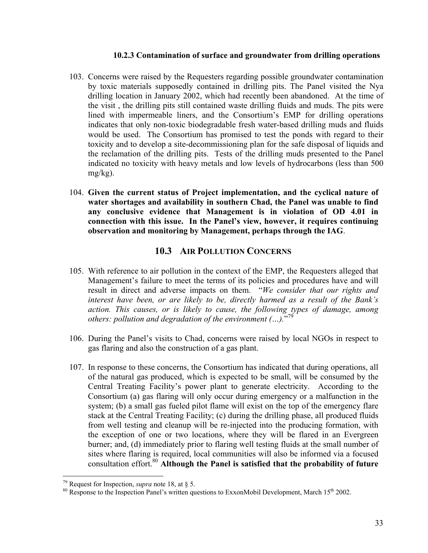#### **10.2.3 Contamination of surface and groundwater from drilling operations**

- 103. Concerns were raised by the Requesters regarding possible groundwater contamination by toxic materials supposedly contained in drilling pits. The Panel visited the Nya drilling location in January 2002, which had recently been abandoned. At the time of the visit , the drilling pits still contained waste drilling fluids and muds. The pits were lined with impermeable liners, and the Consortium's EMP for drilling operations indicates that only non-toxic biodegradable fresh water-based drilling muds and fluids would be used. The Consortium has promised to test the ponds with regard to their toxicity and to develop a site-decommissioning plan for the safe disposal of liquids and the reclamation of the drilling pits. Tests of the drilling muds presented to the Panel indicated no toxicity with heavy metals and low levels of hydrocarbons (less than 500 mg/kg).
- 104. **Given the current status of Project implementation, and the cyclical nature of water shortages and availability in southern Chad, the Panel was unable to find any conclusive evidence that Management is in violation of OD 4.01 in connection with this issue. In the Panel's view, however, it requires continuing observation and monitoring by Management, perhaps through the IAG**.

## **10.3 AIR POLLUTION CONCERNS**

- 105. With reference to air pollution in the context of the EMP, the Requesters alleged that Management's failure to meet the terms of its policies and procedures have and will result in direct and adverse impacts on them. "*We consider that our rights and interest have been, or are likely to be, directly harmed as a result of the Bank's action. This causes, or is likely to cause, the following types of damage, among others: pollution and degradation of the environment (…).*" 79
- 106. During the Panel's visits to Chad, concerns were raised by local NGOs in respect to gas flaring and also the construction of a gas plant.
- 107. In response to these concerns, the Consortium has indicated that during operations, all of the natural gas produced, which is expected to be small, will be consumed by the Central Treating Facility's power plant to generate electricity. According to the Consortium (a) gas flaring will only occur during emergency or a malfunction in the system; (b) a small gas fueled pilot flame will exist on the top of the emergency flare stack at the Central Treating Facility; (c) during the drilling phase, all produced fluids from well testing and cleanup will be re-injected into the producing formation, with the exception of one or two locations, where they will be flared in an Evergreen burner; and, (d) immediately prior to flaring well testing fluids at the small number of sites where flaring is required, local communities will also be informed via a focused consultation effort.<sup>80</sup> **Although the Panel is satisfied that the probability of future**

<sup>&</sup>lt;sup>79</sup> Request for Inspection, *supra* note 18, at § 5.<br><sup>80</sup> Response to the Inspection Panel's written questions to ExxonMobil Development, March 15<sup>th</sup> 2002.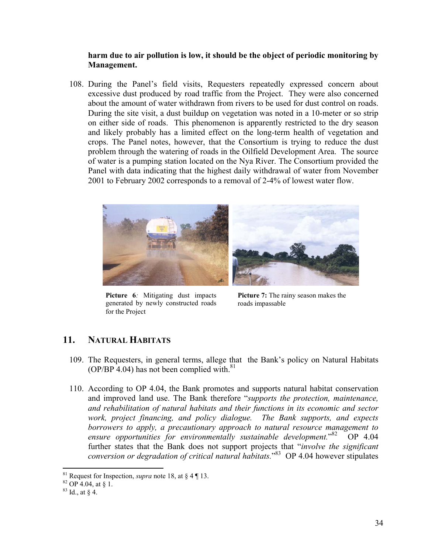#### **harm due to air pollution is low, it should be the object of periodic monitoring by Management.**

108. During the Panel's field visits, Requesters repeatedly expressed concern about excessive dust produced by road traffic from the Project. They were also concerned about the amount of water withdrawn from rivers to be used for dust control on roads. During the site visit, a dust buildup on vegetation was noted in a 10-meter or so strip on either side of roads. This phenomenon is apparently restricted to the dry season and likely probably has a limited effect on the long-term health of vegetation and crops. The Panel notes, however, that the Consortium is trying to reduce the dust problem through the watering of roads in the Oilfield Development Area. The source of water is a pumping station located on the Nya River. The Consortium provided the Panel with data indicating that the highest daily withdrawal of water from November 2001 to February 2002 corresponds to a removal of 2-4% of lowest water flow.



**Picture 6***:* Mitigating dust impacts generated by newly constructed roads for the Project

**Picture 7:** The rainy season makes the roads impassable

## **11. NATURAL HABITATS**

- 109. The Requesters, in general terms, allege that the Bank's policy on Natural Habitats (OP/BP 4.04) has not been complied with. $81$
- 110. According to OP 4.04, the Bank promotes and supports natural habitat conservation and improved land use. The Bank therefore "*supports the protection, maintenance, and rehabilitation of natural habitats and their functions in its economic and sector work, project financing, and policy dialogue. The Bank supports, and expects borrowers to apply, a precautionary approach to natural resource management to*  ensure opportunities for environmentally sustainable development.<sup>782</sup> OP 4.04 further states that the Bank does not support projects that "*involve the significant conversion or degradation of critical natural habitats.*" 83 OP 4.04 however stipulates

<sup>&</sup>lt;sup>81</sup> Request for Inspection, *supra* note 18, at  $\S 4 \P 13$ .<br><sup>82</sup> OP 4.04, at  $\S 1$ .

 $83$  Id., at § 4.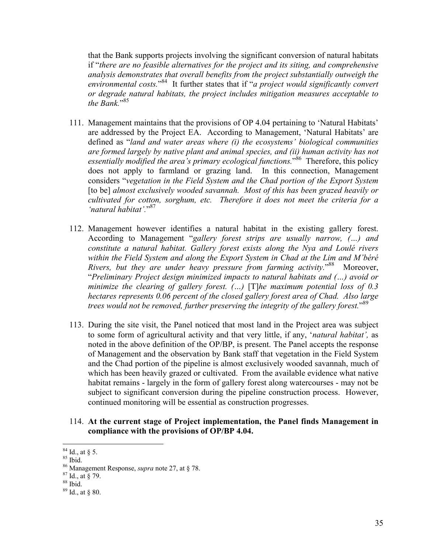that the Bank supports projects involving the significant conversion of natural habitats if "*there are no feasible alternatives for the project and its siting, and comprehensive analysis demonstrates that overall benefits from the project substantially outweigh the environmental costs.*" 84 It further states that if "*a project would significantly convert or degrade natural habitats, the project includes mitigation measures acceptable to the Bank.*" 85

- 111. Management maintains that the provisions of OP 4.04 pertaining to 'Natural Habitats' are addressed by the Project EA. According to Management, 'Natural Habitats' are defined as "*land and water areas where (i) the ecosystems' biological communities are formed largely by native plant and animal species, and (ii) human activity has not*  essentially modified the area's primary ecological functions.<sup>386</sup> Therefore, this policy does not apply to farmland or grazing land. In this connection, Management considers "*vegetation in the Field System and the Chad portion of the Export System*  [to be] almost exclusively wooded savannah. Most of this has been grazed heavily or *cultivated for cotton, sorghum, etc. Therefore it does not meet the criteria for a 'natural habitat'.*" 87
- 112. Management however identifies a natural habitat in the existing gallery forest. According to Management "*gallery forest strips are usually narrow, (…) and constitute a natural habitat. Gallery forest exists along the Nya and Loulé rivers within the Field System and along the Export System in Chad at the Lim and M'béré Rivers, but they are under heavy pressure from farming activity.*" 88 Moreover, "*Preliminary Project design minimized impacts to natural habitats and (…) avoid or minimize the clearing of gallery forest. (…)* [T]*he maximum potential loss of 0.3 hectares represents 0.06 percent of the closed gallery forest area of Chad. Also large trees would not be removed, further preserving the integrity of the gallery forest.*" 89
- 113. During the site visit, the Panel noticed that most land in the Project area was subject to some form of agricultural activity and that very little, if any, '*natural habitat',* as noted in the above definition of the OP/BP, is present. The Panel accepts the response of Management and the observation by Bank staff that vegetation in the Field System and the Chad portion of the pipeline is almost exclusively wooded savannah, much of which has been heavily grazed or cultivated. From the available evidence what native habitat remains - largely in the form of gallery forest along watercourses - may not be subject to significant conversion during the pipeline construction process. However, continued monitoring will be essential as construction progresses.

#### 114. **At the current stage of Project implementation, the Panel finds Management in compliance with the provisions of OP/BP 4.04.**

 $84$  Id., at § 5.

<sup>85</sup> Ibid.

<sup>&</sup>lt;sup>86</sup> Management Response, *supra* note 27, at § 78.<br><sup>87</sup> Id., at § 79.

<sup>88</sup> Ibid.

 $89$  Id., at  $880$ .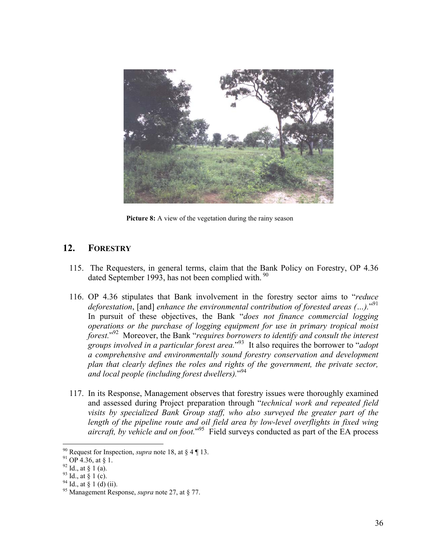

**Picture 8:** A view of the vegetation during the rainy season

#### **12. FORESTRY**

- 115. The Requesters, in general terms, claim that the Bank Policy on Forestry, OP 4.36 dated September 1993, has not been complied with.  $90$
- 116. OP 4.36 stipulates that Bank involvement in the forestry sector aims to "*reduce deforestation*, [and] *enhance the environmental contribution of forested areas (…).*" 91 In pursuit of these objectives, the Bank "*does not finance commercial logging operations or the purchase of logging equipment for use in primary tropical moist forest.*" 92 Moreover, the Bank "*requires borrowers to identify and consult the interest groups involved in a particular forest area.*" 93 It also requires the borrower to "*adopt a comprehensive and environmentally sound forestry conservation and development plan that clearly defines the roles and rights of the government, the private sector, and local people (including forest dwellers).*" 94
- 117. In its Response, Management observes that forestry issues were thoroughly examined and assessed during Project preparation through "*technical work and repeated field visits by specialized Bank Group staff, who also surveyed the greater part of the length of the pipeline route and oil field area by low-level overflights in fixed wing aircraft, by vehicle and on foot.*" 95 Field surveys conducted as part of the EA process

<sup>&</sup>lt;sup>90</sup> Request for Inspection, *supra* note 18, at  $\S 4 \P 13$ .<br><sup>91</sup> OP 4.36, at  $\S 1$ .

 $92$  Id., at § 1 (a).

 $93$  Id., at § 1 (c).

 $94$  Id., at § 1 (d) (ii).

<sup>95</sup> Management Response, *supra* note 27, at § 77.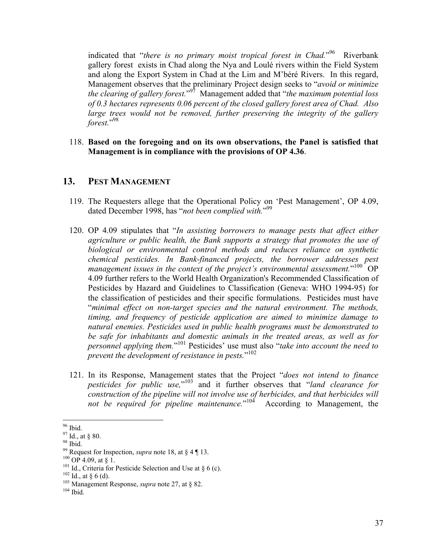indicated that "*there is no primary moist tropical forest in Chad.*"<sup>96</sup> Riverbank gallery forest exists in Chad along the Nya and Loulé rivers within the Field System and along the Export System in Chad at the Lim and M'béré Rivers. In this regard, Management observes that the preliminary Project design seeks to "*avoid or minimize the clearing of gallery forest.*" 97 Management added that "*the maximum potential loss of 0.3 hectares represents 0.06 percent of the closed gallery forest area of Chad. Also*  large trees would not be removed, further preserving the integrity of the gallery *forest.*" 98

#### 118. **Based on the foregoing and on its own observations, the Panel is satisfied that Management is in compliance with the provisions of OP 4.36**.

## **13. PEST MANAGEMENT**

- 119. The Requesters allege that the Operational Policy on 'Pest Management', OP 4.09, dated December 1998, has "not been complied with."<sup>99</sup>
- 120. OP 4.09 stipulates that "*In assisting borrowers to manage pests that affect either agriculture or public health, the Bank supports a strategy that promotes the use of biological or environmental control methods and reduces reliance on synthetic chemical pesticides. In Bank-financed projects, the borrower addresses pest*  management issues in the context of the project's environmental assessment."<sup>100</sup> OP 4.09 further refers to the World Health Organization's Recommended Classification of Pesticides by Hazard and Guidelines to Classification (Geneva: WHO 1994-95) for the classification of pesticides and their specific formulations. Pesticides must have "*minimal effect on non-target species and the natural environment. The methods, timing, and frequency of pesticide application are aimed to minimize damage to natural enemies. Pesticides used in public health programs must be demonstrated to be safe for inhabitants and domestic animals in the treated areas, as well as for personnel applying them.*" 101 Pesticides' use must also "*take into account the need to prevent the development of resistance in pests.*" 102
- 121. In its Response, Management states that the Project "*does not intend to finance pesticides for public use,*" 103 and it further observes that "*land clearance for construction of the pipeline will not involve use of herbicides, and that herbicides will not be required for pipeline maintenance.*" 104 According to Management, the

<sup>&</sup>lt;sup>96</sup> Ibid.

 $^{97}$  Id., at § 80.

<sup>&</sup>lt;sup>98</sup> Ibid. <sup>99</sup> Request for Inspection, *supra* note 18, at § 4  $\P$  13.

<sup>&</sup>lt;sup>100</sup> OP 4.09, at § 1.<br><sup>101</sup> Id., Criteria for Pesticide Selection and Use at § 6 (c).<br><sup>102</sup> Id., at § 6 (d).<br><sup>103</sup> Management Response, *supra* note 27, at § 82.<br><sup>104</sup> Ibid.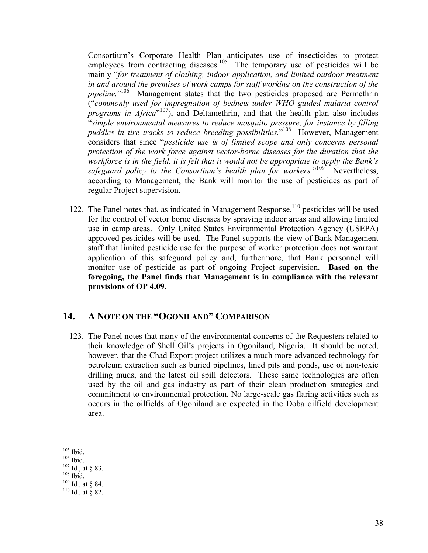Consortium's Corporate Health Plan anticipates use of insecticides to protect employees from contracting diseases.<sup>105</sup> The temporary use of pesticides will be mainly "*for treatment of clothing, indoor application, and limited outdoor treatment in and around the premises of work camps for staff working on the construction of the pipeline.*" 106 Management states that the two pesticides proposed are Permethrin ("*commonly used for impregnation of bednets under WHO guided malaria control programs in Africa*<sup>(107</sup>), and Deltamethrin, and that the health plan also includes "*simple environmental measures to reduce mosquito pressure, for instance by filling puddles in tire tracks to reduce breeding possibilities.*" 108 However, Management considers that since "*pesticide use is of limited scope and only concerns personal protection of the work force against vector-borne diseases for the duration that the workforce is in the field, it is felt that it would not be appropriate to apply the Bank's*  safeguard policy to the Consortium's health plan for workers."<sup>109</sup> Nevertheless, according to Management, the Bank will monitor the use of pesticides as part of regular Project supervision.

122. The Panel notes that, as indicated in Management Response,<sup>110</sup> pesticides will be used for the control of vector borne diseases by spraying indoor areas and allowing limited use in camp areas. Only United States Environmental Protection Agency (USEPA) approved pesticides will be used. The Panel supports the view of Bank Management staff that limited pesticide use for the purpose of worker protection does not warrant application of this safeguard policy and, furthermore, that Bank personnel will monitor use of pesticide as part of ongoing Project supervision. **Based on the foregoing, the Panel finds that Management is in compliance with the relevant provisions of OP 4.09**.

## **14. A NOTE ON THE "OGONILAND" COMPARISON**

123. The Panel notes that many of the environmental concerns of the Requesters related to their knowledge of Shell Oil's projects in Ogoniland, Nigeria. It should be noted, however, that the Chad Export project utilizes a much more advanced technology for petroleum extraction such as buried pipelines, lined pits and ponds, use of non-toxic drilling muds, and the latest oil spill detectors. These same technologies are often used by the oil and gas industry as part of their clean production strategies and commitment to environmental protection. No large-scale gas flaring activities such as occurs in the oilfields of Ogoniland are expected in the Doba oilfield development area.

 $105$  Ibid.

<sup>106</sup> Ibid.<br>
107 Id., at § 83.<br>
109 Id., at § 84.<br>
110 Id., at § 82.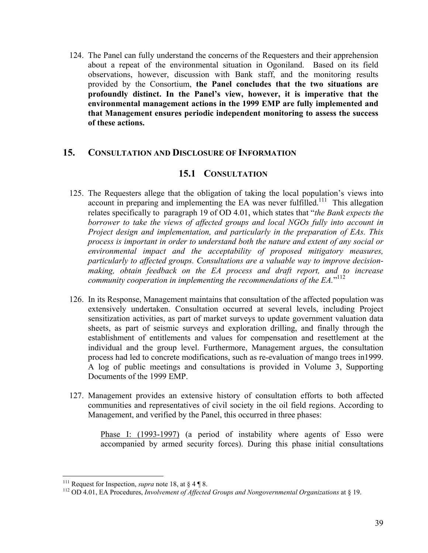124. The Panel can fully understand the concerns of the Requesters and their apprehension about a repeat of the environmental situation in Ogoniland. Based on its field observations, however, discussion with Bank staff, and the monitoring results provided by the Consortium, **the Panel concludes that the two situations are profoundly distinct. In the Panel's view, however, it is imperative that the environmental management actions in the 1999 EMP are fully implemented and that Management ensures periodic independent monitoring to assess the success of these actions.** 

### **15. CONSULTATION AND DISCLOSURE OF INFORMATION**

## **15.1 CONSULTATION**

- 125. The Requesters allege that the obligation of taking the local population's views into account in preparing and implementing the EA was never fulfilled.<sup>111</sup> This allegation relates specifically to paragraph 19 of OD 4.01, which states that "*the Bank expects the*  borrower to take the views of affected groups and local NGOs fully into account in *Project design and implementation, and particularly in the preparation of EAs. This process is important in order to understand both the nature and extent of any social or environmental impact and the acceptability of proposed mitigatory measures, particularly to affected groups. Consultations are a valuable way to improve decisionmaking, obtain feedback on the EA process and draft report, and to increase community cooperation in implementing the recommendations of the EA.*" 112
- 126. In its Response, Management maintains that consultation of the affected population was extensively undertaken. Consultation occurred at several levels, including Project sensitization activities, as part of market surveys to update government valuation data sheets, as part of seismic surveys and exploration drilling, and finally through the establishment of entitlements and values for compensation and resettlement at the individual and the group level. Furthermore, Management argues, the consultation process had led to concrete modifications, such as re-evaluation of mango trees in1999. A log of public meetings and consultations is provided in Volume 3, Supporting Documents of the 1999 EMP.
- 127. Management provides an extensive history of consultation efforts to both affected communities and representatives of civil society in the oil field regions. According to Management, and verified by the Panel, this occurred in three phases:

Phase I: (1993-1997) (a period of instability where agents of Esso were accompanied by armed security forces). During this phase initial consultations

<sup>&</sup>lt;sup>111</sup> Request for Inspection, *supra* note 18, at  $\S 4 \P 8$ .

<sup>&</sup>lt;sup>112</sup> OD 4.01, EA Procedures, *Involvement of Affected Groups and Nongovernmental Organizations* at § 19.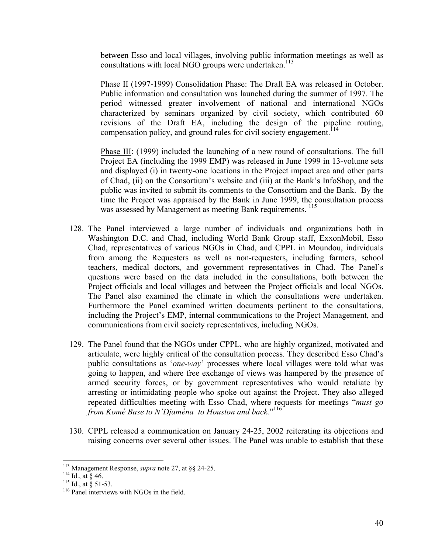between Esso and local villages, involving public information meetings as well as consultations with local NGO groups were undertaken.<sup>113</sup>

Phase II (1997-1999) Consolidation Phase: The Draft EA was released in October. Public information and consultation was launched during the summer of 1997. The period witnessed greater involvement of national and international NGOs characterized by seminars organized by civil society, which contributed 60 revisions of the Draft EA, including the design of the pipeline routing, compensation policy, and ground rules for civil society engagement.<sup>114</sup>

Phase III: (1999) included the launching of a new round of consultations. The full Project EA (including the 1999 EMP) was released in June 1999 in 13-volume sets and displayed (i) in twenty-one locations in the Project impact area and other parts of Chad, (ii) on the Consortium's website and (iii) at the Bank's InfoShop, and the public was invited to submit its comments to the Consortium and the Bank. By the time the Project was appraised by the Bank in June 1999, the consultation process was assessed by Management as meeting Bank requirements. <sup>115</sup>

- 128. The Panel interviewed a large number of individuals and organizations both in Washington D.C. and Chad, including World Bank Group staff, ExxonMobil, Esso Chad, representatives of various NGOs in Chad, and CPPL in Moundou, individuals from among the Requesters as well as non-requesters, including farmers, school teachers, medical doctors, and government representatives in Chad. The Panel's questions were based on the data included in the consultations, both between the Project officials and local villages and between the Project officials and local NGOs. The Panel also examined the climate in which the consultations were undertaken. Furthermore the Panel examined written documents pertinent to the consultations, including the Project's EMP, internal communications to the Project Management, and communications from civil society representatives, including NGOs.
- 129. The Panel found that the NGOs under CPPL, who are highly organized, motivated and articulate, were highly critical of the consultation process. They described Esso Chad's public consultations as '*one-way*' processes where local villages were told what was going to happen, and where free exchange of views was hampered by the presence of armed security forces, or by government representatives who would retaliate by arresting or intimidating people who spoke out against the Project. They also alleged repeated difficulties meeting with Esso Chad, where requests for meetings "*must go from Komé Base to N'Djaména to Houston and back.*" 116
- 130. CPPL released a communication on January 24-25, 2002 reiterating its objections and raising concerns over several other issues. The Panel was unable to establish that these

<sup>&</sup>lt;sup>113</sup> Management Response, *supra* note 27, at §§ 24-25.<br><sup>114</sup> Id., at § 46.<br><sup>115</sup> Id., at § 51-53.<br><sup>116</sup> Panel interviews with NGOs in the field.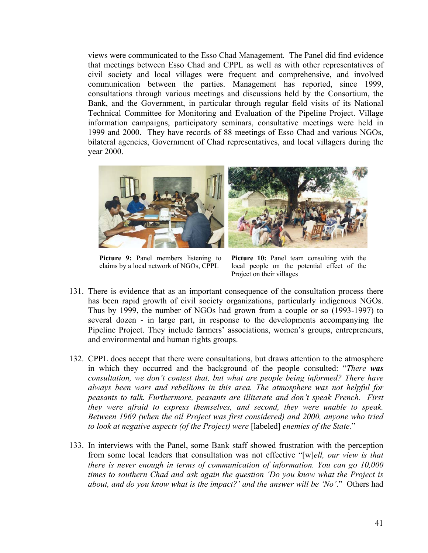views were communicated to the Esso Chad Management. The Panel did find evidence that meetings between Esso Chad and CPPL as well as with other representatives of civil society and local villages were frequent and comprehensive, and involved communication between the parties. Management has reported, since 1999, consultations through various meetings and discussions held by the Consortium, the Bank, and the Government, in particular through regular field visits of its National Technical Committee for Monitoring and Evaluation of the Pipeline Project. Village information campaigns, participatory seminars, consultative meetings were held in 1999 and 2000. They have records of 88 meetings of Esso Chad and various NGOs, bilateral agencies, Government of Chad representatives, and local villagers during the year 2000.



**Picture 9:** Panel members listening to claims by a local network of NGOs, CPPL

Picture 10: Panel team consulting with the local people on the potential effect of the Project on their villages

- 131. There is evidence that as an important consequence of the consultation process there has been rapid growth of civil society organizations, particularly indigenous NGOs. Thus by 1999, the number of NGOs had grown from a couple or so (1993-1997) to several dozen - in large part, in response to the developments accompanying the Pipeline Project. They include farmers' associations, women's groups, entrepreneurs, and environmental and human rights groups.
- 132. CPPL does accept that there were consultations, but draws attention to the atmosphere in which they occurred and the background of the people consulted: "*There was consultation, we don't contest that, but what are people being informed? There have always been wars and rebellions in this area. The atmosphere was not helpful for peasants to talk. Furthermore, peasants are illiterate and don't speak French. First they were afraid to express themselves, and second, they were unable to speak. Between 1969 (when the oil Project was first considered) and 2000, anyone who tried to look at negative aspects (of the Project) were* [labeled] *enemies of the State.*"
- 133. In interviews with the Panel, some Bank staff showed frustration with the perception from some local leaders that consultation was not effective "[w]*ell, our view is that there is never enough in terms of communication of information. You can go 10,000 times to southern Chad and ask again the question 'Do you know what the Project is about, and do you know what is the impact?' and the answer will be 'No'*." Others had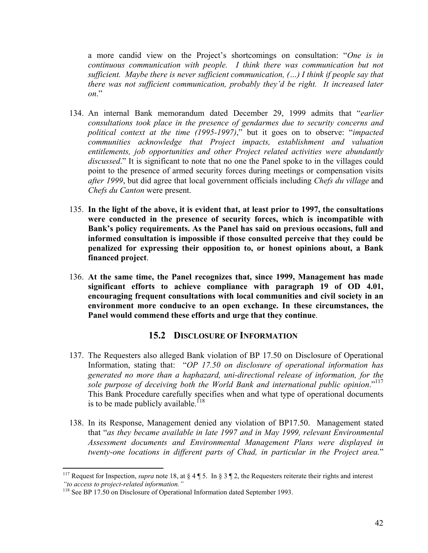a more candid view on the Project's shortcomings on consultation: "*One is in continuous communication with people. I think there was communication but not sufficient. Maybe there is never sufficient communication, (…) I think if people say that there was not sufficient communication, probably they'd be right. It increased later on*."

- 134. An internal Bank memorandum dated December 29, 1999 admits that "*earlier consultations took place in the presence of gendarmes due to security concerns and political context at the time (1995-1997)*," but it goes on to observe: "*impacted communities acknowledge that Project impacts, establishment and valuation entitlements, job opportunities and other Project related activities were abundantly discussed*." It is significant to note that no one the Panel spoke to in the villages could point to the presence of armed security forces during meetings or compensation visits *after 1999*, but did agree that local government officials including *Chefs du village* and *Chefs du Canton* were present.
- 135. **In the light of the above, it is evident that, at least prior to 1997, the consultations were conducted in the presence of security forces, which is incompatible with Bank's policy requirements. As the Panel has said on previous occasions, full and informed consultation is impossible if those consulted perceive that they could be penalized for expressing their opposition to, or honest opinions about, a Bank financed project**.
- 136. **At the same time, the Panel recognizes that, since 1999, Management has made significant efforts to achieve compliance with paragraph 19 of OD 4.01, encouraging frequent consultations with local communities and civil society in an environment more conducive to an open exchange. In these circumstances, the Panel would commend these efforts and urge that they continue**.

#### **15.2 DISCLOSURE OF INFORMATION**

- 137. The Requesters also alleged Bank violation of BP 17.50 on Disclosure of Operational Information, stating that: "*OP 17.50 on disclosure of operational information has generated no more than a haphazard, uni-directional release of information, for the sole purpose of deceiving both the World Bank and international public opinion*."117 This Bank Procedure carefully specifies when and what type of operational documents is to be made publicly available.<sup> $118$ </sup>
- 138. In its Response, Management denied any violation of BP17.50. Management stated that "*as they became available in late 1997 and in May 1999, relevant Environmental Assessment documents and Environmental Management Plans were displayed in twenty-one locations in different parts of Chad, in particular in the Project area.*"

<sup>&</sup>lt;sup>117</sup> Request for Inspection, *supra* note 18, at  $\S 4 \P 5$ . In  $\S 3 \P 2$ , the Requesters reiterate their rights and interest *"to access to project-related information."*

<sup>&</sup>lt;sup>118</sup> See BP 17.50 on Disclosure of Operational Information dated September 1993.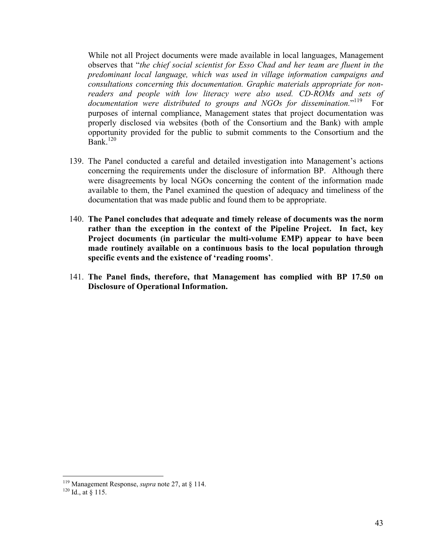While not all Project documents were made available in local languages, Management observes that "*the chief social scientist for Esso Chad and her team are fluent in the predominant local language, which was used in village information campaigns and consultations concerning this documentation. Graphic materials appropriate for nonreaders and people with low literacy were also used. CD-ROMs and sets of*  documentation were distributed to groups and NGOs for dissemination."<sup>119</sup> For purposes of internal compliance, Management states that project documentation was properly disclosed via websites (both of the Consortium and the Bank) with ample opportunity provided for the public to submit comments to the Consortium and the  $Bank$ <sup>120</sup>

- 139. The Panel conducted a careful and detailed investigation into Management's actions concerning the requirements under the disclosure of information BP. Although there were disagreements by local NGOs concerning the content of the information made available to them, the Panel examined the question of adequacy and timeliness of the documentation that was made public and found them to be appropriate.
- 140. **The Panel concludes that adequate and timely release of documents was the norm rather than the exception in the context of the Pipeline Project. In fact, key Project documents (in particular the multi-volume EMP) appear to have been made routinely available on a continuous basis to the local population through specific events and the existence of 'reading rooms'**.
- 141. **The Panel finds, therefore, that Management has complied with BP 17.50 on Disclosure of Operational Information.**

<sup>&</sup>lt;sup>119</sup> Management Response, *supra* note 27, at § 114.<br><sup>120</sup> Id., at § 115.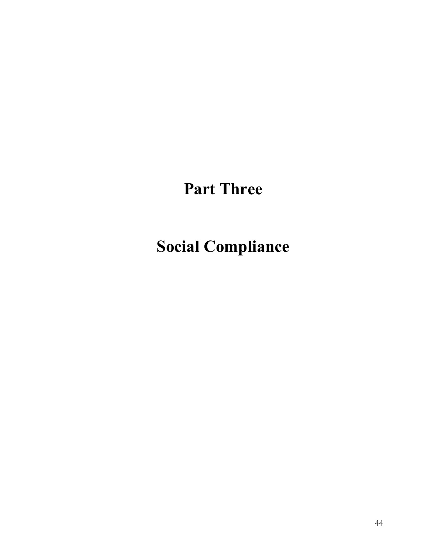## **Part Three**

# **Social Compliance**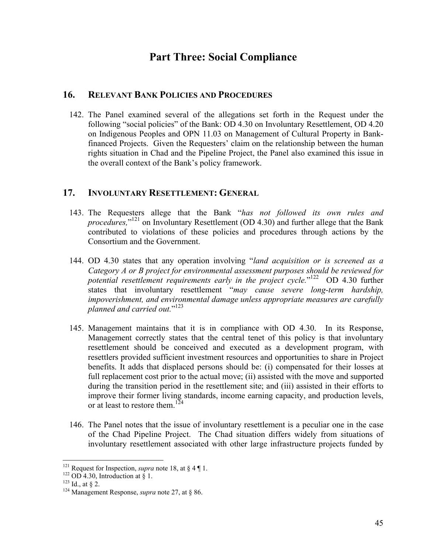## **Part Three: Social Compliance**

## **16. RELEVANT BANK POLICIES AND PROCEDURES**

142. The Panel examined several of the allegations set forth in the Request under the following "social policies" of the Bank: OD 4.30 on Involuntary Resettlement, OD 4.20 on Indigenous Peoples and OPN 11.03 on Management of Cultural Property in Bankfinanced Projects. Given the Requesters' claim on the relationship between the human rights situation in Chad and the Pipeline Project, the Panel also examined this issue in the overall context of the Bank's policy framework.

## **17. INVOLUNTARY RESETTLEMENT: GENERAL**

- 143. The Requesters allege that the Bank "*has not followed its own rules and procedures,*" 121 on Involuntary Resettlement (OD 4.30) and further allege that the Bank contributed to violations of these policies and procedures through actions by the Consortium and the Government.
- 144. OD 4.30 states that any operation involving "*land acquisition or is screened as a Category A or B project for environmental assessment purposes should be reviewed for potential resettlement requirements early in the project cycle.*" 122 OD 4.30 further states that involuntary resettlement "*may cause severe long-term hardship, impoverishment, and environmental damage unless appropriate measures are carefully planned and carried out.*" 123
- 145. Management maintains that it is in compliance with OD 4.30. In its Response, Management correctly states that the central tenet of this policy is that involuntary resettlement should be conceived and executed as a development program, with resettlers provided sufficient investment resources and opportunities to share in Project benefits. It adds that displaced persons should be: (i) compensated for their losses at full replacement cost prior to the actual move; (ii) assisted with the move and supported during the transition period in the resettlement site; and (iii) assisted in their efforts to improve their former living standards, income earning capacity, and production levels, or at least to restore them  $^{124}$
- 146. The Panel notes that the issue of involuntary resettlement is a peculiar one in the case of the Chad Pipeline Project. The Chad situation differs widely from situations of involuntary resettlement associated with other large infrastructure projects funded by

<sup>&</sup>lt;sup>121</sup> Request for Inspection, *supra* note 18, at § 4 ¶ 1.<br><sup>122</sup> OD 4.30, Introduction at § 1.<br><sup>123</sup> Id., at § 2.<br><sup>124</sup> Management Response, *supra* note 27, at § 86.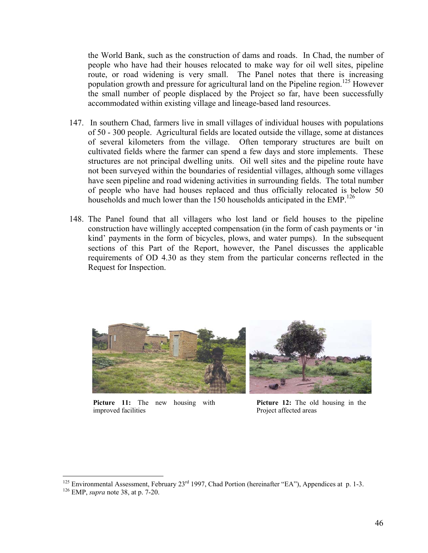the World Bank, such as the construction of dams and roads. In Chad, the number of people who have had their houses relocated to make way for oil well sites, pipeline route, or road widening is very small. The Panel notes that there is increasing population growth and pressure for agricultural land on the Pipeline region.<sup>125</sup> However the small number of people displaced by the Project so far, have been successfully accommodated within existing village and lineage-based land resources.

- 147. In southern Chad, farmers live in small villages of individual houses with populations of 50 - 300 people. Agricultural fields are located outside the village, some at distances of several kilometers from the village. Often temporary structures are built on cultivated fields where the farmer can spend a few days and store implements. These structures are not principal dwelling units. Oil well sites and the pipeline route have not been surveyed within the boundaries of residential villages, although some villages have seen pipeline and road widening activities in surrounding fields. The total number of people who have had houses replaced and thus officially relocated is below 50 households and much lower than the 150 households anticipated in the EMP.<sup>126</sup>
- 148. The Panel found that all villagers who lost land or field houses to the pipeline construction have willingly accepted compensation (in the form of cash payments or 'in kind' payments in the form of bicycles, plows, and water pumps). In the subsequent sections of this Part of the Report, however, the Panel discusses the applicable requirements of OD 4.30 as they stem from the particular concerns reflected in the Request for Inspection.



**Picture 11:** The new housing with improved facilities

**Picture 12:** The old housing in the Project affected areas

<sup>&</sup>lt;sup>125</sup> Environmental Assessment, February 23<sup>rd</sup> 1997, Chad Portion (hereinafter "EA"), Appendices at p. 1-3.<br><sup>126</sup> EMP, *supra* note 38, at p. 7-20.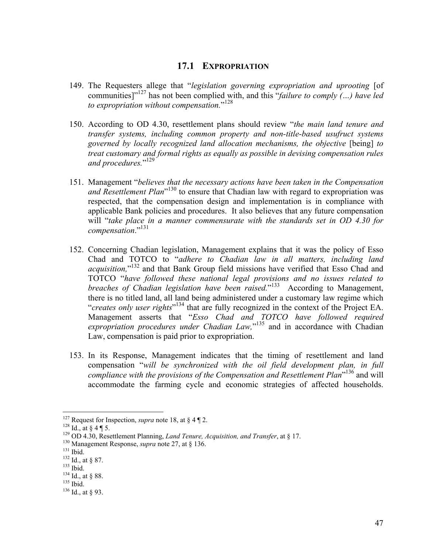#### **17.1 EXPROPRIATION**

- 149. The Requesters allege that "*legislation governing expropriation and uprooting* [of communities]"127 has not been complied with, and this "*failure to comply (…) have led to expropriation without compensation.*" 128
- 150. According to OD 4.30, resettlement plans should review "*the main land tenure and transfer systems, including common property and non-title-based usufruct systems governed by locally recognized land allocation mechanisms, the objective* [being] *to treat customary and formal rights as equally as possible in devising compensation rules*  and procedures."<sup>129</sup>
- 151. Management "*believes that the necessary actions have been taken in the Compensation*  and Resettlement Plan<sup>"130</sup> to ensure that Chadian law with regard to expropriation was respected, that the compensation design and implementation is in compliance with applicable Bank policies and procedures. It also believes that any future compensation will "*take place in a manner commensurate with the standards set in OD 4.30 for compensation*."<sup>131</sup>
- 152. Concerning Chadian legislation, Management explains that it was the policy of Esso Chad and TOTCO to "*adhere to Chadian law in all matters, including land*  acquisition,"<sup>132</sup> and that Bank Group field missions have verified that Esso Chad and TOTCO "*have followed these national legal provisions and no issues related to breaches of Chadian legislation have been raised.*" 133 According to Management, there is no titled land, all land being administered under a customary law regime which "*creates only user rights*"<sup>134</sup> that are fully recognized in the context of the Project EA. Management asserts that "*Esso Chad and TOTCO have followed required expropriation procedures under Chadian Law,*" 135 and in accordance with Chadian Law, compensation is paid prior to expropriation.
- 153. In its Response, Management indicates that the timing of resettlement and land compensation "*will be synchronized with the oil field development plan, in full compliance with the provisions of the Compensation and Resettlement Plan*" 136 and will accommodate the farming cycle and economic strategies of affected households.

<sup>&</sup>lt;sup>127</sup> Request for Inspection, *supra* note 18, at  $\S 4 \P 2$ .

<sup>&</sup>lt;sup>128</sup> Id., at § 4 ¶ 5.<br><sup>129</sup> OD 4.30, Resettlement Planning, *Land Tenure, Acquisition, and Transfer*, at § 17.<br><sup>130</sup> Management Response, *supra* note 27, at § 136.<br><sup>131</sup> Id., at § 87.<br><sup>132</sup> Id., at § 87.<br><sup>132</sup> Id., at §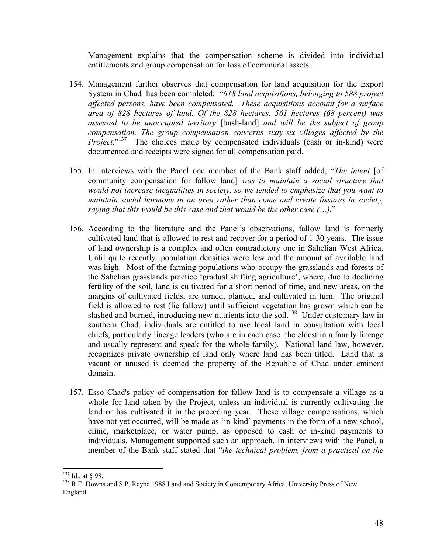Management explains that the compensation scheme is divided into individual entitlements and group compensation for loss of communal assets.

- 154. Management further observes that compensation for land acquisition for the Export System in Chad has been completed: "*618 land acquisitions, belonging to 588 project affected persons, have been compensated. These acquisitions account for a surface area of 828 hectares of land. Of the 828 hectares, 561 hectares (68 percent) was assessed to be unoccupied territory* [bush-land] *and will be the subject of group compensation. The group compensation concerns sixty-six villages affected by the Project.*"<sup>137</sup> The choices made by compensated individuals (cash or in-kind) were documented and receipts were signed for all compensation paid.
- 155. In interviews with the Panel one member of the Bank staff added, "*The intent* [of community compensation for fallow land] *was to maintain a social structure that would not increase inequalities in society, so we tended to emphasize that you want to maintain social harmony in an area rather than come and create fissures in society, saying that this would be this case and that would be the other case (…).*"
- 156. According to the literature and the Panel's observations, fallow land is formerly cultivated land that is allowed to rest and recover for a period of 1-30 years. The issue of land ownership is a complex and often contradictory one in Sahelian West Africa. Until quite recently, population densities were low and the amount of available land was high. Most of the farming populations who occupy the grasslands and forests of the Sahelian grasslands practice 'gradual shifting agriculture', where, due to declining fertility of the soil, land is cultivated for a short period of time, and new areas, on the margins of cultivated fields, are turned, planted, and cultivated in turn. The original field is allowed to rest (lie fallow) until sufficient vegetation has grown which can be slashed and burned, introducing new nutrients into the soil.<sup>138</sup> Under customary law in southern Chad, individuals are entitled to use local land in consultation with local chiefs, particularly lineage leaders (who are in each case the eldest in a family lineage and usually represent and speak for the whole family). National land law, however, recognizes private ownership of land only where land has been titled. Land that is vacant or unused is deemed the property of the Republic of Chad under eminent domain.
- 157. Esso Chad's policy of compensation for fallow land is to compensate a village as a whole for land taken by the Project, unless an individual is currently cultivating the land or has cultivated it in the preceding year. These village compensations, which have not yet occurred, will be made as 'in-kind' payments in the form of a new school, clinic, marketplace, or water pump, as opposed to cash or in-kind payments to individuals. Management supported such an approach. In interviews with the Panel, a member of the Bank staff stated that "*the technical problem, from a practical on the*

 $137$  Id., at § 98.

<sup>&</sup>lt;sup>138</sup> R.E. Downs and S.P. Reyna 1988 Land and Society in Contemporary Africa, University Press of New England.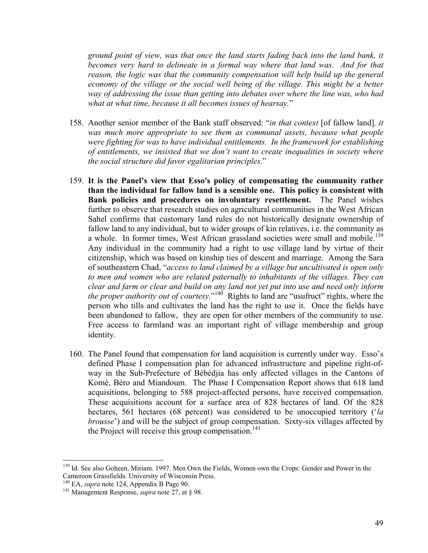*ground point of view, was that once the land starts fading back into the land bank, it becomes very hard to delineate in a formal way where that land was. And for that reason, the logic was that the community compensation will help build up the general* economy of the village or the social well being of the village. This might be a better *way of addressing the issue than getting into debates over where the line was, who had what at what time, because it all becomes issues of hearsay.*"

- 158. Another senior member of the Bank staff observed: "*in that context* [of fallow land]*, it was much more appropriate to see them as communal assets, because what people were fighting for was to have individual entitlements. In the framework for establishing of entitlements, we insisted that we don't want to create inequalities in society where the social structure did favor egalitarian principles.*"
- 159. **It is the Panel's view that Esso's policy of compensating the community rather than the individual for fallow land is a sensible one. This policy is consistent with Bank policies and procedures on involuntary resettlement.** The Panel wishes further to observe that research studies on agricultural communities in the West African Sahel confirms that customary land rules do not historically designate ownership of fallow land to any individual, but to wider groups of kin relatives, i.e. the community as a whole. In former times, West African grassland societies were small and mobile.<sup>139</sup> Any individual in the community had a right to use village land by virtue of their citizenship, which was based on kinship ties of descent and marriage. Among the Sara of southeastern Chad, "*access to land claimed by a village but uncultivated is open only to men and women who are related paternally to inhabitants of the villages. They can clear and farm or clear and build on any land not yet put into use and need only inform the proper authority out of courtesy.*" 140 Rights to land are "usufruct" rights, where the person who tills and cultivates the land has the right to use it. Once the fields have been abandoned to fallow, they are open for other members of the community to use. Free access to farmland was an important right of village membership and group identity.
- 160. The Panel found that compensation for land acquisition is currently under way. Esso's defined Phase I compensation plan for advanced infrastructure and pipeline right-ofway in the Sub-Prefecture of Bébédjia has only affected villages in the Cantons of Komé, Béro and Miandoum. The Phase I Compensation Report shows that 618 land acquisitions, belonging to 588 project-affected persons, have received compensation. These acquisitions account for a surface area of 828 hectares of land. Of the 828 hectares, 561 hectares (68 percent) was considered to be unoccupied territory ('*la brousse*') and will be the subject of group compensation. Sixty-six villages affected by the Project will receive this group compensation.<sup>141</sup>

<sup>&</sup>lt;sup>139</sup> Id. See also Goheen, Miriam. 1997. Men Own the Fields, Women own the Crops: Gender and Power in the Cameroon Grassfields. University of Wisconsin Press.<br><sup>140</sup> EA, *supra* note 124, Appendix B Page 90.<br><sup>141</sup> Management Response, *supra* note 27, at § 98.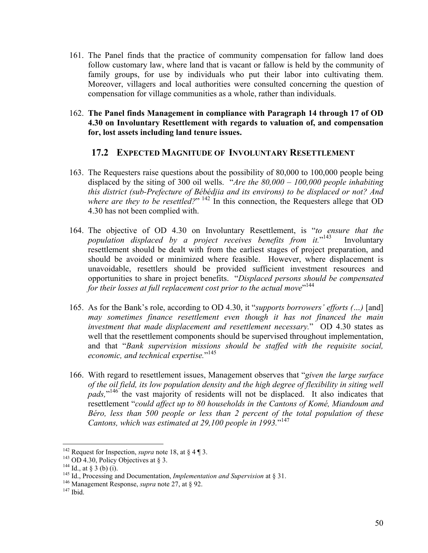- 161. The Panel finds that the practice of community compensation for fallow land does follow customary law, where land that is vacant or fallow is held by the community of family groups, for use by individuals who put their labor into cultivating them. Moreover, villagers and local authorities were consulted concerning the question of compensation for village communities as a whole, rather than individuals.
- 162. **The Panel finds Management in compliance with Paragraph 14 through 17 of OD 4.30 on Involuntary Resettlement with regards to valuation of, and compensation for, lost assets including land tenure issues.**

## **17.2 EXPECTED MAGNITUDE OF INVOLUNTARY RESETTLEMENT**

- 163. The Requesters raise questions about the possibility of 80,000 to 100,000 people being displaced by the siting of 300 oil wells. "*Are the 80,000 – 100,000 people inhabiting this district (sub-Prefecture of Bébédjia and its environs) to be displaced or not? And*  where are they to be resettled?"<sup>142</sup> In this connection, the Requesters allege that OD 4.30 has not been complied with.
- 164. The objective of OD 4.30 on Involuntary Resettlement, is "*to ensure that the population displaced by a project receives benefits from it.*"<sup>143</sup> **Involuntary** resettlement should be dealt with from the earliest stages of project preparation, and should be avoided or minimized where feasible. However, where displacement is unavoidable, resettlers should be provided sufficient investment resources and opportunities to share in project benefits. "*Displaced persons should be compensated*  for their losses at full replacement cost prior to the actual move<sup>"144</sup>
- 165. As for the Bank's role, according to OD 4.30, it "*supports borrowers' efforts (…)* [and] *may sometimes finance resettlement even though it has not financed the main investment that made displacement and resettlement necessary.*" OD 4.30 states as well that the resettlement components should be supervised throughout implementation, and that "*Bank supervision missions should be staffed with the requisite social, economic, and technical expertise.*" 145
- 166. With regard to resettlement issues, Management observes that "*given the large surface of the oil field, its low population density and the high degree of flexibility in siting well*  pads,"<sup>146</sup> the vast majority of residents will not be displaced. It also indicates that resettlement "*could affect up to 80 households in the Cantons of Komé, Miandoum and Béro, less than 500 people or less than 2 percent of the total population of these Cantons, which was estimated at 29,100 people in 1993.*" 147

<sup>&</sup>lt;sup>142</sup> Request for Inspection, *supra* note 18, at  $\S 4 \P 3$ .

<sup>&</sup>lt;sup>143</sup> OD 4.30, Policy Objectives at § 3.<br><sup>144</sup> Id., at § 3 (b) (i).<br><sup>145</sup> Id., Processing and Documentation, *Implementation and Supervision* at § 31.<br><sup>146</sup> Management Response, *supra* note 27, at § 92.<br><sup>147</sup> Ibid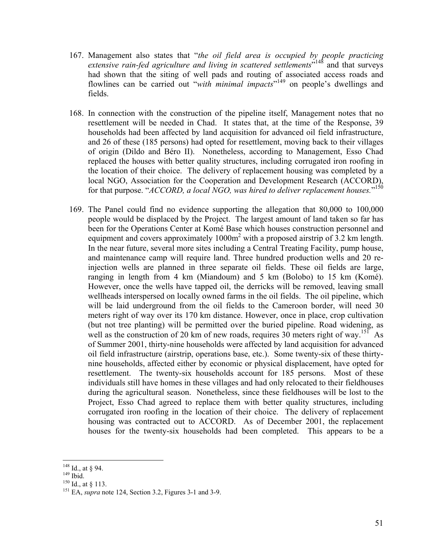- 167. Management also states that "*the oil field area is occupied by people practicing*  extensive rain-fed agriculture and living in scattered settlements<sup>",148</sup> and that surveys had shown that the siting of well pads and routing of associated access roads and flowlines can be carried out "with minimal impacts"<sup>149</sup> on people's dwellings and fields.
- 168. In connection with the construction of the pipeline itself, Management notes that no resettlement will be needed in Chad. It states that, at the time of the Response, 39 households had been affected by land acquisition for advanced oil field infrastructure, and 26 of these (185 persons) had opted for resettlement, moving back to their villages of origin (Dildo and Béro II). Nonetheless, according to Management, Esso Chad replaced the houses with better quality structures, including corrugated iron roofing in the location of their choice. The delivery of replacement housing was completed by a local NGO, Association for the Cooperation and Development Research (ACCORD), for that purpose. "*ACCORD*, a local NGO, was hired to deliver replacement houses."<sup>150</sup>
- 169. The Panel could find no evidence supporting the allegation that 80,000 to 100,000 people would be displaced by the Project.The largest amount of land taken so far has been for the Operations Center at Komé Base which houses construction personnel and equipment and covers approximately  $1000m^2$  with a proposed airstrip of 3.2 km length. In the near future, several more sites including a Central Treating Facility, pump house, and maintenance camp will require land. Three hundred production wells and 20 reinjection wells are planned in three separate oil fields. These oil fields are large, ranging in length from 4 km (Miandoum) and 5 km (Bolobo) to 15 km (Komé). However, once the wells have tapped oil, the derricks will be removed, leaving small wellheads interspersed on locally owned farms in the oil fields. The oil pipeline, which will be laid underground from the oil fields to the Cameroon border, will need 30 meters right of way over its 170 km distance. However, once in place, crop cultivation (but not tree planting) will be permitted over the buried pipeline. Road widening, as well as the construction of 20 km of new roads, requires 30 meters right of way.<sup>151</sup> As of Summer 2001, thirty-nine households were affected by land acquisition for advanced oil field infrastructure (airstrip, operations base, etc.). Some twenty-six of these thirtynine households, affected either by economic or physical displacement, have opted for resettlement. The twenty-six households account for 185 persons. Most of these individuals still have homes in these villages and had only relocated to their fieldhouses during the agricultural season. Nonetheless, since these fieldhouses will be lost to the Project, Esso Chad agreed to replace them with better quality structures, including corrugated iron roofing in the location of their choice. The delivery of replacement housing was contracted out to ACCORD. As of December 2001, the replacement houses for the twenty-six households had been completed. This appears to be a

 $148$  Id., at § 94.

<sup>149</sup> Ibid.<br><sup>150</sup> Id., at § 113.<br><sup>151</sup> EA, *supra* note 124, Section 3.2, Figures 3-1 and 3-9.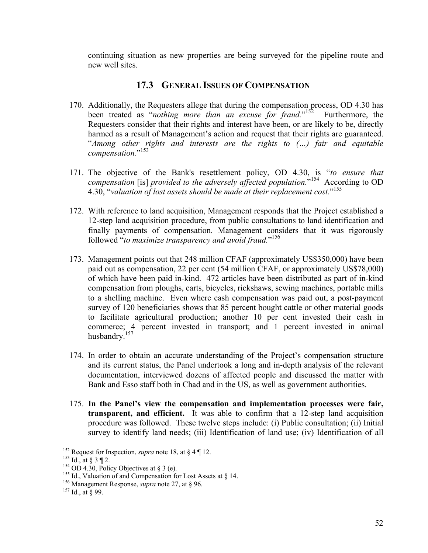continuing situation as new properties are being surveyed for the pipeline route and new well sites.

# **17.3 GENERAL ISSUES OF COMPENSATION**

- 170. Additionally, the Requesters allege that during the compensation process, OD 4.30 has been treated as "*nothing more than an excuse for fraud.*" Furthermore, the Requesters consider that their rights and interest have been, or are likely to be, directly harmed as a result of Management's action and request that their rights are guaranteed. "*Among other rights and interests are the rights to (…) fair and equitable compensation.*" 153
- 171. The objective of the Bank's resettlement policy, OD 4.30, is "*to ensure that compensation* [is] *provided to the adversely affected population.*" 154 According to OD 4.30, "*valuation of lost assets should be made at their replacement cost.*" 155
- 172. With reference to land acquisition, Management responds that the Project established a 12-step land acquisition procedure, from public consultations to land identification and finally payments of compensation. Management considers that it was rigorously followed "*to maximize transparency and avoid fraud.*" 156
- 173. Management points out that 248 million CFAF (approximately US\$350,000) have been paid out as compensation, 22 per cent (54 million CFAF, or approximately US\$78,000) of which have been paid in-kind. 472 articles have been distributed as part of in-kind compensation from ploughs, carts, bicycles, rickshaws, sewing machines, portable mills to a shelling machine. Even where cash compensation was paid out, a post-payment survey of 120 beneficiaries shows that 85 percent bought cattle or other material goods to facilitate agricultural production; another 10 per cent invested their cash in commerce; 4 percent invested in transport; and 1 percent invested in animal husbandry.<sup>157</sup>
- 174. In order to obtain an accurate understanding of the Project's compensation structure and its current status, the Panel undertook a long and in-depth analysis of the relevant documentation, interviewed dozens of affected people and discussed the matter with Bank and Esso staff both in Chad and in the US, as well as government authorities.
- 175. **In the Panel's view the compensation and implementation processes were fair, transparent, and efficient.** It was able to confirm that a 12-step land acquisition procedure was followed. These twelve steps include: (i) Public consultation; (ii) Initial survey to identify land needs; (iii) Identification of land use; (iv) Identification of all

<sup>&</sup>lt;sup>152</sup> Request for Inspection, *supra* note 18, at  $\S$  4  $\P$  12.

<sup>&</sup>lt;sup>153</sup> Id., at § 3 ¶ 2.<br><sup>154</sup> OD 4.30, Policy Objectives at § 3 (e).<br><sup>154</sup> Id., Valuation of and Compensation for Lost Assets at § 14.<br><sup>156</sup> Management Response, *supra* note 27, at § 96.<br><sup>157</sup> Id., at § 99.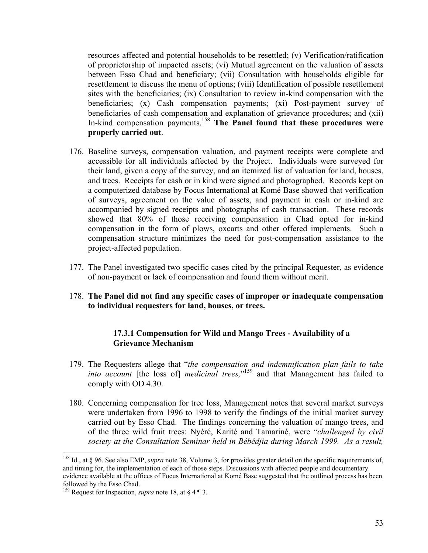resources affected and potential households to be resettled; (v) Verification/ratification of proprietorship of impacted assets; (vi) Mutual agreement on the valuation of assets between Esso Chad and beneficiary; (vii) Consultation with households eligible for resettlement to discuss the menu of options; (viii) Identification of possible resettlement sites with the beneficiaries; (ix) Consultation to review in-kind compensation with the beneficiaries; (x) Cash compensation payments; (xi) Post-payment survey of beneficiaries of cash compensation and explanation of grievance procedures; and (xii) In-kind compensation payments.<sup>158</sup> **The Panel found that these procedures were properly carried out**.

- 176. Baseline surveys, compensation valuation, and payment receipts were complete and accessible for all individuals affected by the Project. Individuals were surveyed for their land, given a copy of the survey, and an itemized list of valuation for land, houses, and trees. Receipts for cash or in kind were signed and photographed. Records kept on a computerized database by Focus International at Komé Base showed that verification of surveys, agreement on the value of assets, and payment in cash or in-kind are accompanied by signed receipts and photographs of cash transaction. These records showed that 80% of those receiving compensation in Chad opted for in-kind compensation in the form of plows, oxcarts and other offered implements. Such a compensation structure minimizes the need for post-compensation assistance to the project-affected population.
- 177. The Panel investigated two specific cases cited by the principal Requester, as evidence of non-payment or lack of compensation and found them without merit.
- 178. **The Panel did not find any specific cases of improper or inadequate compensation to individual requesters for land, houses, or trees.**

## **17.3.1 Compensation for Wild and Mango Trees - Availability of a Grievance Mechanism**

- 179. The Requesters allege that "*the compensation and indemnification plan fails to take*  into account [the loss of] medicinal trees,<sup>"159</sup> and that Management has failed to comply with OD 4.30.
- 180. Concerning compensation for tree loss, Management notes that several market surveys were undertaken from 1996 to 1998 to verify the findings of the initial market survey carried out by Esso Chad. The findings concerning the valuation of mango trees, and of the three wild fruit trees: Nyéré, Karité and Tamariné, were "*challenged by civil society at the Consultation Seminar held in Bébédjia during March 1999. As a result,*

<sup>158</sup> Id., at § 96. See also EMP, *supra* note 38, Volume 3, for provides greater detail on the specific requirements of, and timing for, the implementation of each of those steps. Discussions with affected people and documentary evidence available at the offices of Focus International at Komé Base suggested that the outlined process has been followed by the Esso Chad.

<sup>159</sup> Request for Inspection, *supra* note 18, at § 4 ¶ 3.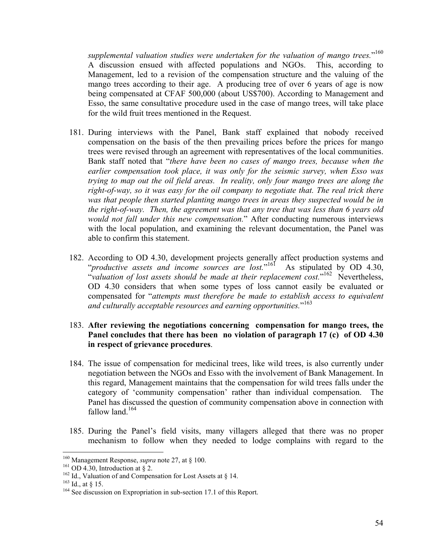supplemental valuation studies were undertaken for the valuation of mango trees."<sup>160</sup> A discussion ensued with affected populations and NGOs. This, according to Management, led to a revision of the compensation structure and the valuing of the mango trees according to their age. A producing tree of over 6 years of age is now being compensated at CFAF 500,000 (about US\$700). According to Management and Esso, the same consultative procedure used in the case of mango trees, will take place for the wild fruit trees mentioned in the Request.

- 181. During interviews with the Panel, Bank staff explained that nobody received compensation on the basis of the then prevailing prices before the prices for mango trees were revised through an agreement with representatives of the local communities. Bank staff noted that "*there have been no cases of mango trees, because when the earlier compensation took place, it was only for the seismic survey, when Esso was trying to map out the oil field areas. In reality, only four mango trees are along the right-of-way, so it was easy for the oil company to negotiate that. The real trick there was that people then started planting mango trees in areas they suspected would be in the right-of-way. Then, the agreement was that any tree that was less than 6 years old would not fall under this new compensation.*" After conducting numerous interviews with the local population, and examining the relevant documentation, the Panel was able to confirm this statement.
- 182. According to OD 4.30, development projects generally affect production systems and "*productive assets and income sources are lost*."<sup>161</sup> As stipulated by OD 4.30, "*valuation of lost assets should be made at their replacement cost.*" 162 Nevertheless, OD 4.30 considers that when some types of loss cannot easily be evaluated or compensated for "*attempts must therefore be made to establish access to equivalent and culturally acceptable resources and earning opportunities.*" 163

## 183. **After reviewing the negotiations concerning compensation for mango trees, the Panel concludes that there has been no violation of paragraph 17 (c) of OD 4.30 in respect of grievance procedures**.

- 184. The issue of compensation for medicinal trees, like wild trees, is also currently under negotiation between the NGOs and Esso with the involvement of Bank Management. In this regard, Management maintains that the compensation for wild trees falls under the category of 'community compensation' rather than individual compensation. The Panel has discussed the question of community compensation above in connection with fallow land  $164$
- 185. During the Panel's field visits, many villagers alleged that there was no proper mechanism to follow when they needed to lodge complains with regard to the

<sup>&</sup>lt;sup>160</sup> Management Response, *supra* note 27, at  $\S$  100.

<sup>&</sup>lt;sup>161</sup> OD 4.30, Introduction at  $\hat{\S}$  2.<br><sup>162</sup> Id., Valuation of and Compensation for Lost Assets at  $\S$  14.<br><sup>163</sup> Id., at  $\S$  15.<br><sup>164</sup> See discussion on Expropriation in sub-section 17.1 of this Report.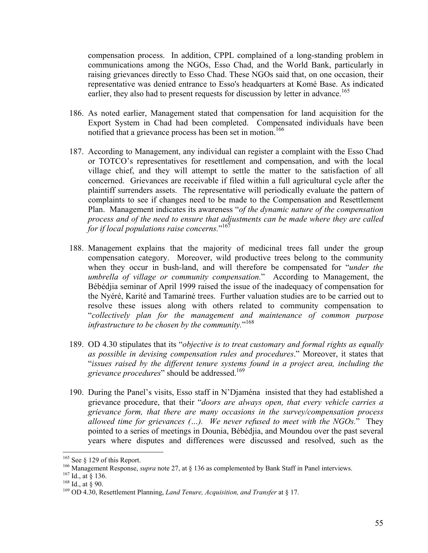compensation process. In addition, CPPL complained of a long-standing problem in communications among the NGOs, Esso Chad, and the World Bank, particularly in raising grievances directly to Esso Chad. These NGOs said that, on one occasion, their representative was denied entrance to Esso's headquarters at Komé Base. As indicated earlier, they also had to present requests for discussion by letter in advance.<sup>165</sup>

- 186. As noted earlier, Management stated that compensation for land acquisition for the Export System in Chad had been completed. Compensated individuals have been notified that a grievance process has been set in motion.<sup>166</sup>
- 187. According to Management, any individual can register a complaint with the Esso Chad or TOTCO's representatives for resettlement and compensation, and with the local village chief, and they will attempt to settle the matter to the satisfaction of all concerned. Grievances are receivable if filed within a full agricultural cycle after the plaintiff surrenders assets. The representative will periodically evaluate the pattern of complaints to see if changes need to be made to the Compensation and Resettlement Plan. Management indicates its awareness "*of the dynamic nature of the compensation process and of the need to ensure that adjustments can be made where they are called for if local populations raise concerns.*" 167
- 188. Management explains that the majority of medicinal trees fall under the group compensation category. Moreover, wild productive trees belong to the community when they occur in bush-land, and will therefore be compensated for "*under the umbrella of village or community compensation.*" According to Management, the Bébédjia seminar of April 1999 raised the issue of the inadequacy of compensation for the Nyéré, Karité and Tamariné trees. Further valuation studies are to be carried out to resolve these issues along with others related to community compensation to "*collectively plan for the management and maintenance of common purpose infrastructure to be chosen by the community.*" 168
- 189. OD 4.30 stipulates that its "*objective is to treat customary and formal rights as equally as possible in devising compensation rules and procedures*." Moreover, it states that "*issues raised by the different tenure systems found in a project area, including the grievance procedures*" should be addressed.169
- 190. During the Panel's visits, Esso staff in N'Djaména insisted that they had established a grievance procedure, that their "*doors are always open, that every vehicle carries a grievance form, that there are many occasions in the survey/compensation process allowed time for grievances (…). We never refused to meet with the NGOs.*" They pointed to a series of meetings in Dounia, Bébédjia, and Moundou over the past several years where disputes and differences were discussed and resolved, such as the

 $165$  See § 129 of this Report.

<sup>&</sup>lt;sup>166</sup> Management Response, *supra* note 27, at § 136 as complemented by Bank Staff in Panel interviews.<br><sup>167</sup> Id., at § 136.<br><sup>168</sup> Id., at § 90.<br><sup>169</sup> OD 4.30. Resettlement Planning, *Land Tenure, Acquisition, and Transfe*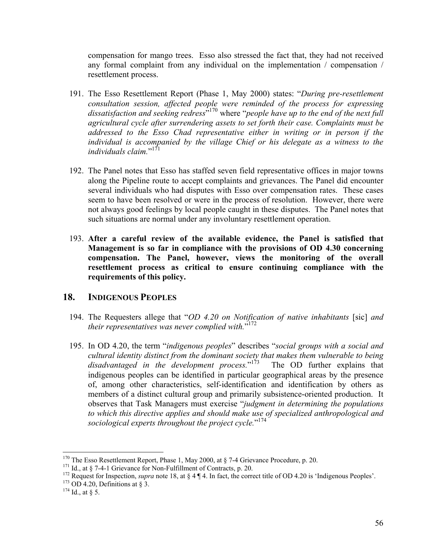compensation for mango trees. Esso also stressed the fact that, they had not received any formal complaint from any individual on the implementation / compensation / resettlement process.

- 191. The Esso Resettlement Report (Phase 1, May 2000) states: "*During pre-resettlement consultation session, affected people were reminded of the process for expressing dissatisfaction and seeking redress*" 170 where "*people have up to the end of the next full agricultural cycle after surrendering assets to set forth their case. Complaints must be addressed to the Esso Chad representative either in writing or in person if the individual is accompanied by the village Chief or his delegate as a witness to the individuals claim.*" 171
- 192. The Panel notes that Esso has staffed seven field representative offices in major towns along the Pipeline route to accept complaints and grievances. The Panel did encounter several individuals who had disputes with Esso over compensation rates. These cases seem to have been resolved or were in the process of resolution. However, there were not always good feelings by local people caught in these disputes. The Panel notes that such situations are normal under any involuntary resettlement operation.
- 193. **After a careful review of the available evidence, the Panel is satisfied that Management is so far in compliance with the provisions of OD 4.30 concerning compensation. The Panel, however, views the monitoring of the overall resettlement process as critical to ensure continuing compliance with the requirements of this policy.**

## **18. INDIGENOUS PEOPLES**

- 194. The Requesters allege that "*OD 4.20 on Notification of native inhabitants* [sic] *and their representatives was never complied with.*" 172
- 195. In OD 4.20, the term "*indigenous peoples*" describes "*social groups with a social and cultural identity distinct from the dominant society that makes them vulnerable to being*  disadvantaged in the development process."<sup>173</sup> The OD further explains that indigenous peoples can be identified in particular geographical areas by the presence of, among other characteristics, self-identification and identification by others as members of a distinct cultural group and primarily subsistence-oriented production. It observes that Task Managers must exercise "*judgment in determining the populations to which this directive applies and should make use of specialized anthropological and sociological experts throughout the project cycle.*" 174

<sup>&</sup>lt;sup>170</sup> The Esso Resettlement Report, Phase 1, May 2000, at § 7-4 Grievance Procedure, p. 20.

<sup>&</sup>lt;sup>171</sup> Id., at § 7-4-1 Grievance for Non-Fulfillment of Contracts, p. 20.<br><sup>172</sup> Request for Inspection, *supra* note 18, at § 4 ¶ 4. In fact, the correct title of OD 4.20 is 'Indigenous Peoples'.<br><sup>173</sup> Id., at § 5.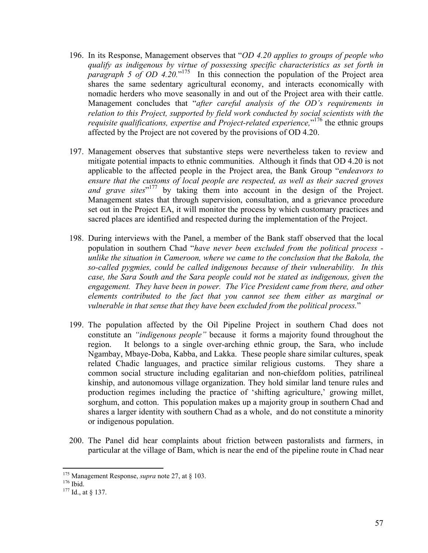- 196. In its Response, Management observes that "*OD 4.20 applies to groups of people who qualify as indigenous by virtue of possessing specific characteristics as set forth in paragraph 5 of OD 4.20.*<sup>"175</sup> In this connection the population of the Project area shares the same sedentary agricultural economy, and interacts economically with nomadic herders who move seasonally in and out of the Project area with their cattle. Management concludes that "*after careful analysis of the OD's requirements in relation to this Project, supported by field work conducted by social scientists with the*  requisite qualifications, expertise and Project-related experience,"<sup>176</sup> the ethnic groups affected by the Project are not covered by the provisions of OD 4.20.
- 197. Management observes that substantive steps were nevertheless taken to review and mitigate potential impacts to ethnic communities. Although it finds that OD 4.20 is not applicable to the affected people in the Project area, the Bank Group "*endeavors to ensure that the customs of local people are respected, as well as their sacred groves*  and grave sites<sup>"177</sup> by taking them into account in the design of the Project. Management states that through supervision, consultation, and a grievance procedure set out in the Project EA, it will monitor the process by which customary practices and sacred places are identified and respected during the implementation of the Project.
- 198. During interviews with the Panel, a member of the Bank staff observed that the local population in southern Chad "*have never been excluded from the political process unlike the situation in Cameroon, where we came to the conclusion that the Bakola, the so-called pygmies, could be called indigenous because of their vulnerability. In this case, the Sara South and the Sara people could not be stated as indigenous, given the engagement. They have been in power. The Vice President came from there, and other elements contributed to the fact that you cannot see them either as marginal or vulnerable in that sense that they have been excluded from the political process.*"
- 199. The population affected by the Oil Pipeline Project in southern Chad does not constitute an *"indigenous people"* because it forms a majority found throughout the region. It belongs to a single over-arching ethnic group, the Sara, who include Ngambay, Mbaye-Doba, Kabba, and Lakka. These people share similar cultures, speak related Chadic languages, and practice similar religious customs. They share a common social structure including egalitarian and non-chiefdom polities, patrilineal kinship, and autonomous village organization. They hold similar land tenure rules and production regimes including the practice of 'shifting agriculture,' growing millet, sorghum, and cotton. This population makes up a majority group in southern Chad and shares a larger identity with southern Chad as a whole, and do not constitute a minority or indigenous population.
- 200. The Panel did hear complaints about friction between pastoralists and farmers, in particular at the village of Bam, which is near the end of the pipeline route in Chad near

<sup>&</sup>lt;sup>175</sup> Management Response, *supra* note 27, at § 103.<br><sup>176</sup> Ibid. <sup>177</sup> Id., at § 137.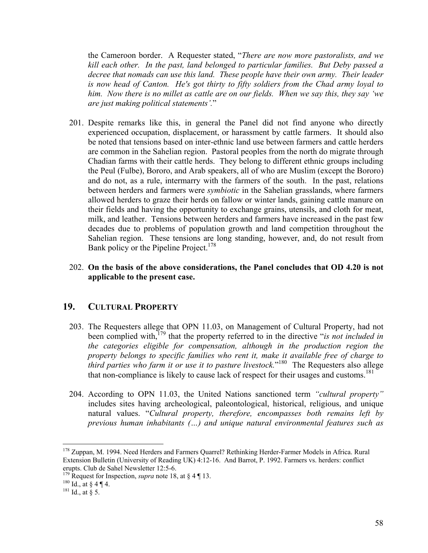the Cameroon border. A Requester stated, "*There are now more pastoralists, and we kill each other. In the past, land belonged to particular families. But Deby passed a decree that nomads can use this land. These people have their own army. Their leader is now head of Canton. He's got thirty to fifty soldiers from the Chad army loyal to him. Now there is no millet as cattle are on our fields. When we say this, they say 'we are just making political statements'.*"

201. Despite remarks like this, in general the Panel did not find anyone who directly experienced occupation, displacement, or harassment by cattle farmers. It should also be noted that tensions based on inter-ethnic land use between farmers and cattle herders are common in the Sahelian region. Pastoral peoples from the north do migrate through Chadian farms with their cattle herds. They belong to different ethnic groups including the Peul (Fulbe), Bororo, and Arab speakers, all of who are Muslim (except the Bororo) and do not, as a rule, intermarry with the farmers of the south. In the past, relations between herders and farmers were *symbiotic* in the Sahelian grasslands, where farmers allowed herders to graze their herds on fallow or winter lands, gaining cattle manure on their fields and having the opportunity to exchange grains, utensils, and cloth for meat, milk, and leather. Tensions between herders and farmers have increased in the past few decades due to problems of population growth and land competition throughout the Sahelian region. These tensions are long standing, however, and, do not result from Bank policy or the Pipeline Project.<sup>178</sup>

## 202. **On the basis of the above considerations, the Panel concludes that OD 4.20 is not applicable to the present case.**

## **19. CULTURAL PROPERTY**

- 203. The Requesters allege that OPN 11.03, on Management of Cultural Property, had not been complied with,<sup>179</sup> that the property referred to in the directive "*is not included in the categories eligible for compensation, although in the production region the property belongs to specific families who rent it, make it available free of charge to third parties who farm it or use it to pasture livestock.*" 180 The Requesters also allege that non-compliance is likely to cause lack of respect for their usages and customs.<sup>181</sup>
- 204. According to OPN 11.03, the United Nations sanctioned term *"cultural property"* includes sites having archeological, paleontological, historical, religious, and unique natural values. "*Cultural property, therefore, encompasses both remains left by previous human inhabitants (…) and unique natural environmental features such as*

1

<sup>&</sup>lt;sup>178</sup> Zuppan, M. 1994. Need Herders and Farmers Quarrel? Rethinking Herder-Farmer Models in Africa. Rural Extension Bulletin (University of Reading UK) 4:12-16. And Barrot, P. 1992. Farmers vs. herders: conflict erupts. Club de Sahel Newsletter 12:5-6.

<sup>&</sup>lt;sup>179</sup> Request for Inspection, *supra* note 18, at § 4  $\P$  13.<br><sup>180</sup> Id., at § 4  $\P$  4.<br><sup>181</sup> Id., at § 5.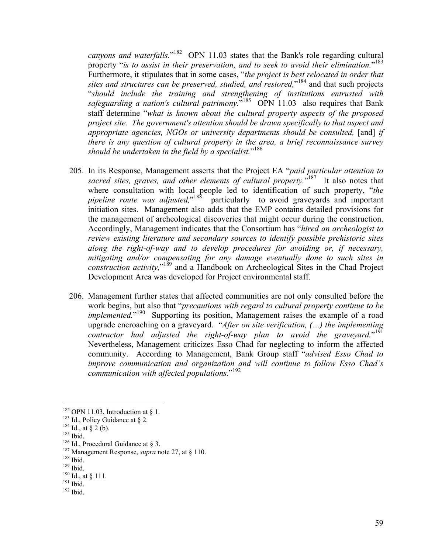canyons and waterfalls."<sup>182</sup> OPN 11.03 states that the Bank's role regarding cultural property "is to assist in their preservation, and to seek to avoid their elimination."<sup>183</sup> Furthermore, it stipulates that in some cases, "*the project is best relocated in order that sites and structures can be preserved, studied, and restored,*" 184 and that such projects "*should include the training and strengthening of institutions entrusted with*  safeguarding a nation's cultural patrimony.<sup>7185</sup> OPN 11.03 also requires that Bank staff determine "*what is known about the cultural property aspects of the proposed project site. The government's attention should be drawn specifically to that aspect and appropriate agencies, NGOs or university departments should be consulted,* [and] *if there is any question of cultural property in the area, a brief reconnaissance survey should be undertaken in the field by a specialist.*" 186

- 205. In its Response, Management asserts that the Project EA "*paid particular attention to*  sacred sites, graves, and other elements of cultural property."<sup>187</sup> It also notes that where consultation with local people led to identification of such property, "*the*  pipeline route was adjusted,"<sup>188</sup> particularly to avoid graveyards and important initiation sites. Management also adds that the EMP contains detailed provisions for the management of archeological discoveries that might occur during the construction. Accordingly, Management indicates that the Consortium has "*hired an archeologist to review existing literature and secondary sources to identify possible prehistoric sites along the right-of-way and to develop procedures for avoiding or, if necessary, mitigating and/or compensating for any damage eventually done to such sites in construction activity*,"<sup>189</sup> and a Handbook on Archeological Sites in the Chad Project Development Area was developed for Project environmental staff.
- 206. Management further states that affected communities are not only consulted before the work begins, but also that "*precautions with regard to cultural property continue to be implemented.*"<sup>190</sup> Supporting its position, Management raises the example of a road upgrade encroaching on a graveyard. "*After on site verification, (…) the implementing contractor had adjusted the right-of-way plan to avoid the graveyard.*" 191 Nevertheless, Management criticizes Esso Chad for neglecting to inform the affected community. According to Management, Bank Group staff "*advised Esso Chad to improve communication and organization and will continue to follow Esso Chad's communication with affected populations.*" 192

 $182$  OPN 11.03, Introduction at § 1.

<sup>&</sup>lt;sup>182</sup> OPN 11.03, Introduction at § 1.<br><sup>183</sup> Id., Policy Guidance at § 2.<br><sup>184</sup> Id., at § 2 (b).<br><sup>185</sup> Ibid.<br><sup>186</sup> Id., Procedural Guidance at § 3.<br><sup>187</sup> Management Response, *supra* note 27, at § 110.<br><sup>188</sup> Ibid.<br><sup>190</sup> Id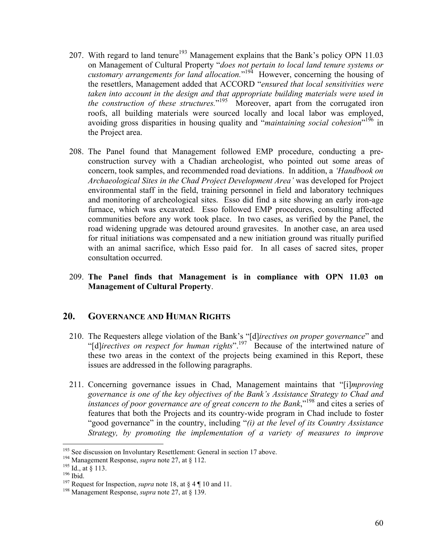- 207. With regard to land tenure<sup>193</sup> Management explains that the Bank's policy OPN  $11.03$ on Management of Cultural Property "*does not pertain to local land tenure systems or customary arrangements for land allocation.*" 194 However, concerning the housing of the resettlers, Management added that ACCORD "*ensured that local sensitivities were taken into account in the design and that appropriate building materials were used in*  the construction of these structures."<sup>195</sup> Moreover, apart from the corrugated iron roofs, all building materials were sourced locally and local labor was employed, avoiding gross disparities in housing quality and "*maintaining social cohesion*" 196 in the Project area.
- 208. The Panel found that Management followed EMP procedure, conducting a preconstruction survey with a Chadian archeologist, who pointed out some areas of concern, took samples, and recommended road deviations. In addition, a *'Handbook on Archaeological Sites in the Chad Project Development Area'* was developed for Project environmental staff in the field, training personnel in field and laboratory techniques and monitoring of archeological sites. Esso did find a site showing an early iron-age furnace, which was excavated. Esso followed EMP procedures, consulting affected communities before any work took place. In two cases, as verified by the Panel, the road widening upgrade was detoured around gravesites. In another case, an area used for ritual initiations was compensated and a new initiation ground was ritually purified with an animal sacrifice, which Esso paid for. In all cases of sacred sites, proper consultation occurred.

## 209. **The Panel finds that Management is in compliance with OPN 11.03 on Management of Cultural Property**.

# **20. GOVERNANCE AND HUMAN RIGHTS**

- 210. The Requesters allege violation of the Bank's "[d]*irectives on proper governance*" and "[d]*irectives on respect for human rights*".197 Because of the intertwined nature of these two areas in the context of the projects being examined in this Report, these issues are addressed in the following paragraphs.
- 211. Concerning governance issues in Chad, Management maintains that "[i]*mproving governance is one of the key objectives of the Bank's Assistance Strategy to Chad and instances of poor governance are of great concern to the Bank*,"198 and cites a series of features that both the Projects and its country-wide program in Chad include to foster "good governance" in the country, including "*(i) at the level of its Country Assistance Strategy, by promoting the implementation of a variety of measures to improve*

<sup>&</sup>lt;sup>193</sup> See discussion on Involuntary Resettlement: General in section 17 above.<br><sup>194</sup> Management Response, *supra* note 27, at § 112.<br><sup>195</sup> Id., at § 113.<br><sup>196</sup> Ibid.<br><sup>197</sup> Request for Inspection, *supra* note 18, at § 4 ¶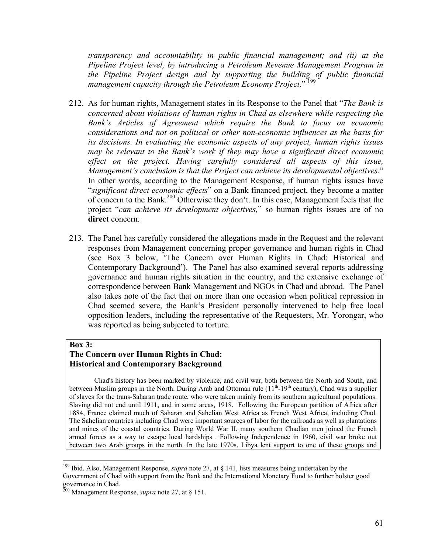*transparency and accountability in public financial management; and (ii) at the Pipeline Project level, by introducing a Petroleum Revenue Management Program in the Pipeline Project design and by supporting the building of public financial management capacity through the Petroleum Economy Project*." 199

- 212. As for human rights, Management states in its Response to the Panel that "*The Bank is concerned about violations of human rights in Chad as elsewhere while respecting the Bank's Articles of Agreement which require the Bank to focus on economic considerations and not on political or other non-economic influences as the basis for its decisions. In evaluating the economic aspects of any project, human rights issues may be relevant to the Bank's work if they may have a significant direct economic effect on the project. Having carefully considered all aspects of this issue, Management's conclusion is that the Project can achieve its developmental objectives*." In other words, according to the Management Response, if human rights issues have "*significant direct economic effects*" on a Bank financed project, they become a matter of concern to the Bank.200 Otherwise they don't. In this case, Management feels that the project "*can achieve its development objectives,*" so human rights issues are of no **direct** concern.
- 213. The Panel has carefully considered the allegations made in the Request and the relevant responses from Management concerning proper governance and human rights in Chad (see Box 3 below, 'The Concern over Human Rights in Chad: Historical and Contemporary Background'). The Panel has also examined several reports addressing governance and human rights situation in the country, and the extensive exchange of correspondence between Bank Management and NGOs in Chad and abroad. The Panel also takes note of the fact that on more than one occasion when political repression in Chad seemed severe, the Bank's President personally intervened to help free local opposition leaders, including the representative of the Requesters, Mr. Yorongar, who was reported as being subjected to torture.

#### **Box 3:**

 $\overline{a}$ 

#### **The Concern over Human Rights in Chad: Historical and Contemporary Background**

Chad's history has been marked by violence, and civil war, both between the North and South, and between Muslim groups in the North. During Arab and Ottoman rule  $(11<sup>th</sup>-19<sup>th</sup>$  century), Chad was a supplier of slaves for the trans-Saharan trade route, who were taken mainly from its southern agricultural populations. Slaving did not end until 1911, and in some areas, 1918. Following the European partition of Africa after 1884, France claimed much of Saharan and Sahelian West Africa as French West Africa, including Chad. The Sahelian countries including Chad were important sources of labor for the railroads as well as plantations and mines of the coastal countries. During World War II, many southern Chadian men joined the French armed forces as a way to escape local hardships . Following Independence in 1960, civil war broke out between two Arab groups in the north. In the late 1970s, Libya lent support to one of these groups and

<sup>199</sup> Ibid. Also, Management Response, *supra* note 27, at § 141, lists measures being undertaken by the Government of Chad with support from the Bank and the International Monetary Fund to further bolster good governance in Chad.

<sup>200</sup> Management Response, *supra* note 27, at § 151.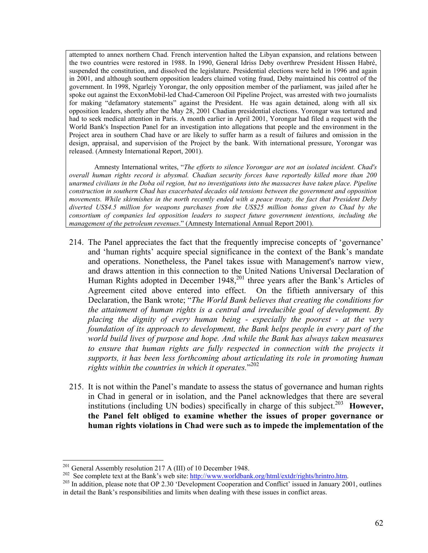attempted to annex northern Chad. French intervention halted the Libyan expansion, and relations between the two countries were restored in 1988. In 1990, General Idriss Deby overthrew President Hissen Habré, suspended the constitution, and dissolved the legislature. Presidential elections were held in 1996 and again in 2001, and although southern opposition leaders claimed voting fraud, Deby maintained his control of the government. In 1998, Ngarlejy Yorongar, the only opposition member of the parliament, was jailed after he spoke out against the ExxonMobil-led Chad-Cameroon Oil Pipeline Project, was arrested with two journalists for making "defamatory statements" against the President. He was again detained, along with all six opposition leaders, shortly after the May 28, 2001 Chadian presidential elections. Yorongar was tortured and had to seek medical attention in Paris. A month earlier in April 2001, Yorongar had filed a request with the World Bank's Inspection Panel for an investigation into allegations that people and the environment in the Project area in southern Chad have or are likely to suffer harm as a result of failures and omission in the design, appraisal, and supervision of the Project by the bank. With international pressure, Yorongar was released. (Amnesty International Report, 2001).

Amnesty International writes, "*The efforts to silence Yorongar are not an isolated incident. Chad's overall human rights record is abysmal. Chadian security forces have reportedly killed more than 200 unarmed civilians in the Doba oil region, but no investigations into the massacres have taken place. Pipeline construction in southern Chad has exacerbated decades old tensions between the government and opposition movements. While skirmishes in the north recently ended with a peace treaty, the fact that President Deby diverted US\$4.5 million for weapons purchases from the US\$25 million bonus given to Chad by the consortium of companies led opposition leaders to suspect future government intentions, including the management of the petroleum revenues*." (Amnesty International Annual Report 2001).

- 214. The Panel appreciates the fact that the frequently imprecise concepts of 'governance' and 'human rights' acquire special significance in the context of the Bank's mandate and operations. Nonetheless, the Panel takes issue with Management's narrow view, and draws attention in this connection to the United Nations Universal Declaration of Human Rights adopted in December 1948, $^{201}$  three years after the Bank's Articles of Agreement cited above entered into effect. On the fiftieth anniversary of this Declaration, the Bank wrote; "*The World Bank believes that creating the conditions for the attainment of human rights is a central and irreducible goal of development. By placing the dignity of every human being - especially the poorest - at the very foundation of its approach to development, the Bank helps people in every part of the world build lives of purpose and hope. And while the Bank has always taken measures*  to ensure that human rights are fully respected in connection with the projects it *supports, it has been less forthcoming about articulating its role in promoting human rights within the countries in which it operates.*" 202
- 215. It is not within the Panel's mandate to assess the status of governance and human rights in Chad in general or in isolation, and the Panel acknowledges that there are several institutions (including UN bodies) specifically in charge of this subject.<sup>203</sup> **However, the Panel felt obliged to examine whether the issues of proper governance or human rights violations in Chad were such as to impede the implementation of the**

<sup>&</sup>lt;sup>201</sup> General Assembly resolution 217 A (III) of 10 December 1948.

<sup>&</sup>lt;sup>202</sup> See complete text at the Bank's web site:  $\frac{http://www.worldbank.org/html/extdr/rights/hrintro.htm}{http://www.worldbank.org/html/extdr/rights/hrintro.htm}$ .<br><sup>203</sup> In addition, please note that OP 2.30 'Development Cooperation and Conflict' issued in January 2001, outlines in detail the Bank's responsibilities and limits when dealing with these issues in conflict areas.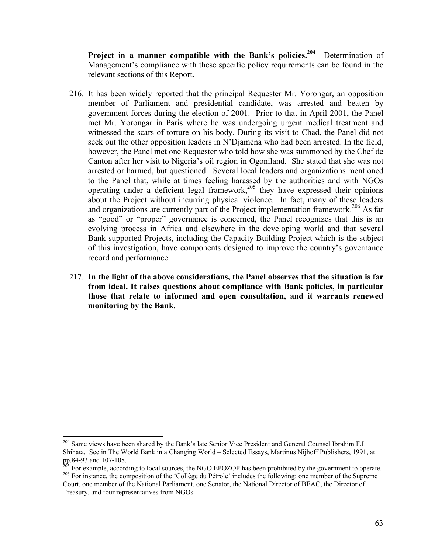**Project in a manner compatible with the Bank's policies.<sup>204</sup> Determination of** Management's compliance with these specific policy requirements can be found in the relevant sections of this Report.

- 216. It has been widely reported that the principal Requester Mr. Yorongar, an opposition member of Parliament and presidential candidate, was arrested and beaten by government forces during the election of 2001. Prior to that in April 2001, the Panel met Mr. Yorongar in Paris where he was undergoing urgent medical treatment and witnessed the scars of torture on his body. During its visit to Chad, the Panel did not seek out the other opposition leaders in N'Djaména who had been arrested. In the field, however, the Panel met one Requester who told how she was summoned by the Chef de Canton after her visit to Nigeria's oil region in Ogoniland. She stated that she was not arrested or harmed, but questioned. Several local leaders and organizations mentioned to the Panel that, while at times feeling harassed by the authorities and with NGOs operating under a deficient legal framework,<sup>205</sup> they have expressed their opinions about the Project without incurring physical violence. In fact, many of these leaders and organizations are currently part of the Project implementation framework.<sup>206</sup> As far as "good" or "proper" governance is concerned, the Panel recognizes that this is an evolving process in Africa and elsewhere in the developing world and that several Bank-supported Projects, including the Capacity Building Project which is the subject of this investigation, have components designed to improve the country's governance record and performance.
- 217. **In the light of the above considerations, the Panel observes that the situation is far from ideal. It raises questions about compliance with Bank policies, in particular those that relate to informed and open consultation, and it warrants renewed monitoring by the Bank.**

1

<sup>&</sup>lt;sup>204</sup> Same views have been shared by the Bank's late Senior Vice President and General Counsel Ibrahim F.I. Shihata. See in The World Bank in a Changing World – Selected Essays, Martinus Nijhoff Publishers, 1991, at pp.84-93 and 107-108.<br><sup>205</sup> For example, according to local sources, the NGO EPOZOP has been prohibited by the government to operate.

<sup>&</sup>lt;sup>206</sup> For instance, the composition of the 'Collège du Pétrole' includes the following: one member of the Supreme Court, one member of the National Parliament, one Senator, the National Director of BEAC, the Director of Treasury, and four representatives from NGOs.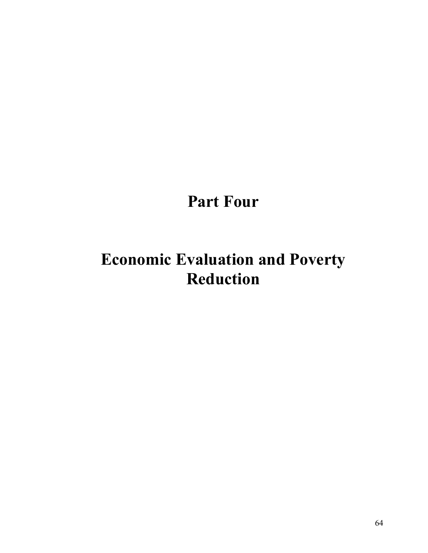# **Part Four**

# **Economic Evaluation and Poverty Reduction**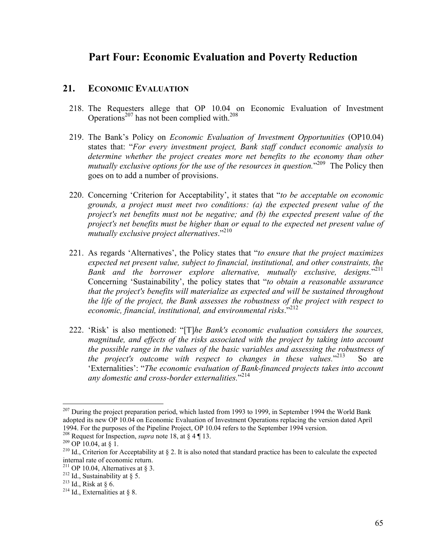# **Part Four: Economic Evaluation and Poverty Reduction**

## **21. ECONOMIC EVALUATION**

- 218. The Requesters allege that OP 10.04 on Economic Evaluation of Investment Operations<sup>207</sup> has not been complied with.<sup>208</sup>
- 219. The Bank's Policy on *Economic Evaluation of Investment Opportunities* (OP10.04) states that: "*For every investment project, Bank staff conduct economic analysis to determine whether the project creates more net benefits to the economy than other*  mutually exclusive options for the use of the resources in question."<sup>209</sup> The Policy then goes on to add a number of provisions.
- 220. Concerning 'Criterion for Acceptability', it states that "*to be acceptable on economic grounds, a project must meet two conditions: (a) the expected present value of the project's net benefits must not be negative; and (b) the expected present value of the project's net benefits must be higher than or equal to the expected net present value of mutually exclusive project alternatives*."210
- 221. As regards 'Alternatives', the Policy states that "*to ensure that the project maximizes expected net present value, subject to financial, institutional, and other constraints, the Bank and the borrower explore alternative, mutually exclusive, designs.*" 211 Concerning 'Sustainability', the policy states that "*to obtain a reasonable assurance that the project's benefits will materialize as expected and will be sustained throughout the life of the project, the Bank assesses the robustness of the project with respect to economic, financial, institutional, and environmental risks*."212
- 222. 'Risk' is also mentioned: "[T]*he Bank's economic evaluation considers the sources, magnitude, and effects of the risks associated with the project by taking into account the possible range in the values of the basic variables and assessing the robustness of the project's outcome with respect to changes in these values.*" So are 'Externalities': "*The economic evaluation of Bank-financed projects takes into account any domestic and cross-border externalities.*" 214

<sup>&</sup>lt;sup>207</sup> During the project preparation period, which lasted from 1993 to 1999, in September 1994 the World Bank adopted its new OP 10.04 on Economic Evaluation of Investment Operations replacing the version dated April 1994. For the purposes of the Pipeline Project, OP 10.04 refers to the September 1994 version.<br><sup>208</sup> Request for Inspection, *supra* note 18, at § 4 ¶ 13.

<sup>&</sup>lt;sup>209</sup> OP 10.04, at § 1.<br><sup>210</sup> Id., Criterion for Acceptability at § 2. It is also noted that standard practice has been to calculate the expected internal rate of economic return.

<sup>&</sup>lt;sup>211</sup> OP 10.04, Alternatives at § 3.<br><sup>212</sup> Id., Sustainability at § 5.<br><sup>213</sup> Id., Risk at § 6.<br><sup>214</sup> Id., Externalities at § 8.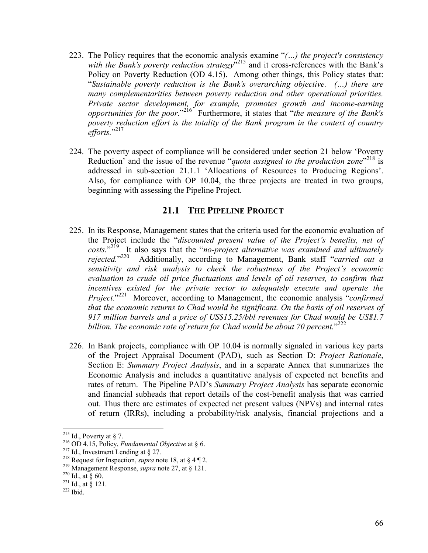- 223. The Policy requires that the economic analysis examine "*(…) the project's consistency*  with the Bank's poverty reduction strategy<sup>",215</sup> and it cross-references with the Bank's Policy on Poverty Reduction (OD 4.15). Among other things, this Policy states that: "*Sustainable poverty reduction is the Bank's overarching objective. (…) there are many complementarities between poverty reduction and other operational priorities. Private sector development, for example, promotes growth and income-earning opportunities for the poor.*" 216 Furthermore, it states that "*the measure of the Bank's poverty reduction effort is the totality of the Bank program in the context of country efforts.*" 217
- 224. The poverty aspect of compliance will be considered under section 21 below 'Poverty Reduction' and the issue of the revenue "*quota assigned to the production zone*"<sup>218</sup> is addressed in sub-section 21.1.1 'Allocations of Resources to Producing Regions'. Also, for compliance with OP 10.04, the three projects are treated in two groups, beginning with assessing the Pipeline Project.

## **21.1 THE PIPELINE PROJECT**

- 225. In its Response, Management states that the criteria used for the economic evaluation of the Project include the "*discounted present value of the Project's benefits, net of costs.*" 219 It also says that the "*no-project alternative was examined and ultimately rejected.*" 220 Additionally, according to Management, Bank staff "*carried out a sensitivity and risk analysis to check the robustness of the Project's economic evaluation to crude oil price fluctuations and levels of oil reserves, to confirm that incentives existed for the private sector to adequately execute and operate the Project.*" 221 Moreover, according to Management, the economic analysis "*confirmed that the economic returns to Chad would be significant. On the basis of oil reserves of 917 million barrels and a price of US\$15.25/bbl revenues for Chad would be US\$1.7 billion. The economic rate of return for Chad would be about 70 percent.*" 222
- 226. In Bank projects, compliance with OP 10.04 is normally signaled in various key parts of the Project Appraisal Document (PAD), such as Section D: *Project Rationale*, Section E: *Summary Project Analysis*, and in a separate Annex that summarizes the Economic Analysis and includes a quantitative analysis of expected net benefits and rates of return. The Pipeline PAD's *Summary Project Analysis* has separate economic and financial subheads that report details of the cost-benefit analysis that was carried out. Thus there are estimates of expected net present values (NPVs) and internal rates of return (IRRs), including a probability/risk analysis, financial projections and a

<sup>&</sup>lt;sup>215</sup> Id., Poverty at § 7.

<sup>&</sup>lt;sup>216</sup> OD 4.15, Policy, *Fundamental Objective* at § 6.<br><sup>217</sup> Id., Investment Lending at § 27.<br><sup>218</sup> Request for Inspection, *supra* note 18, at § 4 ¶ 2.<br><sup>219</sup> Management Response, *supra* note 27, at § 121.<br><sup>220</sup> Id., at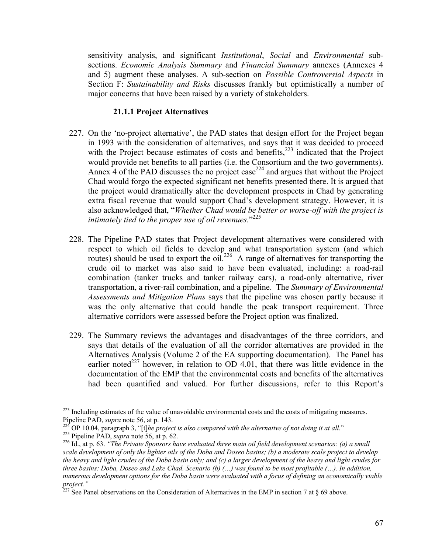sensitivity analysis, and significant *Institutional*, *Social* and *Environmental* subsections. *Economic Analysis Summary* and *Financial Summary* annexes (Annexes 4 and 5) augment these analyses. A sub-section on *Possible Controversial Aspects* in Section F: *Sustainability and Risks* discusses frankly but optimistically a number of major concerns that have been raised by a variety of stakeholders.

#### **21.1.1 Project Alternatives**

- 227. On the 'no-project alternative', the PAD states that design effort for the Project began in 1993 with the consideration of alternatives, and says that it was decided to proceed with the Project because estimates of costs and benefits, $2^{23}$  indicated that the Project would provide net benefits to all parties (i.e. the Consortium and the two governments). Annex 4 of the PAD discusses the no project case<sup>224</sup> and argues that without the Project Chad would forgo the expected significant net benefits presented there. It is argued that the project would dramatically alter the development prospects in Chad by generating extra fiscal revenue that would support Chad's development strategy. However, it is also acknowledged that, "*Whether Chad would be better or worse-off with the project is intimately tied to the proper use of oil revenues.*" 225
- 228. The Pipeline PAD states that Project development alternatives were considered with respect to which oil fields to develop and what transportation system (and which routes) should be used to export the oil.<sup>226</sup> A range of alternatives for transporting the crude oil to market was also said to have been evaluated, including: a road-rail combination (tanker trucks and tanker railway cars), a road-only alternative, river transportation, a river-rail combination, and a pipeline. The *Summary of Environmental Assessments and Mitigation Plans* says that the pipeline was chosen partly because it was the only alternative that could handle the peak transport requirement. Three alternative corridors were assessed before the Project option was finalized.
- 229. The Summary reviews the advantages and disadvantages of the three corridors, and says that details of the evaluation of all the corridor alternatives are provided in the Alternatives Analysis (Volume 2 of the EA supporting documentation). The Panel has earlier noted<sup>227</sup> however, in relation to OD 4.01, that there was little evidence in the documentation of the EMP that the environmental costs and benefits of the alternatives had been quantified and valued. For further discussions, refer to this Report's

1

<sup>&</sup>lt;sup>223</sup> Including estimates of the value of unavoidable environmental costs and the costs of mitigating measures.

Pipeline PAD, *supra* note 56, at p. 143.<br><sup>224</sup> OP 10.04, paragraph 3, "[t]*he project is also compared with the alternative of not doing it at all."*<br><sup>225</sup> Pipeline PAD, *supra* note 56, at p. 62.<br><sup>226</sup> Id., at p. 63. "*T* 

*scale development of only the lighter oils of the Doba and Doseo basins; (b) a moderate scale project to develop the heavy and light crudes of the Doba basin only; and (c) a larger development of the heavy and light crudes for three basins: Doba, Doseo and Lake Chad. Scenario (b) (…) was found to be most profitable (…). In addition, numerous development options for the Doba basin were evaluated with a focus of defining an economically viable project."*

<sup>&</sup>lt;sup>227</sup> See Panel observations on the Consideration of Alternatives in the EMP in section 7 at § 69 above.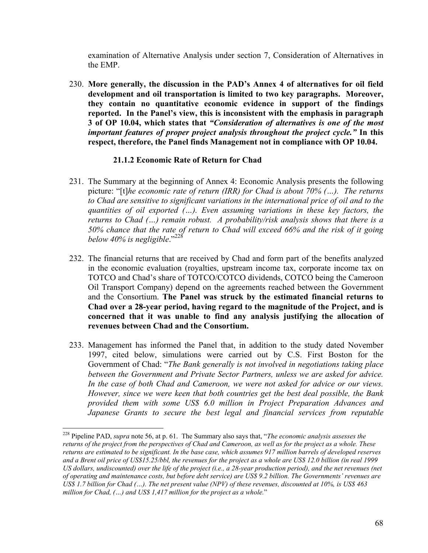examination of Alternative Analysis under section 7, Consideration of Alternatives in the EMP.

230. **More generally, the discussion in the PAD's Annex 4 of alternatives for oil field development and oil transportation is limited to two key paragraphs. Moreover, they contain no quantitative economic evidence in support of the findings reported. In the Panel's view, this is inconsistent with the emphasis in paragraph 3 of OP 10.04, which states that** *"Consideration of alternatives is one of the most important features of proper project analysis throughout the project cycle."* **In this respect, therefore, the Panel finds Management not in compliance with OP 10.04.**

## **21.1.2 Economic Rate of Return for Chad**

- 231. The Summary at the beginning of Annex 4: Economic Analysis presents the following picture: "[t]*he economic rate of return (IRR) for Chad is about 70% (…). The returns to Chad are sensitive to significant variations in the international price of oil and to the quantities of oil exported (…). Even assuming variations in these key factors, the returns to Chad (…) remain robust. A probability/risk analysis shows that there is a 50% chance that the rate of return to Chad will exceed 66% and the risk of it going below 40% is negligible*."228
- 232. The financial returns that are received by Chad and form part of the benefits analyzed in the economic evaluation (royalties, upstream income tax, corporate income tax on TOTCO and Chad's share of TOTCO/COTCO dividends, COTCO being the Cameroon Oil Transport Company) depend on the agreements reached between the Government and the Consortium. **The Panel was struck by the estimated financial returns to Chad over a 28-year period, having regard to the magnitude of the Project, and is concerned that it was unable to find any analysis justifying the allocation of revenues between Chad and the Consortium.**
- 233. Management has informed the Panel that, in addition to the study dated November 1997, cited below, simulations were carried out by C.S. First Boston for the Government of Chad: "*The Bank generally is not involved in negotiations taking place between the Government and Private Sector Partners, unless we are asked for advice. In the case of both Chad and Cameroon, we were not asked for advice or our views. However, since we were keen that both countries get the best deal possible, the Bank provided them with some US\$ 6.0 million in Project Preparation Advances and Japanese Grants to secure the best legal and financial services from reputable*

<sup>228</sup> Pipeline PAD, *supra* note 56, at p. 61. The Summary also says that, "*The economic analysis assesses the returns of the project from the perspectives of Chad and Cameroon, as well as for the project as a whole. These returns are estimated to be significant. In the base case, which assumes 917 million barrels of developed reserves and a Brent oil price of US\$15.25/bbl, the revenues for the project as a whole are US\$ 12.0 billion (in real 1999 US dollars, undiscounted) over the life of the project (i.e., a 28-year production period), and the net revenues (net of operating and maintenance costs, but before debt service) are US\$ 9.2 billion. The Governments' revenues are US\$ 1.7 billion for Chad (…). The net present value (NPV) of these revenues, discounted at 10%, is US\$ 463 million for Chad, (…) and US\$ 1,417 million for the project as a whole.*"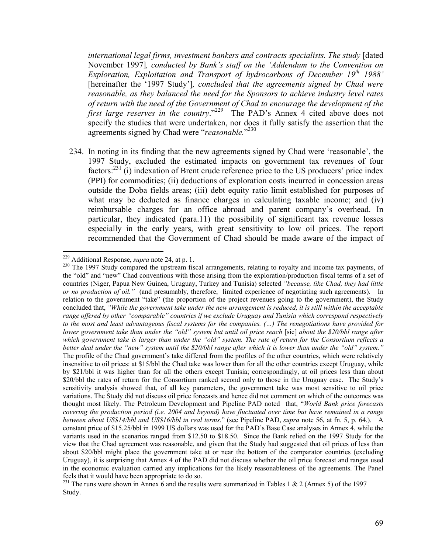*international legal firms, investment bankers and contracts specialists. The study* [dated] November 1997]*, conducted by Bank's staff on the 'Addendum to the Convention on Exploration, Exploitation and Transport of hydrocarbons of December 19<sup>th</sup> 1988'* [hereinafter the '1997 Study']*, concluded that the agreements signed by Chad were reasonable, as they balanced the need for the Sponsors to achieve industry level rates of return with the need of the Government of Chad to encourage the development of the first large reserves in the country.*"<sup>229</sup> The PAD's Annex 4 cited above does not specify the studies that were undertaken, nor does it fully satisfy the assertion that the agreements signed by Chad were "*reasonable.*" 230

234. In noting in its finding that the new agreements signed by Chad were 'reasonable', the 1997 Study, excluded the estimated impacts on government tax revenues of four factors:<sup>231</sup> (i) indexation of Brent crude reference price to the US producers' price index (PPI) for commodities; (ii) deductions of exploration costs incurred in concession areas outside the Doba fields areas; (iii) debt equity ratio limit established for purposes of what may be deducted as finance charges in calculating taxable income; and (iv) reimbursable charges for an office abroad and parent company's overhead. In particular, they indicated (para.11) the possibility of significant tax revenue losses especially in the early years, with great sensitivity to low oil prices. The report recommended that the Government of Chad should be made aware of the impact of

<sup>&</sup>lt;sup>229</sup> Additional Response, *supra* note 24, at p. 1.

<sup>&</sup>lt;sup>230</sup> The 1997 Study compared the upstream fiscal arrangements, relating to royalty and income tax payments, of the "old" and "new" Chad conventions with those arising from the exploration/production fiscal terms of a set of countries (Niger, Papua New Guinea, Uruguay, Turkey and Tunisia) selected *"because, like Chad, they had little or no production of oil."* (and presumably, therefore, limited experience of negotiating such agreements). In relation to the government "take" (the proportion of the project revenues going to the government), the Study concluded that, *"While the government take under the new arrangement is reduced, it is still within the acceptable range offered by other "comparable" countries if we exclude Uruguay and Tunisia which correspond respectively to the most and least advantageous fiscal systems for the companies. (…) The renegotiations have provided for lower government take than under the "old" system but until oil price reach* [sic] about the \$20/bbl range after *which government take is larger than under the "old" system. The rate of return for the Consortium reflects a better deal under the "new" system until the \$20/bbl range after which it is lower than under the "old" system."* The profile of the Chad government's take differed from the profiles of the other countries, which were relatively insensitive to oil prices: at \$15/bbl the Chad take was lower than for all the other countries except Uruguay, while by \$21/bbl it was higher than for all the others except Tunisia; correspondingly, at oil prices less than about \$20/bbl the rates of return for the Consortium ranked second only to those in the Uruguay case. The Study's sensitivity analysis showed that, of all key parameters, the government take was most sensitive to oil price variations. The Study did not discuss oil price forecasts and hence did not comment on which of the outcomes was thought most likely. The Petroleum Development and Pipeline PAD noted that, "*World Bank price forecasts covering the production period (i.e. 2004 and beyond) have fluctuated over time but have remained in a range between about US\$14/bbl and US\$16/bbl in real terms.*" (see Pipeline PAD, *supra* note 56, at fn. 5, p. 64.). A constant price of \$15.25/bbl in 1999 US dollars was used for the PAD's Base Case analyses in Annex 4, while the variants used in the scenarios ranged from \$12.50 to \$18.50. Since the Bank relied on the 1997 Study for the view that the Chad agreement was reasonable, and given that the Study had suggested that oil prices of less than about \$20/bbl might place the government take at or near the bottom of the comparator countries (excluding Uruguay), it is surprising that Annex 4 of the PAD did not discuss whether the oil price forecast and ranges used in the economic evaluation carried any implications for the likely reasonableness of the agreements. The Panel

<sup>&</sup>lt;sup>231</sup> The runs were shown in Annex 6 and the results were summarized in Tables 1 & 2 (Annex 5) of the 1997 Study.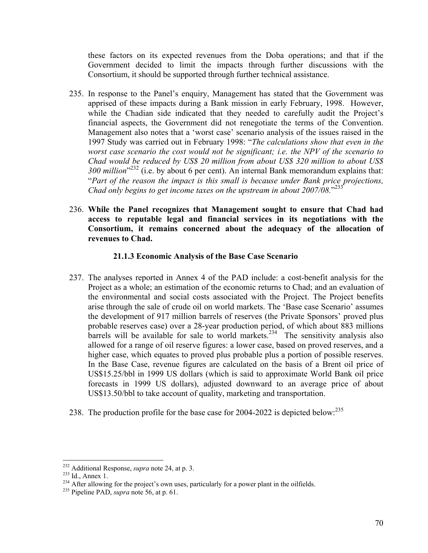these factors on its expected revenues from the Doba operations; and that if the Government decided to limit the impacts through further discussions with the Consortium, it should be supported through further technical assistance.

- 235. In response to the Panel's enquiry, Management has stated that the Government was apprised of these impacts during a Bank mission in early February, 1998. However, while the Chadian side indicated that they needed to carefully audit the Project's financial aspects, the Government did not renegotiate the terms of the Convention. Management also notes that a 'worst case' scenario analysis of the issues raised in the 1997 Study was carried out in February 1998: "*The calculations show that even in the worst case scenario the cost would not be significant; i.e. the NPV of the scenario to Chad would be reduced by US\$ 20 million from about US\$ 320 million to about US\$*  300 million<sup>2232</sup> (i.e. by about 6 per cent). An internal Bank memorandum explains that: "*Part of the reason the impact is this small is because under Bank price projections, Chad only begins to get income taxes on the upstream in about 2007/08.*" 233
- 236. **While the Panel recognizes that Management sought to ensure that Chad had access to reputable legal and financial services in its negotiations with the Consortium, it remains concerned about the adequacy of the allocation of revenues to Chad.**

## **21.1.3 Economic Analysis of the Base Case Scenario**

- 237. The analyses reported in Annex 4 of the PAD include: a cost-benefit analysis for the Project as a whole; an estimation of the economic returns to Chad; and an evaluation of the environmental and social costs associated with the Project. The Project benefits arise through the sale of crude oil on world markets. The 'Base case Scenario' assumes the development of 917 million barrels of reserves (the Private Sponsors' proved plus probable reserves case) over a 28-year production period, of which about 883 millions barrels will be available for sale to world markets.<sup>234</sup> The sensitivity analysis also allowed for a range of oil reserve figures: a lower case, based on proved reserves, and a higher case, which equates to proved plus probable plus a portion of possible reserves. In the Base Case, revenue figures are calculated on the basis of a Brent oil price of US\$15.25/bbl in 1999 US dollars (which is said to approximate World Bank oil price forecasts in 1999 US dollars), adjusted downward to an average price of about US\$13.50/bbl to take account of quality, marketing and transportation.
- 238. The production profile for the base case for 2004-2022 is depicted below:<sup>235</sup>

<sup>&</sup>lt;sup>232</sup> Additional Response, *supra* note 24, at p. 3.

<sup>&</sup>lt;sup>233</sup> Id., Annex 1.<br><sup>234</sup> After allowing for the project's own uses, particularly for a power plant in the oilfields.<br><sup>235</sup> Pipeline PAD, *supra* note 56, at p. 61.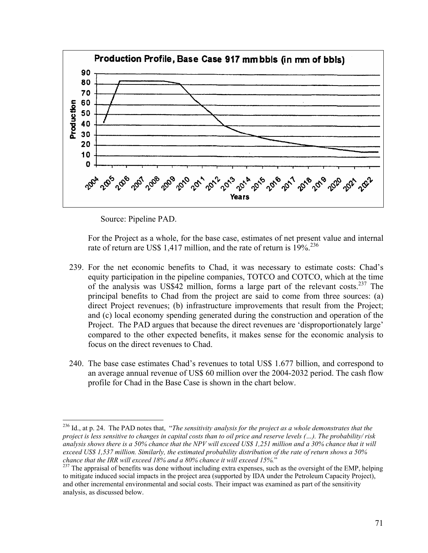

Source: Pipeline PAD.

1

For the Project as a whole, for the base case, estimates of net present value and internal rate of return are US\$ 1,417 million, and the rate of return is  $19\%$ <sup>236</sup>

- 239. For the net economic benefits to Chad, it was necessary to estimate costs: Chad's equity participation in the pipeline companies, TOTCO and COTCO, which at the time of the analysis was US\$42 million, forms a large part of the relevant costs.<sup>237</sup> The principal benefits to Chad from the project are said to come from three sources: (a) direct Project revenues; (b) infrastructure improvements that result from the Project; and (c) local economy spending generated during the construction and operation of the Project. The PAD argues that because the direct revenues are 'disproportionately large' compared to the other expected benefits, it makes sense for the economic analysis to focus on the direct revenues to Chad.
- 240. The base case estimates Chad's revenues to total US\$ 1.677 billion, and correspond to an average annual revenue of US\$ 60 million over the 2004-2032 period. The cash flow profile for Chad in the Base Case is shown in the chart below.

<sup>236</sup> Id., at p. 24. The PAD notes that, "*The sensitivity analysis for the project as a whole demonstrates that the project is less sensitive to changes in capital costs than to oil price and reserve levels (…). The probability/ risk analysis shows there is a 50% chance that the NPV will exceed US\$ 1,251 million and a 30% chance that it will exceed US\$ 1,537 million. Similarly, the estimated probability distribution of the rate of return shows a 50%* 

<sup>&</sup>lt;sup>237</sup> The appraisal of benefits was done without including extra expenses, such as the oversight of the EMP, helping to mitigate induced social impacts in the project area (supported by IDA under the Petroleum Capacity Project), and other incremental environmental and social costs. Their impact was examined as part of the sensitivity analysis, as discussed below.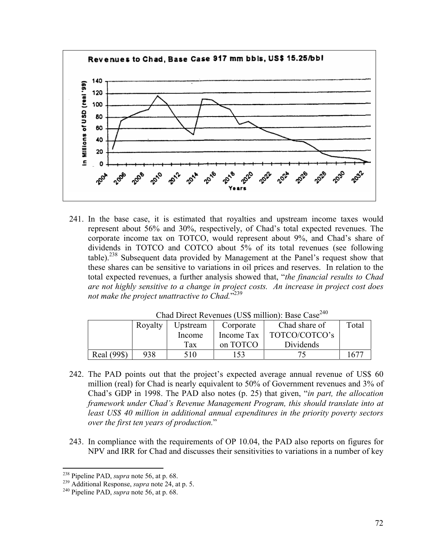

241. In the base case, it is estimated that royalties and upstream income taxes would represent about 56% and 30%, respectively, of Chad's total expected revenues. The corporate income tax on TOTCO, would represent about 9%, and Chad's share of dividends in TOTCO and COTCO about 5% of its total revenues (see following table).<sup>238</sup> Subsequent data provided by Management at the Panel's request show that these shares can be sensitive to variations in oil prices and reserves. In relation to the total expected revenues, a further analysis showed that, "*the financial results to Chad are not highly sensitive to a change in project costs. An increase in project cost does not make the project unattractive to Chad.*" 239

|             | Rovalty | Upstream | Corporate  | Chad share of | Total     |
|-------------|---------|----------|------------|---------------|-----------|
|             |         | Income   | Income Tax | TOTCO/COTCO's |           |
|             |         | Tax      | on TOTCO   | Dividends     |           |
| Real (99\$) | 938     | 510      | 153        |               | $167^{7}$ |

Chad Direct Revenues (US\$ million): Base  $Case<sup>240</sup>$ 

- 242. The PAD points out that the project's expected average annual revenue of US\$ 60 million (real) for Chad is nearly equivalent to 50% of Government revenues and 3% of Chad's GDP in 1998. The PAD also notes (p. 25) that given, "*in part, the allocation framework under Chad's Revenue Management Program, this should translate into at least US\$ 40 million in additional annual expenditures in the priority poverty sectors over the first ten years of production.*"
- 243. In compliance with the requirements of OP 10.04, the PAD also reports on figures for NPV and IRR for Chad and discusses their sensitivities to variations in a number of key

<sup>238</sup> Pipeline PAD, *supra* note 56, at p. 68. 239 Additional Response, *supra* note 24, at p. 5. 240 Pipeline PAD, *supra* note 56, at p. 68.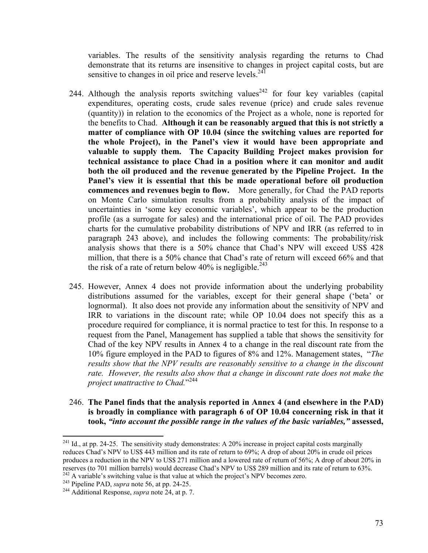variables. The results of the sensitivity analysis regarding the returns to Chad demonstrate that its returns are insensitive to changes in project capital costs, but are sensitive to changes in oil price and reserve levels.<sup>241</sup>

- 244. Although the analysis reports switching values<sup>242</sup> for four key variables (capital expenditures, operating costs, crude sales revenue (price) and crude sales revenue (quantity)) in relation to the economics of the Project as a whole, none is reported for the benefits to Chad. **Although it can be reasonably argued that this is not strictly a matter of compliance with OP 10.04 (since the switching values are reported for the whole Project), in the Panel's view it would have been appropriate and valuable to supply them. The Capacity Building Project makes provision for technical assistance to place Chad in a position where it can monitor and audit both the oil produced and the revenue generated by the Pipeline Project. In the Panel's view it is essential that this be made operational before oil production commences and revenues begin to flow.** More generally, for Chad the PAD reports on Monte Carlo simulation results from a probability analysis of the impact of uncertainties in 'some key economic variables', which appear to be the production profile (as a surrogate for sales) and the international price of oil. The PAD provides charts for the cumulative probability distributions of NPV and IRR (as referred to in paragraph 243 above), and includes the following comments: The probability/risk analysis shows that there is a 50% chance that Chad's NPV will exceed US\$ 428 million, that there is a 50% chance that Chad's rate of return will exceed 66% and that the risk of a rate of return below 40% is negligible.<sup>243</sup>
- 245. However, Annex 4 does not provide information about the underlying probability distributions assumed for the variables, except for their general shape ('beta' or lognormal). It also does not provide any information about the sensitivity of NPV and IRR to variations in the discount rate; while OP 10.04 does not specify this as a procedure required for compliance, it is normal practice to test for this. In response to a request from the Panel, Management has supplied a table that shows the sensitivity for Chad of the key NPV results in Annex 4 to a change in the real discount rate from the 10% figure employed in the PAD to figures of 8% and 12%. Management states, "*The results show that the NPV results are reasonably sensitive to a change in the discount*  rate. However, the results also show that a change in discount rate does not make the *project unattractive to Chad.*" 244
- 246. **The Panel finds that the analysis reported in Annex 4 (and elsewhere in the PAD) is broadly in compliance with paragraph 6 of OP 10.04 concerning risk in that it took,** *"into account the possible range in the values of the basic variables,"* **assessed,**

 $^{241}$  Id., at pp. 24-25. The sensitivity study demonstrates: A 20% increase in project capital costs marginally reduces Chad's NPV to US\$ 443 million and its rate of return to 69%; A drop of about 20% in crude oil prices produces a reduction in the NPV to US\$ 271 million and a lowered rate of return of 56%; A drop of about 20% in reserves (to 701 million barrels) would decrease Chad's NPV to US\$ 289 million and its rate of return to 63%. 242 A variable's switching value is that value at which the project's NPV becomes zero. 243 Pipeline PAD, *supra* note 56, at pp. 24-25. 244 Additional Response, *supra* note 24, at p. 7.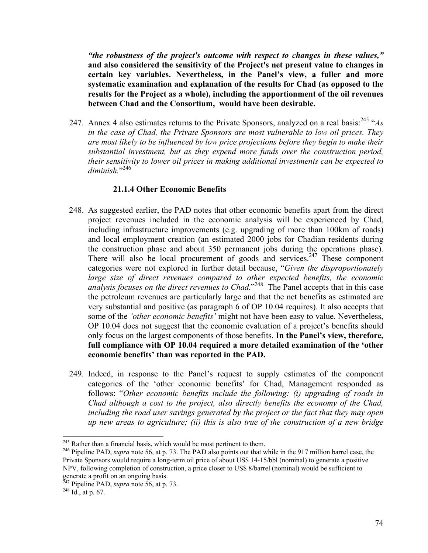*"the robustness of the project's outcome with respect to changes in these values,"* **and also considered the sensitivity of the Project's net present value to changes in certain key variables. Nevertheless, in the Panel's view, a fuller and more systematic examination and explanation of the results for Chad (as opposed to the results for the Project as a whole), including the apportionment of the oil revenues between Chad and the Consortium, would have been desirable.** 

247. Annex 4 also estimates returns to the Private Sponsors, analyzed on a real basis:<sup>245</sup> "As *in the case of Chad, the Private Sponsors are most vulnerable to low oil prices. They are most likely to be influenced by low price projections before they begin to make their substantial investment, but as they expend more funds over the construction period, their sensitivity to lower oil prices in making additional investments can be expected to diminish.*" 246

## **21.1.4 Other Economic Benefits**

- 248. As suggested earlier, the PAD notes that other economic benefits apart from the direct project revenues included in the economic analysis will be experienced by Chad, including infrastructure improvements (e.g. upgrading of more than 100km of roads) and local employment creation (an estimated 2000 jobs for Chadian residents during the construction phase and about 350 permanent jobs during the operations phase). There will also be local procurement of goods and services.<sup>247</sup> These component categories were not explored in further detail because, "*Given the disproportionately*  large size of direct revenues compared to other expected benefits, the economic *analysis focuses on the direct revenues to Chad.*" 248 The Panel accepts that in this case the petroleum revenues are particularly large and that the net benefits as estimated are very substantial and positive (as paragraph 6 of OP 10.04 requires). It also accepts that some of the *'other economic benefits'* might not have been easy to value. Nevertheless, OP 10.04 does not suggest that the economic evaluation of a project's benefits should only focus on the largest components of those benefits. **In the Panel's view, therefore, full compliance with OP 10.04 required a more detailed examination of the 'other economic benefits' than was reported in the PAD.**
- 249. Indeed, in response to the Panel's request to supply estimates of the component categories of the 'other economic benefits' for Chad, Management responded as follows: "*Other economic benefits include the following: (i) upgrading of roads in Chad although a cost to the project, also directly benefits the economy of the Chad, including the road user savings generated by the project or the fact that they may open up new areas to agriculture; (ii) this is also true of the construction of a new bridge*

<sup>&</sup>lt;sup>245</sup> Rather than a financial basis, which would be most pertinent to them.

<sup>&</sup>lt;sup>246</sup> Pipeline PAD, *supra* note 56, at p. 73. The PAD also points out that while in the 917 million barrel case, the Private Sponsors would require a long-term oil price of about US\$ 14-15/bbl (nominal) to generate a positive NPV, following completion of construction, a price closer to US\$ 8/barrel (nominal) would be sufficient to generate a profit on an ongoing basis.

<sup>&</sup>lt;sup>247</sup> Pipeline PAD, *supra* note 56, at p. 73.<br><sup>248</sup> Id., at p. 67.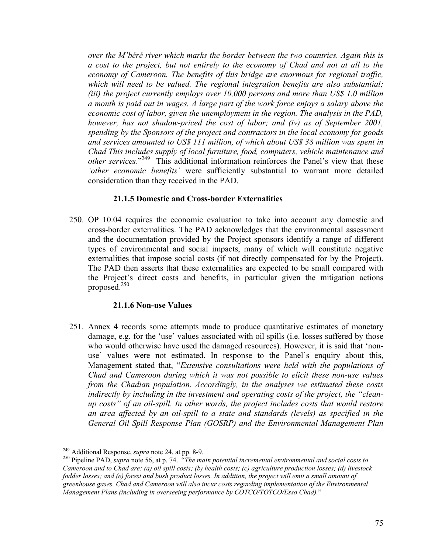*over the M'béré river which marks the border between the two countries. Again this is a cost to the project, but not entirely to the economy of Chad and not at all to the economy of Cameroon. The benefits of this bridge are enormous for regional traffic, which will need to be valued. The regional integration benefits are also substantial; (iii) the project currently employs over 10,000 persons and more than US\$ 1.0 million a month is paid out in wages. A large part of the work force enjoys a salary above the economic cost of labor, given the unemployment in the region. The analysis in the PAD, however, has not shadow-priced the cost of labor; and (iv) as of September 2001, spending by the Sponsors of the project and contractors in the local economy for goods and services amounted to US\$ 111 million, of which about US\$ 38 million was spent in Chad This includes supply of local furniture, food, computers, vehicle maintenance and other services*."249 This additional information reinforces the Panel's view that these *'other economic benefits'* were sufficiently substantial to warrant more detailed consideration than they received in the PAD.

## **21.1.5 Domestic and Cross-border Externalities**

250. OP 10.04 requires the economic evaluation to take into account any domestic and cross-border externalities. The PAD acknowledges that the environmental assessment and the documentation provided by the Project sponsors identify a range of different types of environmental and social impacts, many of which will constitute negative externalities that impose social costs (if not directly compensated for by the Project). The PAD then asserts that these externalities are expected to be small compared with the Project's direct costs and benefits, in particular given the mitigation actions proposed. $250$ 

#### **21.1.6 Non-use Values**

251. Annex 4 records some attempts made to produce quantitative estimates of monetary damage, e.g. for the 'use' values associated with oil spills (i.e. losses suffered by those who would otherwise have used the damaged resources). However, it is said that 'nonuse' values were not estimated. In response to the Panel's enquiry about this, Management stated that, "*Extensive consultations were held with the populations of Chad and Cameroon during which it was not possible to elicit these non-use values from the Chadian population. Accordingly, in the analyses we estimated these costs indirectly by including in the investment and operating costs of the project, the "cleanup costs" of an oil-spill. In other words, the project includes costs that would restore an area affected by an oil-spill to a state and standards (levels) as specified in the General Oil Spill Response Plan (GOSRP) and the Environmental Management Plan* 

1

<sup>249</sup> Additional Response, *supra* note 24, at pp. 8-9. 250 Pipeline PAD, *supra* note 56, at p. 74. "*The main potential incremental environmental and social costs to Cameroon and to Chad are: (a) oil spill costs; (b) health costs; (c) agriculture production losses; (d) livestock fodder losses; and (e) forest and bush product losses. In addition, the project will emit a small amount of greenhouse gases. Chad and Cameroon will also incur costs regarding implementation of the Environmental Management Plans (including in overseeing performance by COTCO/TOTCO/Esso Chad).*"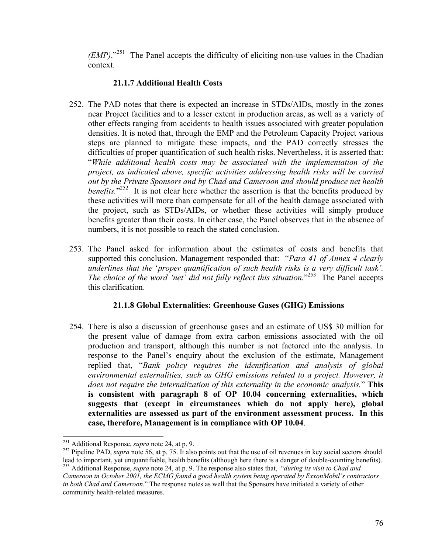*(EMP)*."<sup>251</sup> The Panel accepts the difficulty of eliciting non-use values in the Chadian context.

## **21.1.7 Additional Health Costs**

- 252. The PAD notes that there is expected an increase in STDs/AIDs, mostly in the zones near Project facilities and to a lesser extent in production areas, as well as a variety of other effects ranging from accidents to health issues associated with greater population densities. It is noted that, through the EMP and the Petroleum Capacity Project various steps are planned to mitigate these impacts, and the PAD correctly stresses the difficulties of proper quantification of such health risks. Nevertheless, it is asserted that: "*While additional health costs may be associated with the implementation of the project, as indicated above, specific activities addressing health risks will be carried out by the Private Sponsors and by Chad and Cameroon and should produce net health*  benefits."<sup>252</sup> It is not clear here whether the assertion is that the benefits produced by these activities will more than compensate for all of the health damage associated with the project, such as STDs/AIDs, or whether these activities will simply produce benefits greater than their costs. In either case, the Panel observes that in the absence of numbers, it is not possible to reach the stated conclusion.
- 253. The Panel asked for information about the estimates of costs and benefits that supported this conclusion. Management responded that: "*Para 41 of Annex 4 clearly underlines that the* '*proper quantification of such health risks is a very difficult task'.*  The choice of the word 'net' did not fully reflect this situation."<sup>253</sup> The Panel accepts this clarification.

## **21.1.8 Global Externalities: Greenhouse Gases (GHG) Emissions**

254. There is also a discussion of greenhouse gases and an estimate of US\$ 30 million for the present value of damage from extra carbon emissions associated with the oil production and transport, although this number is not factored into the analysis. In response to the Panel's enquiry about the exclusion of the estimate, Management replied that, "*Bank policy requires the identification and analysis of global environmental externalities, such as GHG emissions related to a project. However, it does not require the internalization of this externality in the economic analysis.*" **This is consistent with paragraph 8 of OP 10.04 concerning externalities, which suggests that (except in circumstances which do not apply here), global externalities are assessed as part of the environment assessment process. In this case, therefore, Management is in compliance with OP 10.04**.

<sup>&</sup>lt;sup>251</sup> Additional Response, *supra* note 24, at p. 9.

<sup>&</sup>lt;sup>252</sup> Pipeline PAD, *supra* note 56, at p. 75. It also points out that the use of oil revenues in key social sectors should lead to important, yet unquantifiable, health benefits (although here there is a danger of double-

<sup>&</sup>lt;sup>253</sup> Additional Response, *supra* note 24, at p. 9. The response also states that, "*during its visit to Chad and Cameroon in October 2001, the ECMG found a good health system being operated by ExxonMobil's contractors in both Chad and Cameroon*." The response notes as well that the Sponsors have initiated a variety of other community health-related measures.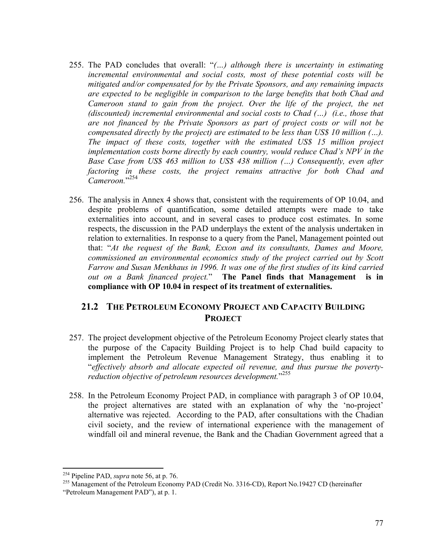- 255. The PAD concludes that overall: "*(…) although there is uncertainty in estimating incremental environmental and social costs, most of these potential costs will be mitigated and/or compensated for by the Private Sponsors, and any remaining impacts are expected to be negligible in comparison to the large benefits that both Chad and Cameroon stand to gain from the project. Over the life of the project, the net (discounted) incremental environmental and social costs to Chad (…) (i.e., those that are not financed by the Private Sponsors as part of project costs or will not be compensated directly by the project) are estimated to be less than US\$ 10 million (…). The impact of these costs, together with the estimated US\$ 15 million project implementation costs borne directly by each country, would reduce Chad's NPV in the Base Case from US\$ 463 million to US\$ 438 million (...) Consequently, even after factoring in these costs, the project remains attractive for both Chad and Cameroon.*" 254
- 256. The analysis in Annex 4 shows that, consistent with the requirements of OP 10.04, and despite problems of quantification, some detailed attempts were made to take externalities into account, and in several cases to produce cost estimates. In some respects, the discussion in the PAD underplays the extent of the analysis undertaken in relation to externalities. In response to a query from the Panel, Management pointed out that: "*At the request of the Bank, Exxon and its consultants, Dames and Moore, commissioned an environmental economics study of the project carried out by Scott Farrow and Susan Menkhaus in 1996. It was one of the first studies of its kind carried out on a Bank financed project.*" **The Panel finds that Management is in compliance with OP 10.04 in respect of its treatment of externalities.**

# **21.2 THE PETROLEUM ECONOMY PROJECT AND CAPACITY BUILDING PROJECT**

- 257. The project development objective of the Petroleum Economy Project clearly states that the purpose of the Capacity Building Project is to help Chad build capacity to implement the Petroleum Revenue Management Strategy, thus enabling it to "*effectively absorb and allocate expected oil revenue, and thus pursue the povertyreduction objective of petroleum resources development.*" 255
- 258. In the Petroleum Economy Project PAD, in compliance with paragraph 3 of OP 10.04, the project alternatives are stated with an explanation of why the 'no-project' alternative was rejected. According to the PAD, after consultations with the Chadian civil society, and the review of international experience with the management of windfall oil and mineral revenue, the Bank and the Chadian Government agreed that a

1

<sup>&</sup>lt;sup>254</sup> Pipeline PAD, *supra* note 56, at p. 76.<br><sup>255</sup> Management of the Petroleum Economy PAD (Credit No. 3316-CD), Report No.19427 CD (hereinafter "Petroleum Management PAD"), at p. 1.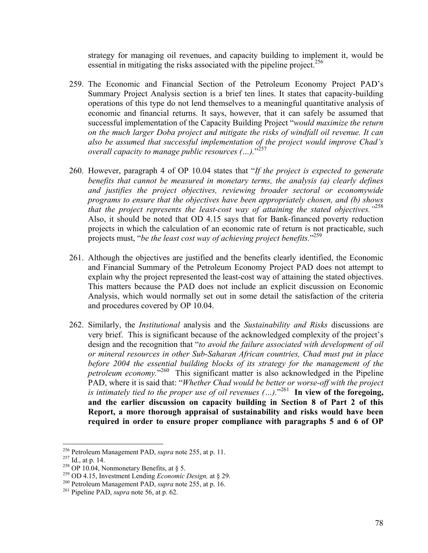strategy for managing oil revenues, and capacity building to implement it, would be essential in mitigating the risks associated with the pipeline project.<sup>256</sup>

- 259. The Economic and Financial Section of the Petroleum Economy Project PAD's Summary Project Analysis section is a brief ten lines. It states that capacity-building operations of this type do not lend themselves to a meaningful quantitative analysis of economic and financial returns. It says, however, that it can safely be assumed that successful implementation of the Capacity Building Project "*would maximize the return on the much larger Doba project and mitigate the risks of windfall oil revenue. It can also be assumed that successful implementation of the project would improve Chad's overall capacity to manage public resources (…).*" 257
- 260. However, paragraph 4 of OP 10.04 states that "*If the project is expected to generate benefits that cannot be measured in monetary terms, the analysis (a) clearly defines and justifies the project objectives, reviewing broader sectoral or economywide programs to ensure that the objectives have been appropriately chosen, and (b) shows that the project represents the least-cost way of attaining the stated objectives."*258 Also, it should be noted that OD 4.15 says that for Bank-financed poverty reduction projects in which the calculation of an economic rate of return is not practicable, such projects must, "*be the least cost way of achieving project benefits.*" 259
- 261. Although the objectives are justified and the benefits clearly identified, the Economic and Financial Summary of the Petroleum Economy Project PAD does not attempt to explain why the project represented the least-cost way of attaining the stated objectives. This matters because the PAD does not include an explicit discussion on Economic Analysis, which would normally set out in some detail the satisfaction of the criteria and procedures covered by OP 10.04.
- 262. Similarly, the *Institutional* analysis and the *Sustainability and Risks* discussions are very brief. This is significant because of the acknowledged complexity of the project's design and the recognition that "*to avoid the failure associated with development of oil or mineral resources in other Sub-Saharan African countries, Chad must put in place before 2004 the essential building blocks of its strategy for the management of the*  petroleum economy."<sup>260</sup> This significant matter is also acknowledged in the Pipeline PAD, where it is said that: "*Whether Chad would be better or worse-off with the project is intimately tied to the proper use of oil revenues (…).*" 261 **In view of the foregoing, and the earlier discussion on capacity building in Section 8 of Part 2 of this Report, a more thorough appraisal of sustainability and risks would have been required in order to ensure proper compliance with paragraphs 5 and 6 of OP**

<sup>&</sup>lt;sup>256</sup> Petroleum Management PAD, *supra* note 255, at p. 11.

<sup>&</sup>lt;sup>257</sup> Id., at p. 14.<br><sup>258</sup> OP 10.04, Nonmonetary Benefits, at § 5.<br><sup>259</sup> OD 4.15, Investment Lending *Economic Design*, at § 29.<br><sup>260</sup> Petroleum Management PAD, *supra* note 255, at p. 16.<br><sup>261</sup> Pipeline PAD, *supra* note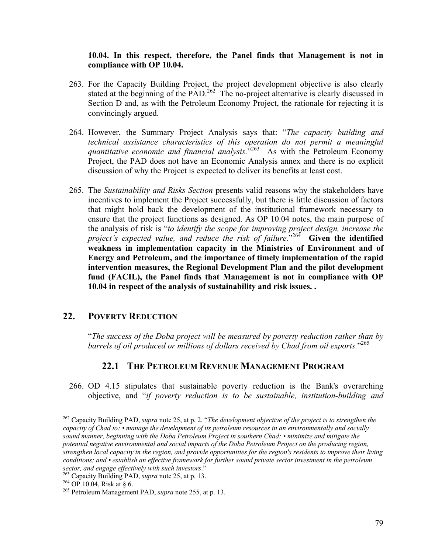## **10.04. In this respect, therefore, the Panel finds that Management is not in compliance with OP 10.04.**

- 263. For the Capacity Building Project, the project development objective is also clearly stated at the beginning of the PAD.<sup>262</sup> The no-project alternative is clearly discussed in Section D and, as with the Petroleum Economy Project, the rationale for rejecting it is convincingly argued.
- 264. However, the Summary Project Analysis says that: "*The capacity building and technical assistance characteristics of this operation do not permit a meaningful quantitative economic and financial analysis.*" 263 As with the Petroleum Economy Project, the PAD does not have an Economic Analysis annex and there is no explicit discussion of why the Project is expected to deliver its benefits at least cost.
- 265. The *Sustainability and Risks Section* presents valid reasons why the stakeholders have incentives to implement the Project successfully, but there is little discussion of factors that might hold back the development of the institutional framework necessary to ensure that the project functions as designed. As OP 10.04 notes, the main purpose of the analysis of risk is "*to identify the scope for improving project design, increase the project's expected value, and reduce the risk of failure.*" 264 **Given the identified weakness in implementation capacity in the Ministries of Environment and of Energy and Petroleum, and the importance of timely implementation of the rapid intervention measures, the Regional Development Plan and the pilot development fund (FACIL), the Panel finds that Management is not in compliance with OP 10.04 in respect of the analysis of sustainability and risk issues. .**

# **22. POVERTY REDUCTION**

"*The success of the Doba project will be measured by poverty reduction rather than by barrels of oil produced or millions of dollars received by Chad from oil exports.*" 265

# **22.1 THE PETROLEUM REVENUE MANAGEMENT PROGRAM**

266. OD 4.15 stipulates that sustainable poverty reduction is the Bank's overarching objective, and "*if poverty reduction is to be sustainable, institution-building and* 

<sup>262</sup> Capacity Building PAD, *supra* note 25, at p. 2. "*The development objective of the project is to strengthen the capacity of Chad to: • manage the development of its petroleum resources in an environmentally and socially sound manner, beginning with the Doba Petroleum Project in southern Chad; • minimize and mitigate the potential negative environmental and social impacts of the Doba Petroleum Project on the producing region, strengthen local capacity in the region, and provide opportunities for the region's residents to improve their living conditions; and • establish an effective framework for further sound private sector investment in the petroleum sector, and engage effectively with such investors*." 263 Capacity Building PAD, *supra* note 25, at p. 13. 264 OP 10.04, Risk at § 6. 265 Petroleum Management PAD, *supra* note 255, at p. 13.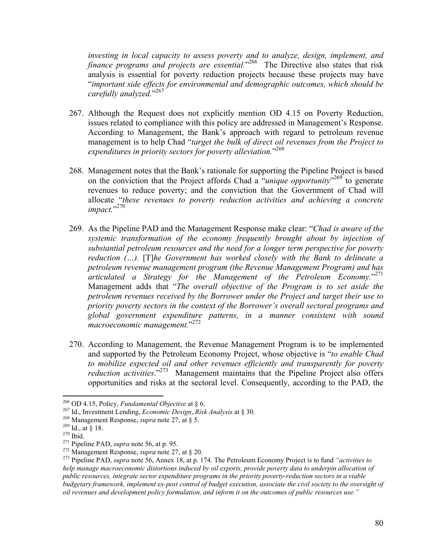*investing in local capacity to assess poverty and to analyze, design, implement, and*  finance programs and projects are essential."<sup>266</sup> The Directive also states that risk analysis is essential for poverty reduction projects because these projects may have "*important side effects for environmental and demographic outcomes, which should be carefully analyzed.*" 267

- 267. Although the Request does not explicitly mention OD 4.15 on Poverty Reduction, issues related to compliance with this policy are addressed in Management's Response. According to Management, the Bank's approach with regard to petroleum revenue management is to help Chad "*target the bulk of direct oil revenues from the Project to expenditures in priority sectors for poverty alleviation.*" 268
- 268. Management notes that the Bank's rationale for supporting the Pipeline Project is based on the conviction that the Project affords Chad a "*unique opportunity*"<sup>269</sup> to generate revenues to reduce poverty; and the conviction that the Government of Chad will allocate "*these revenues to poverty reduction activities and achieving a concrete impact.*" 270
- 269. As the Pipeline PAD and the Management Response make clear: "*Chad is aware of the systemic transformation of the economy frequently brought about by injection of substantial petroleum resources and the need for a longer term perspective for poverty reduction (…).* [T]*he Government has worked closely with the Bank to delineate a petroleum revenue management program (the Revenue Management Program) and has articulated a Strategy for the Management of the Petroleum Economy.*" 271 Management adds that "*The overall objective of the Program is to set aside the petroleum revenues received by the Borrower under the Project and target their use to priority poverty sectors in the context of the Borrower's overall sectoral programs and global government expenditure patterns, in a manner consistent with sound macroeconomic management.*" 272
- 270. According to Management, the Revenue Management Program is to be implemented and supported by the Petroleum Economy Project, whose objective is "*to enable Chad to mobilize expected oil and other revenues efficiently and transparently for poverty*  reduction activities.<sup>273</sup> Management maintains that the Pipeline Project also offers opportunities and risks at the sectoral level. Consequently, according to the PAD, the

<sup>&</sup>lt;sup>266</sup> OD 4.15, Policy, *Fundamental Objective* at  $\S 6$ .

<sup>&</sup>lt;sup>267</sup> Id., Investment Lending, *Economic Design*, *Risk Analysis* at § 30.<br><sup>268</sup> Management Response, *supra* note 27, at § 5.<br><sup>269</sup> Id., at § 18.<br><sup>270</sup> Ibid.<br><sup>271</sup> Pipeline PAD, *supra* note 56, at p. 95.<br><sup>272</sup> Managemen *help manage macroeconomic distortions induced by oil exports, provide poverty data to underpin allocation of public resources, integrate sector expenditure programs in the priority poverty-reduction sectors in a viable budgetary framework, implement ex-post control of budget execution, associate the civil society to the oversight of oil revenues and development policy formulation, and inform it on the outcomes of public resources use."*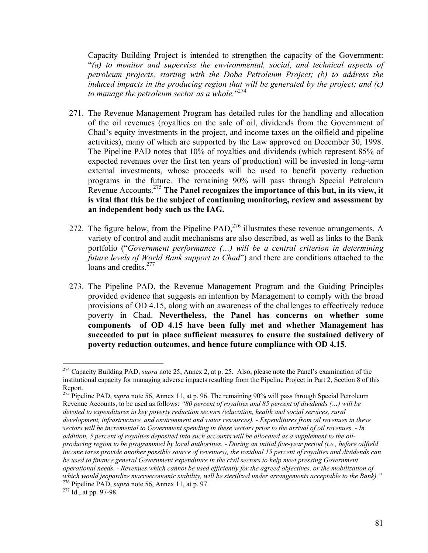Capacity Building Project is intended to strengthen the capacity of the Government: "*(a) to monitor and supervise the environmental, social, and technical aspects of petroleum projects, starting with the Doba Petroleum Project; (b) to address the induced impacts in the producing region that will be generated by the project; and (c) to manage the petroleum sector as a whole.*" 274

- 271. The Revenue Management Program has detailed rules for the handling and allocation of the oil revenues (royalties on the sale of oil, dividends from the Government of Chad's equity investments in the project, and income taxes on the oilfield and pipeline activities), many of which are supported by the Law approved on December 30, 1998. The Pipeline PAD notes that 10% of royalties and dividends (which represent 85% of expected revenues over the first ten years of production) will be invested in long-term external investments, whose proceeds will be used to benefit poverty reduction programs in the future. The remaining 90% will pass through Special Petroleum Revenue Accounts.275 **The Panel recognizes the importance of this but, in its view, it is vital that this be the subject of continuing monitoring, review and assessment by an independent body such as the IAG.**
- 272. The figure below, from the Pipeline  $PAD<sub>z</sub><sup>276</sup>$  illustrates these revenue arrangements. A variety of control and audit mechanisms are also described, as well as links to the Bank portfolio ("*Government performance (…) will be a central criterion in determining future levels of World Bank support to Chad*") and there are conditions attached to the loans and credits.<sup>277</sup>
- 273. The Pipeline PAD, the Revenue Management Program and the Guiding Principles provided evidence that suggests an intention by Management to comply with the broad provisions of OD 4.15, along with an awareness of the challenges to effectively reduce poverty in Chad. **Nevertheless, the Panel has concerns on whether some components of OD 4.15 have been fully met and whether Management has succeeded to put in place sufficient measures to ensure the sustained delivery of poverty reduction outcomes, and hence future compliance with OD 4.15**.

<sup>274</sup> Capacity Building PAD, *supra* note 25, Annex 2, at p. 25. Also, please note the Panel's examination of the institutional capacity for managing adverse impacts resulting from the Pipeline Project in Part 2, Section 8 of this Report.

<sup>&</sup>lt;sup>275</sup> Pipeline PAD, *supra* note 56, Annex 11, at p. 96. The remaining 90% will pass through Special Petroleum Revenue Accounts, to be used as follows: *"80 percent of royalties and 85 percent of dividends (…) will be*  devoted to expenditures in key poverty reduction sectors (education, health and social services, rural *development, infrastructure, and environment and water resources). - Expenditures from oil revenues in these sectors will be incremental to Government spending in these sectors prior to the arrival of oil revenues. - In addition, 5 percent of royalties deposited into such accounts will be allocated as a supplement to the oilproducing region to be programmed by local authorities. - During an initial five-year period (i.e., before oilfield income taxes provide another possible source of revenues), the residual 15 percent of royalties and dividends can be used to finance general Government expenditure in the civil sectors to help meet pressing Government operational needs. - Revenues which cannot be used efficiently for the agreed objectives, or the mobilization of which would jeopardize macroeconomic stability, will be sterilized under arrangements acceptable to the Bank)."*<br><sup>276</sup> Pipeline PAD, *supra* note 56, Annex 11, at p. 97.<br><sup>277</sup> Id., at pp. 97-98.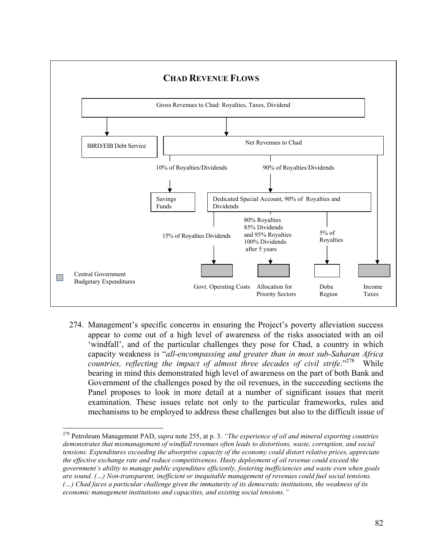

274. Management's specific concerns in ensuring the Project's poverty alleviation success appear to come out of a high level of awareness of the risks associated with an oil 'windfall', and of the particular challenges they pose for Chad, a country in which capacity weakness is "*all-encompassing and greater than in most sub-Saharan Africa*  countries, reflecting the impact of almost three decades of civil strife."<sup>278</sup> While bearing in mind this demonstrated high level of awareness on the part of both Bank and Government of the challenges posed by the oil revenues, in the succeeding sections the Panel proposes to look in more detail at a number of significant issues that merit examination. These issues relate not only to the particular frameworks, rules and mechanisms to be employed to address these challenges but also to the difficult issue of

1

<sup>278</sup> Petroleum Management PAD, *supra* note 255, at p. 3. *"The experience of oil and mineral exporting countries demonstrates that mismanagement of windfall revenues often leads to distortions, waste, corruption, and social tensions. Expenditures exceeding the absorptive capacity of the economy could distort relative prices, appreciate the effective exchange rate and reduce competitiveness. Hasty deployment of oil revenue could exceed the government's ability to manage public expenditure efficiently, fostering inefficiencies and waste even when goals are sound. (…) Non-transparent, inefficient or inequitable management of revenues could fuel social tensions. (…) Chad faces a particular challenge given the immaturity of its democratic institutions, the weakness of its economic management institutions and capacities, and existing social tensions."*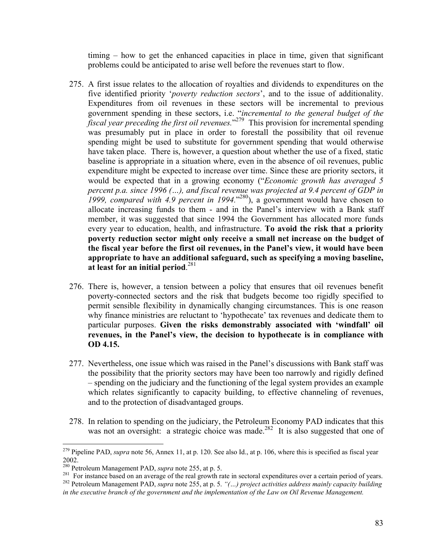timing – how to get the enhanced capacities in place in time, given that significant problems could be anticipated to arise well before the revenues start to flow.

- 275. A first issue relates to the allocation of royalties and dividends to expenditures on the five identified priority '*poverty reduction sectors*', and to the issue of additionality. Expenditures from oil revenues in these sectors will be incremental to previous government spending in these sectors, i.e. "*incremental to the general budget of the*  fiscal year preceding the first oil revenues."<sup>279</sup> This provision for incremental spending was presumably put in place in order to forestall the possibility that oil revenue spending might be used to substitute for government spending that would otherwise have taken place. There is, however, a question about whether the use of a fixed, static baseline is appropriate in a situation where, even in the absence of oil revenues, public expenditure might be expected to increase over time. Since these are priority sectors, it would be expected that in a growing economy ("*Economic growth has averaged 5 percent p.a. since 1996 (…), and fiscal revenue was projected at 9.4 percent of GDP in 1999, compared with 4.9 percent in 1994.*" 280), a government would have chosen to allocate increasing funds to them - and in the Panel's interview with a Bank staff member, it was suggested that since 1994 the Government has allocated more funds every year to education, health, and infrastructure. **To avoid the risk that a priority poverty reduction sector might only receive a small net increase on the budget of the fiscal year before the first oil revenues, in the Panel's view, it would have been appropriate to have an additional safeguard, such as specifying a moving baseline, at least for an initial period**. 281
- 276. There is, however, a tension between a policy that ensures that oil revenues benefit poverty-connected sectors and the risk that budgets become too rigidly specified to permit sensible flexibility in dynamically changing circumstances. This is one reason why finance ministries are reluctant to 'hypothecate' tax revenues and dedicate them to particular purposes. **Given the risks demonstrably associated with 'windfall' oil revenues, in the Panel's view, the decision to hypothecate is in compliance with OD 4.15.**
- 277. Nevertheless, one issue which was raised in the Panel's discussions with Bank staff was the possibility that the priority sectors may have been too narrowly and rigidly defined – spending on the judiciary and the functioning of the legal system provides an example which relates significantly to capacity building, to effective channeling of revenues, and to the protection of disadvantaged groups.
- 278. In relation to spending on the judiciary, the Petroleum Economy PAD indicates that this was not an oversight: a strategic choice was made.<sup>282</sup> It is also suggested that one of

<sup>&</sup>lt;sup>279</sup> Pipeline PAD, *supra* note 56, Annex 11, at p. 120. See also Id., at p. 106, where this is specified as fiscal year 2002.<br><sup>280</sup> Petroleum Management PAD, *supra* note 255, at p. 5.

<sup>&</sup>lt;sup>281</sup> For instance based on an average of the real growth rate in sectoral expenditures over a certain period of years.<br><sup>282</sup> Petroleum Management PAD, *supra* note 255, at p. 5. "(...) project activities address mainly c

*in the executive branch of the government and the implementation of the Law on Oil Revenue Management.*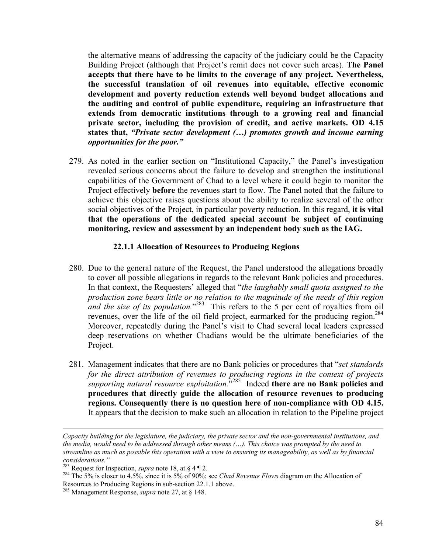the alternative means of addressing the capacity of the judiciary could be the Capacity Building Project (although that Project's remit does not cover such areas). **The Panel accepts that there have to be limits to the coverage of any project. Nevertheless, the successful translation of oil revenues into equitable, effective economic development and poverty reduction extends well beyond budget allocations and the auditing and control of public expenditure, requiring an infrastructure that extends from democratic institutions through to a growing real and financial private sector, including the provision of credit, and active markets. OD 4.15 states that,** *"Private sector development (…) promotes growth and income earning opportunities for the poor."*

279. As noted in the earlier section on "Institutional Capacity," the Panel's investigation revealed serious concerns about the failure to develop and strengthen the institutional capabilities of the Government of Chad to a level where it could begin to monitor the Project effectively **before** the revenues start to flow. The Panel noted that the failure to achieve this objective raises questions about the ability to realize several of the other social objectives of the Project, in particular poverty reduction. In this regard, **it is vital that the operations of the dedicated special account be subject of continuing monitoring, review and assessment by an independent body such as the IAG.**

## **22.1.1 Allocation of Resources to Producing Regions**

- 280. Due to the general nature of the Request, the Panel understood the allegations broadly to cover all possible allegations in regards to the relevant Bank policies and procedures. In that context, the Requesters' alleged that "*the laughably small quota assigned to the production zone bears little or no relation to the magnitude of the needs of this region and the size of its population.*" <sup>283</sup> This refers to the 5 per cent of royalties from oil revenues, over the life of the oil field project, earmarked for the producing region.<sup>284</sup> Moreover, repeatedly during the Panel's visit to Chad several local leaders expressed deep reservations on whether Chadians would be the ultimate beneficiaries of the Project.
- 281. Management indicates that there are no Bank policies or procedures that "*set standards for the direct attribution of revenues to producing regions in the context of projects supporting natural resource exploitation.*" 285 Indeed **there are no Bank policies and procedures that directly guide the allocation of resource revenues to producing regions. Consequently there is no question here of non-compliance with OD 4.15.**  It appears that the decision to make such an allocation in relation to the Pipeline project

*Capacity building for the legislature, the judiciary, the private sector and the non-governmental institutions, and the media, would need to be addressed through other means (…). This choice was prompted by the need to streamline as much as possible this operation with a view to ensuring its manageability, as well as by financial considerations."*<br><sup>283</sup> Request for Inspection, *supra* note 18, at § 4 ¶ 2.

<sup>&</sup>lt;sup>284</sup> The 5% is closer to 4.5%, since it is 5% of 90%; see *Chad Revenue Flows* diagram on the Allocation of Resources to Producing Regions in sub-section 22.1.1 above.

<sup>285</sup> Management Response, *supra* note 27, at § 148.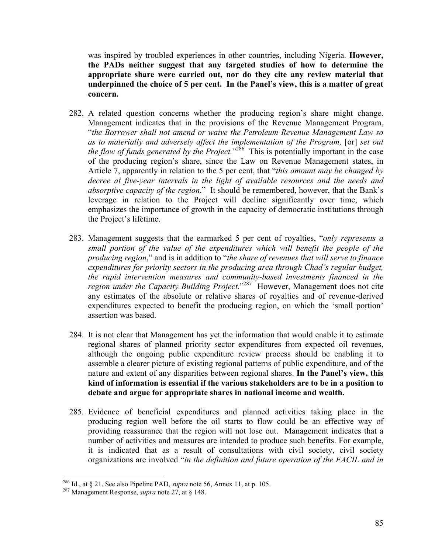was inspired by troubled experiences in other countries, including Nigeria. **However, the PADs neither suggest that any targeted studies of how to determine the appropriate share were carried out, nor do they cite any review material that underpinned the choice of 5 per cent. In the Panel's view, this is a matter of great concern.** 

- 282. A related question concerns whether the producing region's share might change. Management indicates that in the provisions of the Revenue Management Program, "*the Borrower shall not amend or waive the Petroleum Revenue Management Law so as to materially and adversely affect the implementation of the Program,* [or] *set out the flow of funds generated by the Project.*" 286 This is potentially important in the case of the producing region's share, since the Law on Revenue Management states, in Article 7, apparently in relation to the 5 per cent, that "*this amount may be changed by decree at five-year intervals in the light of available resources and the needs and absorptive capacity of the region*." It should be remembered, however, that the Bank's leverage in relation to the Project will decline significantly over time, which emphasizes the importance of growth in the capacity of democratic institutions through the Project's lifetime.
- 283. Management suggests that the earmarked 5 per cent of royalties, "*only represents a small portion of the value of the expenditures which will benefit the people of the producing region*," and is in addition to "*the share of revenues that will serve to finance expenditures for priority sectors in the producing area through Chad's regular budget, the rapid intervention measures and community-based investments financed in the*  region under the Capacity Building Project."<sup>287</sup> However, Management does not cite any estimates of the absolute or relative shares of royalties and of revenue-derived expenditures expected to benefit the producing region, on which the 'small portion' assertion was based.
- 284. It is not clear that Management has yet the information that would enable it to estimate regional shares of planned priority sector expenditures from expected oil revenues, although the ongoing public expenditure review process should be enabling it to assemble a clearer picture of existing regional patterns of public expenditure, and of the nature and extent of any disparities between regional shares. **In the Panel's view, this kind of information is essential if the various stakeholders are to be in a position to debate and argue for appropriate shares in national income and wealth.**
- 285. Evidence of beneficial expenditures and planned activities taking place in the producing region well before the oil starts to flow could be an effective way of providing reassurance that the region will not lose out. Management indicates that a number of activities and measures are intended to produce such benefits. For example, it is indicated that as a result of consultations with civil society, civil society organizations are involved "*in the definition and future operation of the FACIL and in*

1

<sup>286</sup> Id., at § 21. See also Pipeline PAD, *supra* note 56, Annex 11, at p. 105. 287 Management Response, *supra* note 27, at § 148.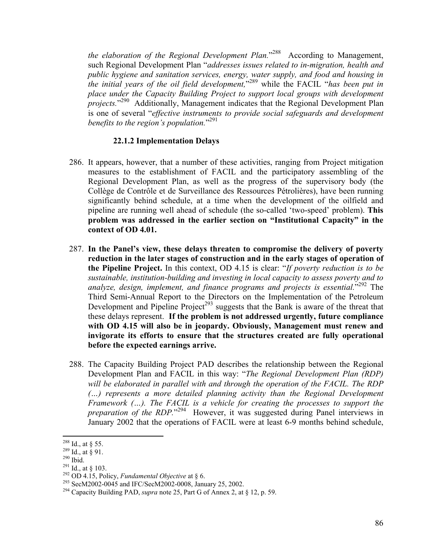*the elaboration of the Regional Development Plan.*" 288 According to Management, such Regional Development Plan "*addresses issues related to in-migration, health and public hygiene and sanitation services, energy, water supply, and food and housing in the initial years of the oil field development,*" 289 while the FACIL "*has been put in place under the Capacity Building Project to support local groups with development projects.*" 290 Additionally, Management indicates that the Regional Development Plan is one of several "*effective instruments to provide social safeguards and development*  benefits to the region's population."<sup>291</sup>

#### **22.1.2 Implementation Delays**

- 286. It appears, however, that a number of these activities, ranging from Project mitigation measures to the establishment of FACIL and the participatory assembling of the Regional Development Plan, as well as the progress of the supervisory body (the Collège de Contrôle et de Surveillance des Ressources Pétrolières), have been running significantly behind schedule, at a time when the development of the oilfield and pipeline are running well ahead of schedule (the so-called 'two-speed' problem). **This problem was addressed in the earlier section on "Institutional Capacity" in the context of OD 4.01.**
- 287. **In the Panel's view, these delays threaten to compromise the delivery of poverty reduction in the later stages of construction and in the early stages of operation of the Pipeline Project.** In this context, OD 4.15 is clear: "*If poverty reduction is to be sustainable, institution-building and investing in local capacity to assess poverty and to*  analyze, design, implement, and finance programs and projects is essential.<sup>5292</sup> The Third Semi-Annual Report to the Directors on the Implementation of the Petroleum Development and Pipeline Project<sup>293</sup> suggests that the Bank is aware of the threat that these delays represent. **If the problem is not addressed urgently, future compliance with OD 4.15 will also be in jeopardy. Obviously, Management must renew and invigorate its efforts to ensure that the structures created are fully operational before the expected earnings arrive.**
- 288. The Capacity Building Project PAD describes the relationship between the Regional Development Plan and FACIL in this way: "*The Regional Development Plan (RDP) will be elaborated in parallel with and through the operation of the FACIL. The RDP (…) represents a more detailed planning activity than the Regional Development Framework (…). The FACIL is a vehicle for creating the processes to support the*  preparation of the RDP."<sup>294</sup> However, it was suggested during Panel interviews in January 2002 that the operations of FACIL were at least 6-9 months behind schedule,

 $^{288}$  Id., at § 55.

<sup>&</sup>lt;sup>289</sup> Id., at § 91.<br>
<sup>290</sup> Ibid.<br>
<sup>291</sup> Id., at § 103.<br>
<sup>292</sup> OD 4.15, Policy, *Fundamental Objective* at § 6.<br>
<sup>292</sup> SecM2002-0045 and IFC/SecM2002-0008, January 25, 2002.<br>
<sup>294</sup> Capacity Building PAD, *supra* note 25, P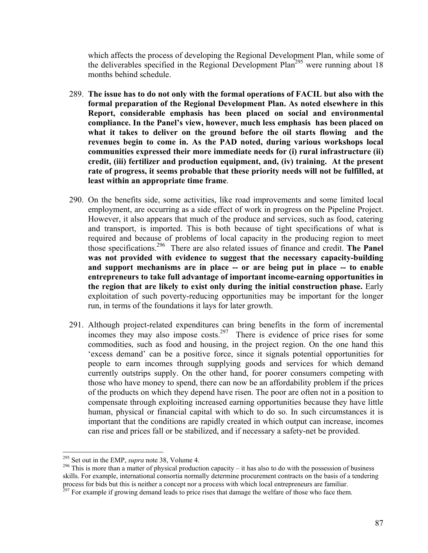which affects the process of developing the Regional Development Plan, while some of the deliverables specified in the Regional Development Plan<sup>295</sup> were running about 18 months behind schedule.

- 289. **The issue has to do not only with the formal operations of FACIL but also with the formal preparation of the Regional Development Plan. As noted elsewhere in this Report, considerable emphasis has been placed on social and environmental compliance. In the Panel's view, however, much less emphasis has been placed on what it takes to deliver on the ground before the oil starts flowing and the revenues begin to come in. As the PAD noted, during various workshops local communities expressed their more immediate needs for (i) rural infrastructure (ii) credit, (iii) fertilizer and production equipment, and, (iv) training. At the present rate of progress, it seems probable that these priority needs will not be fulfilled, at least within an appropriate time frame**.
- 290. On the benefits side, some activities, like road improvements and some limited local employment, are occurring as a side effect of work in progress on the Pipeline Project. However, it also appears that much of the produce and services, such as food, catering and transport, is imported. This is both because of tight specifications of what is required and because of problems of local capacity in the producing region to meet those specifications.296 There are also related issues of finance and credit. **The Panel was not provided with evidence to suggest that the necessary capacity-building and support mechanisms are in place -- or are being put in place -- to enable entrepreneurs to take full advantage of important income-earning opportunities in the region that are likely to exist only during the initial construction phase.** Early exploitation of such poverty-reducing opportunities may be important for the longer run, in terms of the foundations it lays for later growth.
- 291. Although project-related expenditures can bring benefits in the form of incremental incomes they may also impose costs.<sup>297</sup> There is evidence of price rises for some commodities, such as food and housing, in the project region. On the one hand this 'excess demand' can be a positive force, since it signals potential opportunities for people to earn incomes through supplying goods and services for which demand currently outstrips supply. On the other hand, for poorer consumers competing with those who have money to spend, there can now be an affordability problem if the prices of the products on which they depend have risen. The poor are often not in a position to compensate through exploiting increased earning opportunities because they have little human, physical or financial capital with which to do so. In such circumstances it is important that the conditions are rapidly created in which output can increase, incomes can rise and prices fall or be stabilized, and if necessary a safety-net be provided.

<sup>&</sup>lt;sup>295</sup> Set out in the EMP, *supra* note 38, Volume 4.

 $296$  This is more than a matter of physical production capacity – it has also to do with the possession of business skills. For example, international consortia normally determine procurement contracts on the basis of a tendering process for bids but this is neither a concept nor a process with which local entrepreneurs are familiar.<br><sup>297</sup> For example if growing demand leads to price rises that damage the welfare of those who face them.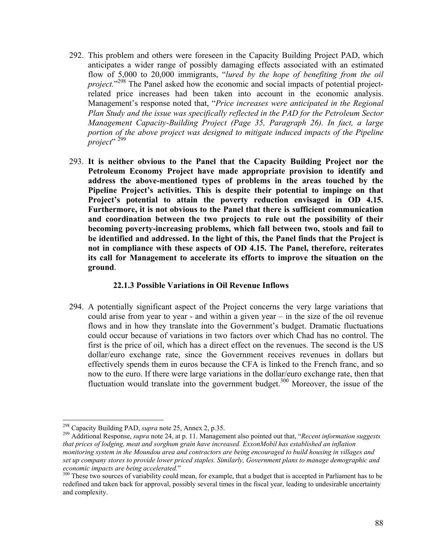- 292. This problem and others were foreseen in the Capacity Building Project PAD, which anticipates a wider range of possibly damaging effects associated with an estimated flow of 5,000 to 20,000 immigrants, "*lured by the hope of benefiting from the oil*  project."<sup>298</sup> The Panel asked how the economic and social impacts of potential projectrelated price increases had been taken into account in the economic analysis. Management's response noted that, "*Price increases were anticipated in the Regional Plan Study and the issue was specifically reflected in the PAD for the Petroleum Sector Management Capacity-Building Project (Page 35, Paragraph 26). In fact, a large portion of the above project was designed to mitigate induced impacts of the Pipeline project*" <sup>299</sup>
- 293. **It is neither obvious to the Panel that the Capacity Building Project nor the Petroleum Economy Project have made appropriate provision to identify and address the above-mentioned types of problems in the areas touched by the Pipeline Project's activities. This is despite their potential to impinge on that Project's potential to attain the poverty reduction envisaged in OD 4.15. Furthermore, it is not obvious to the Panel that there is sufficient communication and coordination between the two projects to rule out the possibility of their becoming poverty-increasing problems, which fall between two, stools and fail to be identified and addressed. In the light of this, the Panel finds that the Project is not in compliance with these aspects of OD 4.15. The Panel, therefore, reiterates its call for Management to accelerate its efforts to improve the situation on the ground**.

#### **22.1.3 Possible Variations in Oil Revenue Inflows**

294. A potentially significant aspect of the Project concerns the very large variations that could arise from year to year - and within a given year – in the size of the oil revenue flows and in how they translate into the Government's budget. Dramatic fluctuations could occur because of variations in two factors over which Chad has no control. The first is the price of oil, which has a direct effect on the revenues. The second is the US dollar/euro exchange rate, since the Government receives revenues in dollars but effectively spends them in euros because the CFA is linked to the French franc, and so now to the euro. If there were large variations in the dollar/euro exchange rate, then that fluctuation would translate into the government budget.<sup>300</sup> Moreover, the issue of the

<sup>&</sup>lt;sup>298</sup> Capacity Building PAD, *supra* note 25, Annex 2, p.35.

<sup>&</sup>lt;sup>299</sup> Additional Response, *supra* note 24, at p. 11. Management also pointed out that, "*Recent information suggests that prices of lodging, meat and sorghum grain have increased. ExxonMobil has established an inflation monitoring system in the Moundou area and contractors are being encouraged to build housing in villages and set up company stores to provide lower priced staples. Similarly, Government plans to manage demographic and economic impacts are being accelerated.*"<br><sup>300</sup> These two sources of variability could mean, for example, that a budget that is accepted in Parliament has to be

redefined and taken back for approval, possibly several times in the fiscal year, leading to undesirable uncertainty and complexity.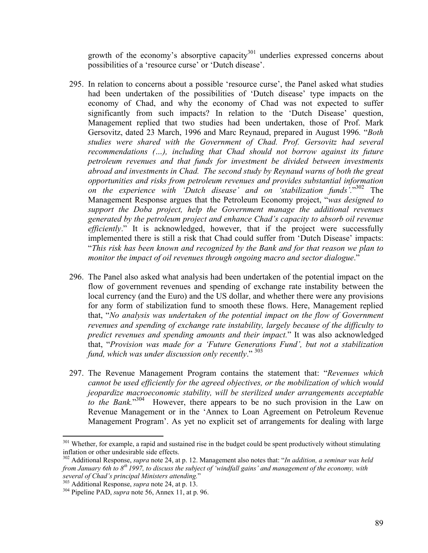growth of the economy's absorptive capacity<sup>301</sup> underlies expressed concerns about possibilities of a 'resource curse' or 'Dutch disease'.

- 295. In relation to concerns about a possible 'resource curse', the Panel asked what studies had been undertaken of the possibilities of 'Dutch disease' type impacts on the economy of Chad, and why the economy of Chad was not expected to suffer significantly from such impacts? In relation to the 'Dutch Disease' question, Management replied that two studies had been undertaken, those of Prof. Mark Gersovitz, dated 23 March, 1996 and Marc Reynaud, prepared in August 1996*.* "*Both studies were shared with the Government of Chad. Prof. Gersovitz had several recommendations (…), including that Chad should not borrow against its future petroleum revenues and that funds for investment be divided between investments abroad and investments in Chad. The second study by Reynaud warns of both the great opportunities and risks from petroleum revenues and provides substantial information on the experience with 'Dutch disease' and on 'stabilization funds'.*" <sup>302</sup> The Management Response argues that the Petroleum Economy project, "*was designed to support the Doba project, help the Government manage the additional revenues generated by the petroleum project and enhance Chad's capacity to absorb oil revenue efficiently*." It is acknowledged, however, that if the project were successfully implemented there is still a risk that Chad could suffer from 'Dutch Disease' impacts: "*This risk has been known and recognized by the Bank and for that reason we plan to monitor the impact of oil revenues through ongoing macro and sector dialogue*."
- 296. The Panel also asked what analysis had been undertaken of the potential impact on the flow of government revenues and spending of exchange rate instability between the local currency (and the Euro) and the US dollar, and whether there were any provisions for any form of stabilization fund to smooth these flows. Here, Management replied that, "*No analysis was undertaken of the potential impact on the flow of Government revenues and spending of exchange rate instability, largely because of the difficulty to predict revenues and spending amounts and their impact.*" It was also acknowledged that, "*Provision was made for a 'Future Generations Fund', but not a stabilization fund, which was under discussion only recently*." 303
- 297. The Revenue Management Program contains the statement that: "*Revenues which cannot be used efficiently for the agreed objectives, or the mobilization of which would jeopardize macroeconomic stability, will be sterilized under arrangements acceptable*  to the Bank."<sup>304</sup> However, there appears to be no such provision in the Law on Revenue Management or in the 'Annex to Loan Agreement on Petroleum Revenue Management Program'. As yet no explicit set of arrangements for dealing with large

<sup>&</sup>lt;sup>301</sup> Whether, for example, a rapid and sustained rise in the budget could be spent productively without stimulating inflation or other undesirable side effects.

<sup>302</sup> Additional Response, *supra* note 24, at p. 12. Management also notes that: "*In addition, a seminar was held from January 6th to 8th 1997, to discuss the subject of 'windfall gains' and management of the economy, with several of Chad's principal Ministers attending.*" 303 Additional Response, *supra* note 24, at p. 13. 304 Pipeline PAD, *supra* note 56, Annex 11, at p. 96.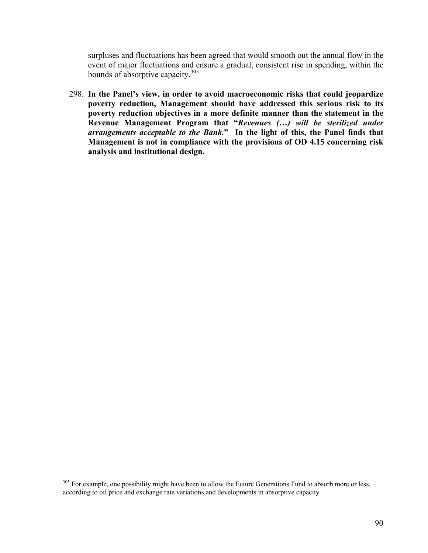surpluses and fluctuations has been agreed that would smooth out the annual flow in the event of major fluctuations and ensure a gradual, consistent rise in spending, within the bounds of absorptive capacity.<sup>305</sup>

298. **In the Panel's view, in order to avoid macroeconomic risks that could jeopardize poverty reduction, Management should have addressed this serious risk to its poverty reduction objectives in a more definite manner than the statement in the Revenue Management Program that "***Revenues (…) will be sterilized under arrangements acceptable to the Bank.***" In the light of this, the Panel finds that Management is not in compliance with the provisions of OD 4.15 concerning risk analysis and institutional design.**

<sup>&</sup>lt;sup>305</sup> For example, one possibility might have been to allow the Future Generations Fund to absorb more or less, according to oil price and exchange rate variations and developments in absorptive capacity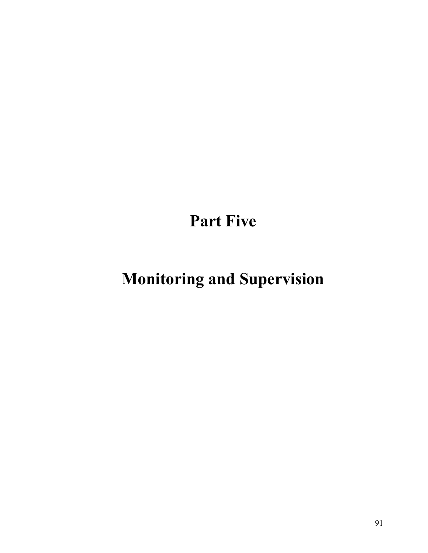**Part Five** 

**Monitoring and Supervision**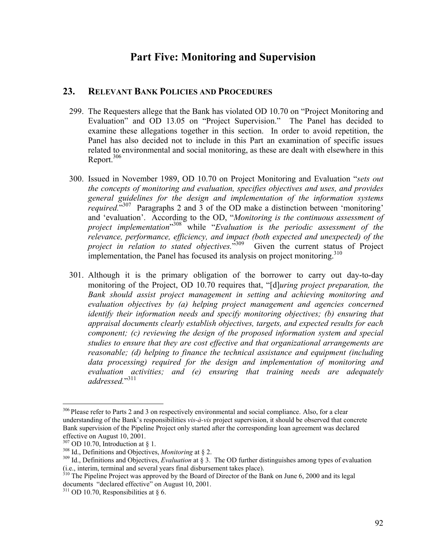### **Part Five: Monitoring and Supervision**

#### **23. RELEVANT BANK POLICIES AND PROCEDURES**

- 299. The Requesters allege that the Bank has violated OD 10.70 on "Project Monitoring and Evaluation" and OD 13.05 on "Project Supervision." The Panel has decided to examine these allegations together in this section. In order to avoid repetition, the Panel has also decided not to include in this Part an examination of specific issues related to environmental and social monitoring, as these are dealt with elsewhere in this Report.<sup>306</sup>
- 300. Issued in November 1989, OD 10.70 on Project Monitoring and Evaluation "*sets out the concepts of monitoring and evaluation, specifies objectives and uses, and provides general guidelines for the design and implementation of the information systems required.*<sup>307</sup> Paragraphs 2 and 3 of the OD make a distinction between 'monitoring' and 'evaluation'. According to the OD, "*Monitoring is the continuous assessment of*  project implementation<sup>3308</sup> while "*Evaluation is the periodic assessment of the relevance, performance, efficiency, and impact (both expected and unexpected) of the project in relation to stated objectives.*" <sup>309</sup>Given the current status of Project implementation, the Panel has focused its analysis on project monitoring.<sup>310</sup>
- 301. Although it is the primary obligation of the borrower to carry out day-to-day monitoring of the Project, OD 10.70 requires that, "[d]*uring project preparation, the Bank should assist project management in setting and achieving monitoring and evaluation objectives by (a) helping project management and agencies concerned identify their information needs and specify monitoring objectives; (b) ensuring that appraisal documents clearly establish objectives, targets, and expected results for each component; (c) reviewing the design of the proposed information system and special studies to ensure that they are cost effective and that organizational arrangements are reasonable; (d) helping to finance the technical assistance and equipment (including data processing) required for the design and implementation of monitoring and evaluation activities; and (e) ensuring that training needs are adequately addressed.*" 311

 $\overline{a}$ 

documents "declared effective" on August 10, 2001.<br><sup>311</sup> OD 10.70, Responsibilities at  $\S$  6.

<sup>&</sup>lt;sup>306</sup> Please refer to Parts 2 and 3 on respectively environmental and social compliance. Also, for a clear understanding of the Bank's responsibilities *vis-à-vis* project supervision, it should be observed that concrete Bank supervision of the Pipeline Project only started after the corresponding loan agreement was declared effective on August 10, 2001.<br> $^{307}$  OD 10.70, Introduction at § 1.

<sup>&</sup>lt;sup>308</sup> Id., Definitions and Objectives, *Monitoring* at § 2.<br><sup>309</sup> Id., Definitions and Objectives, *Evaluation* at § 3. The OD further distinguishes among types of evaluation (i.e., interim, terminal and several years final disbursement takes place). 310 The Pipeline Project was approved by the Board of Director of the Bank on June 6, 2000 and its legal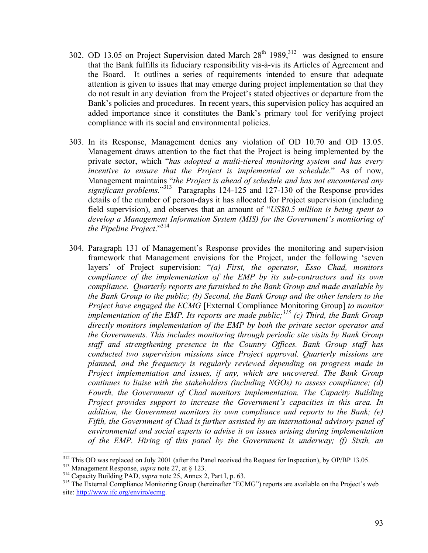- 302. OD 13.05 on Project Supervision dated March  $28<sup>th</sup> 1989$ ,  $312$  was designed to ensure that the Bank fulfills its fiduciary responsibility vis-à-vis its Articles of Agreement and the Board. It outlines a series of requirements intended to ensure that adequate attention is given to issues that may emerge during project implementation so that they do not result in any deviation from the Project's stated objectives or departure from the Bank's policies and procedures. In recent years, this supervision policy has acquired an added importance since it constitutes the Bank's primary tool for verifying project compliance with its social and environmental policies.
- 303. In its Response, Management denies any violation of OD 10.70 and OD 13.05. Management draws attention to the fact that the Project is being implemented by the private sector, which "*has adopted a multi-tiered monitoring system and has every incentive to ensure that the Project is implemented on schedule*." As of now, Management maintains "*the Project is ahead of schedule and has not encountered any significant problems.*" <sup>313</sup>Paragraphs 124-125 and 127-130 of the Response provides details of the number of person-days it has allocated for Project supervision (including field supervision), and observes that an amount of "*US\$0.5 million is being spent to develop a Management Information System (MIS) for the Government's monitoring of the Pipeline Project*."314
- 304. Paragraph 131 of Management's Response provides the monitoring and supervision framework that Management envisions for the Project, under the following 'seven layers' of Project supervision: "*(a) First, the operator, Esso Chad, monitors compliance of the implementation of the EMP by its sub-contractors and its own compliance. Quarterly reports are furnished to the Bank Group and made available by the Bank Group to the public; (b) Second, the Bank Group and the other lenders to the Project have engaged the ECMG* [External Compliance Monitoring Group] *to monitor implementation of the EMP. Its reports are made public;*<sup>315</sup> (c) Third, the Bank Group *directly monitors implementation of the EMP by both the private sector operator and the Governments. This includes monitoring through periodic site visits by Bank Group staff and strengthening presence in the Country Offices. Bank Group staff has conducted two supervision missions since Project approval. Quarterly missions are planned, and the frequency is regularly reviewed depending on progress made in Project implementation and issues, if any, which are uncovered. The Bank Group continues to liaise with the stakeholders (including NGOs) to assess compliance; (d) Fourth, the Government of Chad monitors implementation. The Capacity Building Project provides support to increase the Government's capacities in this area. In addition, the Government monitors its own compliance and reports to the Bank; (e) Fifth, the Government of Chad is further assisted by an international advisory panel of environmental and social experts to advise it on issues arising during implementation of the EMP. Hiring of this panel by the Government is underway; (f) Sixth, an*

<sup>&</sup>lt;sup>312</sup> This OD was replaced on July 2001 (after the Panel received the Request for Inspection), by OP/BP 13.05.

<sup>&</sup>lt;sup>313</sup> Management Response, *supra* note 27, at § 123.<br><sup>314</sup> Capacity Building PAD, *supra* note 25, Annex 2, Part I, p. 63.<br><sup>315</sup> The External Compliance Monitoring Group (hereinafter "ECMG") reports are available on the site: http://www.ifc.org/enviro/ecmg.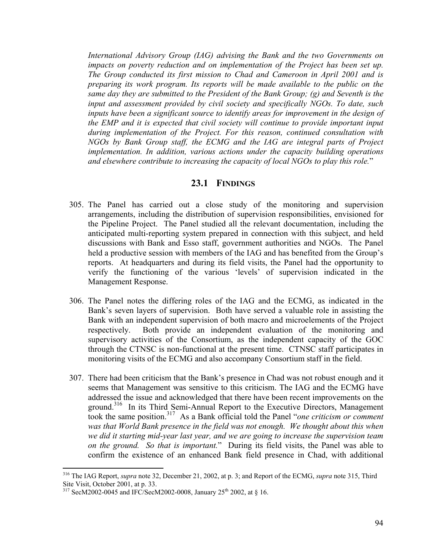*International Advisory Group (IAG) advising the Bank and the two Governments on impacts on poverty reduction and on implementation of the Project has been set up. The Group conducted its first mission to Chad and Cameroon in April 2001 and is preparing its work program. Its reports will be made available to the public on the same day they are submitted to the President of the Bank Group; (g) and Seventh is the input and assessment provided by civil society and specifically NGOs. To date, such inputs have been a significant source to identify areas for improvement in the design of the EMP and it is expected that civil society will continue to provide important input during implementation of the Project. For this reason, continued consultation with NGOs by Bank Group staff, the ECMG and the IAG are integral parts of Project implementation. In addition, various actions under the capacity building operations and elsewhere contribute to increasing the capacity of local NGOs to play this role.*"

#### **23.1 FINDINGS**

- 305. The Panel has carried out a close study of the monitoring and supervision arrangements, including the distribution of supervision responsibilities, envisioned for the Pipeline Project. The Panel studied all the relevant documentation, including the anticipated multi-reporting system prepared in connection with this subject, and held discussions with Bank and Esso staff, government authorities and NGOs. The Panel held a productive session with members of the IAG and has benefited from the Group's reports. At headquarters and during its field visits, the Panel had the opportunity to verify the functioning of the various 'levels' of supervision indicated in the Management Response.
- 306. The Panel notes the differing roles of the IAG and the ECMG, as indicated in the Bank's seven layers of supervision. Both have served a valuable role in assisting the Bank with an independent supervision of both macro and microelements of the Project respectively. Both provide an independent evaluation of the monitoring and supervisory activities of the Consortium, as the independent capacity of the GOC through the CTNSC is non-functional at the present time. CTNSC staff participates in monitoring visits of the ECMG and also accompany Consortium staff in the field.
- 307. There had been criticism that the Bank's presence in Chad was not robust enough and it seems that Management was sensitive to this criticism. The IAG and the ECMG have addressed the issue and acknowledged that there have been recent improvements on the ground.316 In its Third Semi-Annual Report to the Executive Directors, Management took the same position.317 As a Bank official told the Panel "*one criticism or comment*  was that World Bank presence in the field was not enough. We thought about this when *we did it starting mid-year last year, and we are going to increase the supervision team on the ground. So that is important.*" During its field visits, the Panel was able to confirm the existence of an enhanced Bank field presence in Chad, with additional

<sup>316</sup> The IAG Report, *supra* note 32, December 21, 2002, at p. 3; and Report of the ECMG, *supra* note 315, Third Site Visit, October 2001, at p. 33.

 $\frac{317}{317}$  SecM2002-0045 and IFC/SecM2002-0008, January 25<sup>th</sup> 2002, at § 16.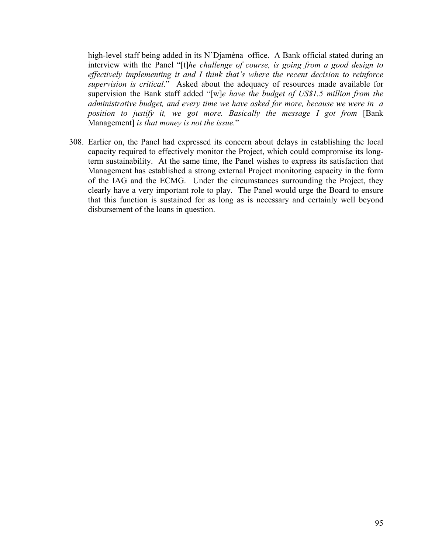high-level staff being added in its N'Djaména office. A Bank official stated during an interview with the Panel "[t]*he challenge of course, is going from a good design to effectively implementing it and I think that's where the recent decision to reinforce supervision is critical*."Asked about the adequacy of resources made available for supervision the Bank staff added "[w]*e have the budget of US\$1.5 million from the administrative budget, and every time we have asked for more, because we were in a position to justify it, we got more. Basically the message I got from [Bank* Management] *is that money is not the issue.*"

308. Earlier on, the Panel had expressed its concern about delays in establishing the local capacity required to effectively monitor the Project, which could compromise its longterm sustainability. At the same time, the Panel wishes to express its satisfaction that Management has established a strong external Project monitoring capacity in the form of the IAG and the ECMG. Under the circumstances surrounding the Project, they clearly have a very important role to play. The Panel would urge the Board to ensure that this function is sustained for as long as is necessary and certainly well beyond disbursement of the loans in question.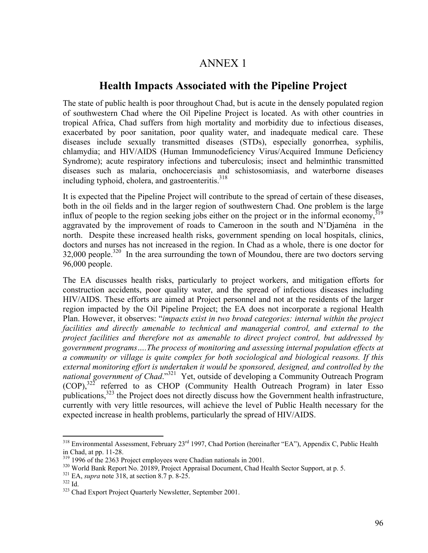### **Health Impacts Associated with the Pipeline Project**

The state of public health is poor throughout Chad, but is acute in the densely populated region of southwestern Chad where the Oil Pipeline Project is located. As with other countries in tropical Africa, Chad suffers from high mortality and morbidity due to infectious diseases, exacerbated by poor sanitation, poor quality water, and inadequate medical care. These diseases include sexually transmitted diseases (STDs), especially gonorrhea, syphilis, chlamydia; and HIV/AIDS (Human Immunodeficiency Virus/Acquired Immune Deficiency Syndrome); acute respiratory infections and tuberculosis; insect and helminthic transmitted diseases such as malaria, onchocerciasis and schistosomiasis, and waterborne diseases including typhoid, cholera, and gastroenteritis.<sup>318</sup>

It is expected that the Pipeline Project will contribute to the spread of certain of these diseases, both in the oil fields and in the larger region of southwestern Chad. One problem is the large influx of people to the region seeking jobs either on the project or in the informal economy,  $319$ aggravated by the improvement of roads to Cameroon in the south and N'Djaména in the north. Despite these increased health risks, government spending on local hospitals, clinics, doctors and nurses has not increased in the region. In Chad as a whole, there is one doctor for  $32,000$  people.<sup>320</sup> In the area surrounding the town of Moundou, there are two doctors serving 96,000 people.

The EA discusses health risks, particularly to project workers, and mitigation efforts for construction accidents, poor quality water, and the spread of infectious diseases including HIV/AIDS. These efforts are aimed at Project personnel and not at the residents of the larger region impacted by the Oil Pipeline Project; the EA does not incorporate a regional Health Plan. However, it observes: "*impacts exist in two broad categories: internal within the project facilities and directly amenable to technical and managerial control, and external to the project facilities and therefore not as amenable to direct project control, but addressed by government programs….The process of monitoring and assessing internal population effects at a community or village is quite complex for both sociological and biological reasons. If this external monitoring effort is undertaken it would be sponsored, designed, and controlled by the national government of Chad*."321 Yet, outside of developing a Community Outreach Program (COP),322 referred to as CHOP (Community Health Outreach Program) in later Esso publications,<sup>323</sup> the Project does not directly discuss how the Government health infrastructure, currently with very little resources, will achieve the level of Public Health necessary for the expected increase in health problems, particularly the spread of HIV/AIDS.

<sup>&</sup>lt;sup>318</sup> Environmental Assessment, February 23<sup>rd</sup> 1997, Chad Portion (hereinafter "EA"), Appendix C, Public Health in Chad, at pp. 11-28.<br><sup>319</sup> 1996 of the 2363 Project employees were Chadian nationals in 2001.

<sup>&</sup>lt;sup>320</sup> World Bank Report No. 20189, Project Appraisal Document, Chad Health Sector Support, at p. 5.<br><sup>321</sup> EA, *supra* note 318, at section 8.7 p. 8-25.<br><sup>322</sup> Id.<br><sup>323</sup> Chad Export Project Ouarterly Newsletter, September 2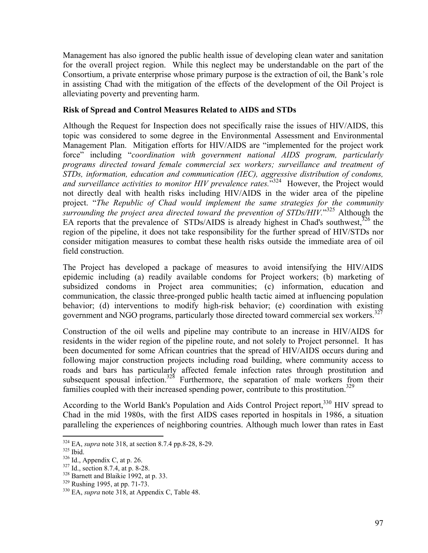Management has also ignored the public health issue of developing clean water and sanitation for the overall project region. While this neglect may be understandable on the part of the Consortium, a private enterprise whose primary purpose is the extraction of oil, the Bank's role in assisting Chad with the mitigation of the effects of the development of the Oil Project is alleviating poverty and preventing harm.

#### **Risk of Spread and Control Measures Related to AIDS and STDs**

Although the Request for Inspection does not specifically raise the issues of HIV/AIDS, this topic was considered to some degree in the Environmental Assessment and Environmental Management Plan. Mitigation efforts for HIV/AIDS are "implemented for the project work force" including "*coordination with government national AIDS program, particularly programs directed toward female commercial sex workers; surveillance and treatment of STDs, information, education and communication (IEC), aggressive distribution of condoms, and surveillance activities to monitor HIV prevalence rates.*" 324 However, the Project would not directly deal with health risks including HIV/AIDS in the wider area of the pipeline project. "*The Republic of Chad would implement the same strategies for the community surrounding the project area directed toward the prevention of STDs/HIV.*" 325 Although the EA reports that the prevalence of STDs/AIDS is already highest in Chad's southwest,  $326$  the region of the pipeline, it does not take responsibility for the further spread of HIV/STDs nor consider mitigation measures to combat these health risks outside the immediate area of oil field construction.

The Project has developed a package of measures to avoid intensifying the HIV/AIDS epidemic including (a) readily available condoms for Project workers; (b) marketing of subsidized condoms in Project area communities; (c) information, education and communication, the classic three-pronged public health tactic aimed at influencing population behavior; (d) interventions to modify high-risk behavior; (e) coordination with existing government and NGO programs, particularly those directed toward commercial sex workers.<sup>327</sup>

Construction of the oil wells and pipeline may contribute to an increase in HIV/AIDS for residents in the wider region of the pipeline route, and not solely to Project personnel. It has been documented for some African countries that the spread of HIV/AIDS occurs during and following major construction projects including road building, where community access to roads and bars has particularly affected female infection rates through prostitution and subsequent spousal infection.<sup>328</sup> Furthermore, the separation of male workers from their families coupled with their increased spending power, contribute to this prostitution.<sup>329</sup>

According to the World Bank's Population and Aids Control Project report,<sup>330</sup> HIV spread to Chad in the mid 1980s, with the first AIDS cases reported in hospitals in 1986, a situation paralleling the experiences of neighboring countries. Although much lower than rates in East

<sup>1</sup> <sup>324</sup> EA, *supra* note 318, at section 8.7.4 pp.8-28, 8-29.<br><sup>325</sup> Ibid.<br><sup>326</sup> Id., Appendix C, at p. 26.<br><sup>327</sup> Id., section 8.7.4, at p. 8-28.<br><sup>328</sup> Barnett and Blaikie 1992, at p. 33.<br><sup>329</sup> Rushing 1995, at pp. 71-73.<br><sup>3</sup>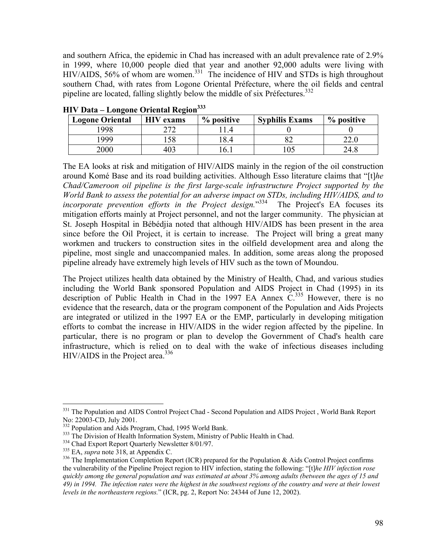and southern Africa, the epidemic in Chad has increased with an adult prevalence rate of 2.9% in 1999, where 10,000 people died that year and another 92,000 adults were living with HIV/AIDS, 56% of whom are women.<sup>331</sup> The incidence of HIV and STDs is high throughout southern Chad, with rates from Logone Oriental Préfecture, where the oil fields and central pipeline are located, falling slightly below the middle of six Préfectures.<sup>332</sup>

| LOULLOUV OTIVIIVAI IAVEIVII |                  |                |                       |            |
|-----------------------------|------------------|----------------|-----------------------|------------|
| <b>Logone Oriental</b>      | <b>HIV</b> exams | % positive     | <b>Syphilis Exams</b> | % positive |
| 998                         | ריר              |                |                       |            |
| 999                         |                  |                |                       |            |
| 2000                        | 401              | $\mathbf{0}$ . |                       | 24.8       |

**HIV Data – Longone Oriental Region333**

The EA looks at risk and mitigation of HIV/AIDS mainly in the region of the oil construction around Komé Base and its road building activities. Although Esso literature claims that "[t]*he Chad/Cameroon oil pipeline is the first large-scale infrastructure Project supported by the World Bank to assess the potential for an adverse impact on STDs, including HIV/AIDS, and to incorporate prevention efforts in the Project design.*" The Project's EA focuses its mitigation efforts mainly at Project personnel, and not the larger community. The physician at St. Joseph Hospital in Bébédjia noted that although HIV/AIDS has been present in the area since before the Oil Project, it is certain to increase. The Project will bring a great many workmen and truckers to construction sites in the oilfield development area and along the pipeline, most single and unaccompanied males. In addition, some areas along the proposed pipeline already have extremely high levels of HIV such as the town of Moundou.

The Project utilizes health data obtained by the Ministry of Health, Chad, and various studies including the World Bank sponsored Population and AIDS Project in Chad (1995) in its description of Public Health in Chad in the 1997 EA Annex C.<sup>335</sup> However, there is no evidence that the research, data or the program component of the Population and Aids Projects are integrated or utilized in the 1997 EA or the EMP, particularly in developing mitigation efforts to combat the increase in HIV/AIDS in the wider region affected by the pipeline. In particular, there is no program or plan to develop the Government of Chad's health care infrastructure, which is relied on to deal with the wake of infectious diseases including  $HIV/AIDS$  in the Project area.<sup>336</sup>

<sup>&</sup>lt;sup>331</sup> The Population and AIDS Control Project Chad - Second Population and AIDS Project, World Bank Report No: 22003-CD, July 2001.<br><sup>332</sup> Population and Aids Program. Chad. 1995 World Bank.

<sup>&</sup>lt;sup>333</sup> The Division of Health Information System, Ministry of Public Health in Chad.<br><sup>334</sup> Chad Export Report Quarterly Newsletter 8/01/97.<br><sup>335</sup> EA, *supra* note 318, at Appendix C.<br><sup>336</sup> The Implementation Completion Rep the vulnerability of the Pipeline Project region to HIV infection, stating the following: "[t]*he HIV infection rose quickly among the general population and was estimated at about 3% among adults (between the ages of 15 and 49) in 1994. The infection rates were the highest in the southwest regions of the country and were at their lowest levels in the northeastern regions.*" (ICR, pg. 2, Report No: 24344 of June 12, 2002).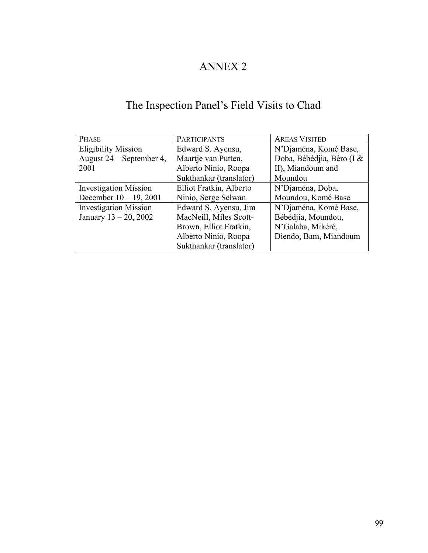# The Inspection Panel's Field Visits to Chad

| <b>PHASE</b>                 | <b>PARTICIPANTS</b>     | <b>AREAS VISITED</b>      |
|------------------------------|-------------------------|---------------------------|
| <b>Eligibility Mission</b>   | Edward S. Ayensu,       | N'Djaména, Komé Base,     |
| August 24 – September 4,     | Maartje van Putten,     | Doba, Bébédjia, Béro (I & |
| 2001                         | Alberto Ninio, Roopa    | II), Miandoum and         |
|                              | Sukthankar (translator) | Moundou                   |
| <b>Investigation Mission</b> | Elliot Fratkin, Alberto | N'Diaména, Doba,          |
| December $10 - 19$ , 2001    | Ninio, Serge Selwan     | Moundou, Komé Base        |
| <b>Investigation Mission</b> | Edward S. Ayensu, Jim   | N'Djaména, Komé Base,     |
| January $13 - 20$ , 2002     | MacNeill, Miles Scott-  | Bébédjia, Moundou,        |
|                              | Brown, Elliot Fratkin,  | N'Galaba, Mikéré,         |
|                              | Alberto Ninio, Roopa    | Diendo, Bam, Miandoum     |
|                              | Sukthankar (translator) |                           |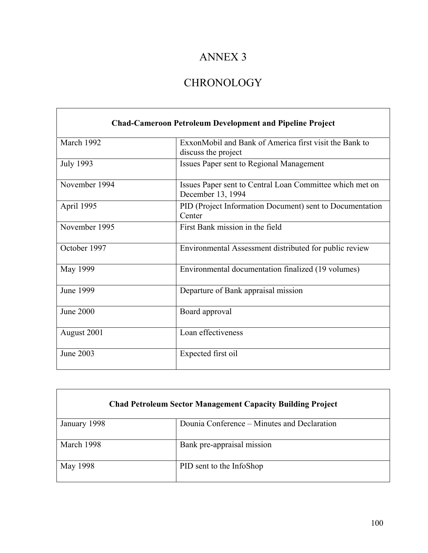# **CHRONOLOGY**

| <b>Chad-Cameroon Petroleum Development and Pipeline Project</b> |                                                                               |  |
|-----------------------------------------------------------------|-------------------------------------------------------------------------------|--|
| March 1992                                                      | ExxonMobil and Bank of America first visit the Bank to<br>discuss the project |  |
| <b>July 1993</b>                                                | Issues Paper sent to Regional Management                                      |  |
| November 1994                                                   | Issues Paper sent to Central Loan Committee which met on<br>December 13, 1994 |  |
| April 1995                                                      | PID (Project Information Document) sent to Documentation<br>Center            |  |
| November 1995                                                   | First Bank mission in the field                                               |  |
| October 1997                                                    | Environmental Assessment distributed for public review                        |  |
| May 1999                                                        | Environmental documentation finalized (19 volumes)                            |  |
| <b>June 1999</b>                                                | Departure of Bank appraisal mission                                           |  |
| <b>June 2000</b>                                                | Board approval                                                                |  |
| August 2001                                                     | Loan effectiveness                                                            |  |
| June 2003                                                       | Expected first oil                                                            |  |

| <b>Chad Petroleum Sector Management Capacity Building Project</b> |                                             |  |
|-------------------------------------------------------------------|---------------------------------------------|--|
| January 1998                                                      | Dounia Conference – Minutes and Declaration |  |
| March 1998                                                        | Bank pre-appraisal mission                  |  |
| May 1998                                                          | PID sent to the InfoShop                    |  |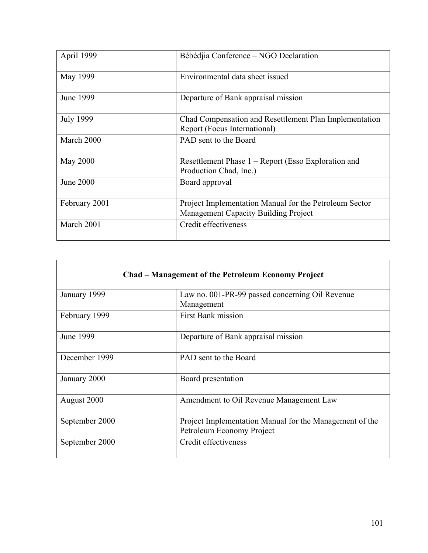| April 1999       | Bébédiia Conference – NGO Declaration                                                          |  |
|------------------|------------------------------------------------------------------------------------------------|--|
| May 1999         | Environmental data sheet issued                                                                |  |
| June 1999        | Departure of Bank appraisal mission                                                            |  |
| <b>July 1999</b> | Chad Compensation and Resettlement Plan Implementation<br>Report (Focus International)         |  |
| March 2000       | PAD sent to the Board                                                                          |  |
| May 2000         | Resettlement Phase 1 – Report (Esso Exploration and<br>Production Chad, Inc.)                  |  |
| <b>June 2000</b> | Board approval                                                                                 |  |
| February 2001    | Project Implementation Manual for the Petroleum Sector<br>Management Capacity Building Project |  |
| March 2001       | Credit effectiveness                                                                           |  |

| <b>Chad – Management of the Petroleum Economy Project</b> |                                                                                      |  |
|-----------------------------------------------------------|--------------------------------------------------------------------------------------|--|
| January 1999                                              | Law no. 001-PR-99 passed concerning Oil Revenue<br>Management                        |  |
| February 1999                                             | First Bank mission                                                                   |  |
| June 1999                                                 | Departure of Bank appraisal mission                                                  |  |
| December 1999                                             | PAD sent to the Board                                                                |  |
| January 2000                                              | Board presentation                                                                   |  |
| August 2000                                               | Amendment to Oil Revenue Management Law                                              |  |
| September 2000                                            | Project Implementation Manual for the Management of the<br>Petroleum Economy Project |  |
| September 2000                                            | Credit effectiveness                                                                 |  |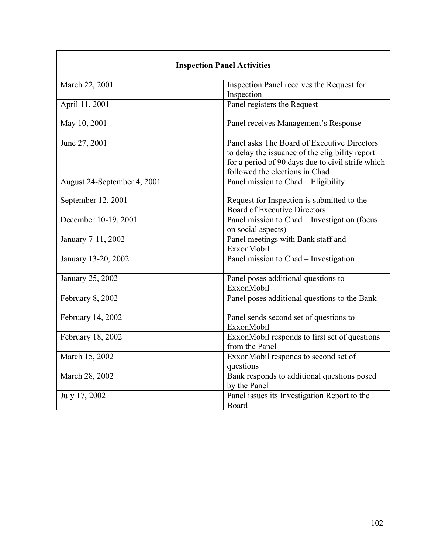| <b>Inspection Panel Activities</b> |                                                   |  |
|------------------------------------|---------------------------------------------------|--|
| March 22, 2001                     | Inspection Panel receives the Request for         |  |
|                                    | Inspection                                        |  |
| April 11, 2001                     | Panel registers the Request                       |  |
| May 10, 2001                       | Panel receives Management's Response              |  |
| June 27, 2001                      | Panel asks The Board of Executive Directors       |  |
|                                    | to delay the issuance of the eligibility report   |  |
|                                    | for a period of 90 days due to civil strife which |  |
|                                    | followed the elections in Chad                    |  |
| August 24-September 4, 2001        | Panel mission to Chad - Eligibility               |  |
| September 12, 2001                 | Request for Inspection is submitted to the        |  |
|                                    | <b>Board of Executive Directors</b>               |  |
| December 10-19, 2001               | Panel mission to Chad - Investigation (focus      |  |
|                                    | on social aspects)                                |  |
| January 7-11, 2002                 | Panel meetings with Bank staff and                |  |
|                                    | ExxonMobil                                        |  |
| January 13-20, 2002                | Panel mission to Chad - Investigation             |  |
| January 25, 2002                   | Panel poses additional questions to               |  |
|                                    | ExxonMobil                                        |  |
| February 8, 2002                   | Panel poses additional questions to the Bank      |  |
| February 14, 2002                  | Panel sends second set of questions to            |  |
|                                    | ExxonMobil                                        |  |
| February 18, 2002                  | ExxonMobil responds to first set of questions     |  |
|                                    | from the Panel                                    |  |
| March 15, 2002                     | ExxonMobil responds to second set of              |  |
|                                    | questions                                         |  |
| March 28, 2002                     | Bank responds to additional questions posed       |  |
|                                    | by the Panel                                      |  |
| July 17, 2002                      | Panel issues its Investigation Report to the      |  |
|                                    | Board                                             |  |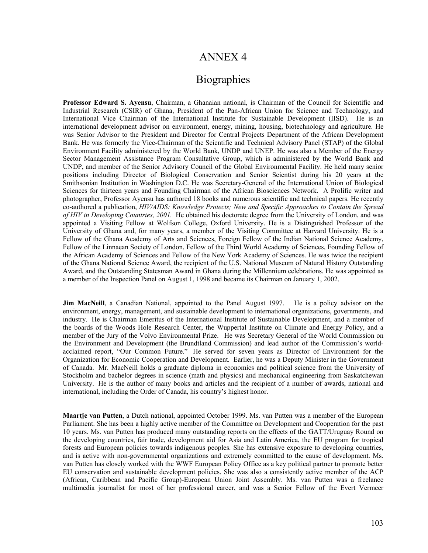### **Biographies**

**Professor Edward S. Ayensu**, Chairman, a Ghanaian national, is Chairman of the Council for Scientific and Industrial Research (CSIR) of Ghana, President of the Pan-African Union for Science and Technology, and International Vice Chairman of the International Institute for Sustainable Development (IISD). He is an international development advisor on environment, energy, mining, housing, biotechnology and agriculture. He was Senior Advisor to the President and Director for Central Projects Department of the African Development Bank. He was formerly the Vice-Chairman of the Scientific and Technical Advisory Panel (STAP) of the Global Environment Facility administered by the World Bank, UNDP and UNEP. He was also a Member of the Energy Sector Management Assistance Program Consultative Group, which is administered by the World Bank and UNDP, and member of the Senior Advisory Council of the Global Environmental Facility. He held many senior positions including Director of Biological Conservation and Senior Scientist during his 20 years at the Smithsonian Institution in Washington D.C. He was Secretary-General of the International Union of Biological Sciences for thirteen years and Founding Chairman of the African Biosciences Network. A Prolific writer and photographer, Professor Ayensu has authored 18 books and numerous scientific and technical papers. He recently co-authored a publication, *HIV/AIDS: Knowledge Protects; New and Specific Approaches to Contain the Spread of HIV in Developing Countries, 2001.* He obtained his doctorate degree from the University of London, and was appointed a Visiting Fellow at Wolfson College, Oxford University. He is a Distinguished Professor of the University of Ghana and, for many years, a member of the Visiting Committee at Harvard University. He is a Fellow of the Ghana Academy of Arts and Sciences, Foreign Fellow of the Indian National Science Academy, Fellow of the Linnaean Society of London, Fellow of the Third World Academy of Sciences, Founding Fellow of the African Academy of Sciences and Fellow of the New York Academy of Sciences. He was twice the recipient of the Ghana National Science Award, the recipient of the U.S. National Museum of Natural History Outstanding Award, and the Outstanding Statesman Award in Ghana during the Millennium celebrations. He was appointed as a member of the Inspection Panel on August 1, 1998 and became its Chairman on January 1, 2002.

**Jim MacNeill**, a Canadian National, appointed to the Panel August 1997. He is a policy advisor on the environment, energy, management, and sustainable development to international organizations, governments, and industry. He is Chairman Emeritus of the International Institute of Sustainable Development, and a member of the boards of the Woods Hole Research Center, the Wuppertal Institute on Climate and Energy Policy, and a member of the Jury of the Volvo Environmental Prize. He was Secretary General of the World Commission on the Environment and Development (the Brundtland Commission) and lead author of the Commission's worldacclaimed report, "Our Common Future." He served for seven years as Director of Environment for the Organization for Economic Cooperation and Development. Earlier, he was a Deputy Minister in the Government of Canada. Mr. MacNeill holds a graduate diploma in economics and political science from the University of Stockholm and bachelor degrees in science (math and physics) and mechanical engineering from Saskatchewan University. He is the author of many books and articles and the recipient of a number of awards, national and international, including the Order of Canada, his country's highest honor.

**Maartje van Putten**, a Dutch national, appointed October 1999. Ms. van Putten was a member of the European Parliament. She has been a highly active member of the Committee on Development and Cooperation for the past 10 years. Ms. van Putten has produced many outstanding reports on the effects of the GATT/Uruguay Round on the developing countries, fair trade, development aid for Asia and Latin America, the EU program for tropical forests and European policies towards indigenous peoples. She has extensive exposure to developing countries, and is active with non-governmental organizations and extremely committed to the cause of development. Ms. van Putten has closely worked with the WWF European Policy Office as a key political partner to promote better EU conservation and sustainable development policies. She was also a consistently active member of the ACP (African, Caribbean and Pacific Group)-European Union Joint Assembly. Ms. van Putten was a freelance multimedia journalist for most of her professional career, and was a Senior Fellow of the Evert Vermeer